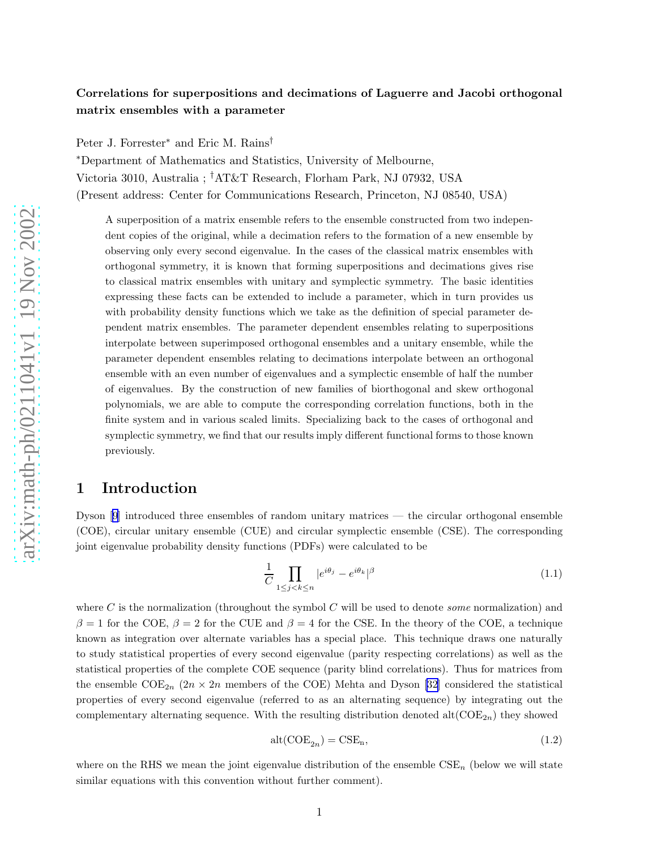### <span id="page-0-0"></span>Correlations for superpositions and decimations of Laguerre and Jacobi orthogonal matrix ensembles with a parameter

Peter J. Forrester<sup>∗</sup> and Eric M. Rains<sup>†</sup>

<sup>∗</sup>Department of Mathematics and Statistics, University of Melbourne, Victoria 3010, Australia ; †AT&T Research, Florham Park, NJ 07932, USA (Present address: Center for Communications Research, Princeton, NJ 08540, USA)

A superposition of a matrix ensemble refers to the ensemble constructed from two independent copies of the original, while a decimation refers to the formation of a new ensemble by observing only every second eigenvalue. In the cases of the classical matrix ensembles with orthogonal symmetry, it is known that forming superpositions and decimations gives rise to classical matrix ensembles with unitary and symplectic symmetry. The basic identities expressing these facts can be extended to include a parameter, which in turn provides us with probability density functions which we take as the definition of special parameter dependent matrix ensembles. The parameter dependent ensembles relating to superpositions interpolate between superimposed orthogonal ensembles and a unitary ensemble, while the parameter dependent ensembles relating to decimations interpolate between an orthogonal ensemble with an even number of eigenvalues and a symplectic ensemble of half the number of eigenvalues. By the construction of new families of biorthogonal and skew orthogonal polynomials, we are able to compute the corresponding correlation functions, both in the finite system and in various scaled limits. Specializing back to the cases of orthogonal and symplectic symmetry, we find that our results imply different functional forms to those known previously.

### 1 Introduction

Dyson [\[9\]](#page-45-0) introduced three ensembles of random unitary matrices — the circular orthogonal ensemble (COE), circular unitary ensemble (CUE) and circular symplectic ensemble (CSE). The corresponding joint eigenvalue probability density functions (PDFs) were calculated to be

$$
\frac{1}{C} \prod_{1 \le j < k \le n} |e^{i\theta_j} - e^{i\theta_k}|^\beta \tag{1.1}
$$

where C is the normalization (throughout the symbol C will be used to denote *some* normalization) and  $\beta = 1$  for the COE,  $\beta = 2$  for the CUE and  $\beta = 4$  for the CSE. In the theory of the COE, a technique known as integration over alternate variables has a special place. This technique draws one naturally to study statistical properties of every second eigenvalue (parity respecting correlations) as well as the statistical properties of the complete COE sequence (parity blind correlations). Thus for matrices from the ensemble  $\text{COE}_{2n}$  ( $2n \times 2n$  members of the COE) Mehta and Dyson [\[32](#page-46-0)] considered the statistical properties of every second eigenvalue (referred to as an alternating sequence) by integrating out the complementary alternating sequence. With the resulting distribution denoted  $\text{alt}(\text{COE}_{2n})$  they showed

$$
alt(COE_{2n}) = CSE_n,
$$
\n(1.2)

where on the RHS we mean the joint eigenvalue distribution of the ensemble  $\text{CSE}_n$  (below we will state similar equations with this convention without further comment).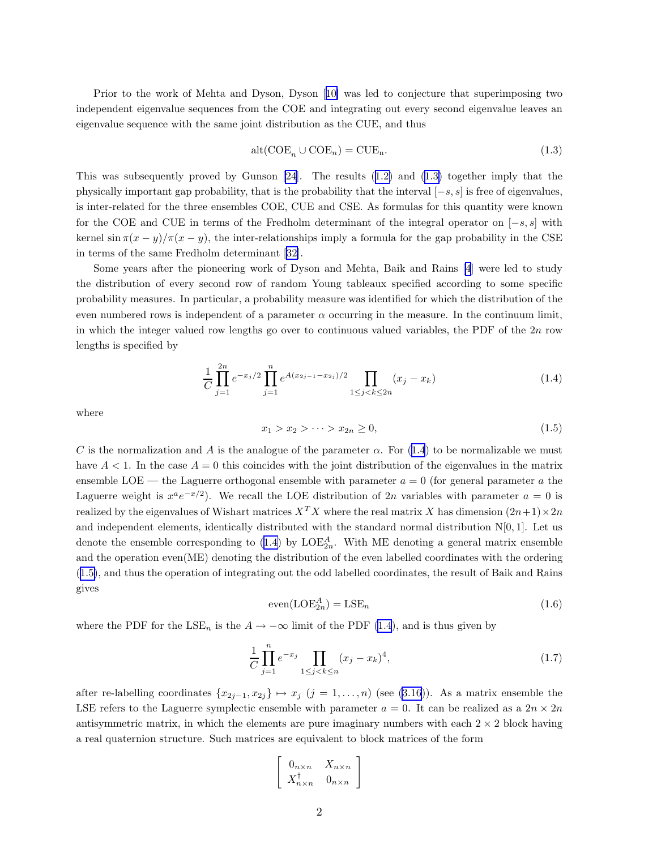<span id="page-1-0"></span>Prior to the work of Mehta and Dyson, Dyson[[10\]](#page-45-0) was led to conjecture that superimposing two independent eigenvalue sequences from the COE and integrating out every second eigenvalue leaves an eigenvalue sequence with the same joint distribution as the CUE, and thus

$$
alt(COEn \cup COEn) = CUEn.
$$
\n(1.3)

This was subsequently proved by Gunson [\[24](#page-46-0)]. The results([1.2\)](#page-0-0) and (1.3) together imply that the physically important gap probability, that is the probability that the interval  $[-s, s]$  is free of eigenvalues, is inter-related for the three ensembles COE, CUE and CSE. As formulas for this quantity were known for the COE and CUE in terms of the Fredholm determinant of the integral operator on  $[-s, s]$  with kernel sin  $\pi(x - y)/\pi(x - y)$ , the inter-relationships imply a formula for the gap probability in the CSE in terms of the same Fredholm determinant [\[32](#page-46-0)].

Some years after the pioneering work of Dyson and Mehta, Baik and Rains [\[4](#page-45-0)] were led to study the distribution of every second row of random Young tableaux specified according to some specific probability measures. In particular, a probability measure was identified for which the distribution of the even numbered rows is independent of a parameter  $\alpha$  occurring in the measure. In the continuum limit, in which the integer valued row lengths go over to continuous valued variables, the PDF of the 2n row lengths is specified by

$$
\frac{1}{C} \prod_{j=1}^{2n} e^{-x_j/2} \prod_{j=1}^n e^{A(x_{2j-1} - x_{2j})/2} \prod_{1 \le j < k \le 2n} (x_j - x_k) \tag{1.4}
$$

where

$$
x_1 > x_2 > \cdots > x_{2n} \ge 0,
$$
\n<sup>(1.5)</sup>

C is the normalization and A is the analogue of the parameter  $\alpha$ . For (1.4) to be normalizable we must have  $A < 1$ . In the case  $A = 0$  this coincides with the joint distribution of the eigenvalues in the matrix ensemble LOE — the Laguerre orthogonal ensemble with parameter  $a = 0$  (for general parameter a the Laguerre weight is  $x^a e^{-x/2}$ ). We recall the LOE distribution of 2n variables with parameter  $a = 0$  is realized by the eigenvalues of Wishart matrices  $X^T X$  where the real matrix X has dimension  $(2n+1)\times 2n$ and independent elements, identically distributed with the standard normal distribution  $N[0, 1]$ . Let us denote the ensemble corresponding to  $(1.4)$  by  $\text{LOE}_{2n}^A$ . With ME denoting a general matrix ensemble and the operation even(ME) denoting the distribution of the even labelled coordinates with the ordering (1.5), and thus the operation of integrating out the odd labelled coordinates, the result of Baik and Rains gives

$$
even(\mathcal{LOE}_{2n}^{A}) = \mathcal{LSE}_{n}
$$
\n(1.6)

where the PDF for the LSE<sub>n</sub> is the  $A \rightarrow -\infty$  limit of the PDF (1.4), and is thus given by

$$
\frac{1}{C} \prod_{j=1}^{n} e^{-x_j} \prod_{1 \le j < k \le n} (x_j - x_k)^4,\tag{1.7}
$$

after re-labelling coordinates  $\{x_{2j-1}, x_{2j}\} \mapsto x_j$   $(j = 1, ..., n)$  (see [\(3.16\)](#page-11-0)). As a matrix ensemble the LSE refers to the Laguerre symplectic ensemble with parameter  $a = 0$ . It can be realized as a  $2n \times 2n$ antisymmetric matrix, in which the elements are pure imaginary numbers with each  $2 \times 2$  block having a real quaternion structure. Such matrices are equivalent to block matrices of the form

$$
\left[\begin{array}{cc} \n0_{n \times n} & X_{n \times n} \\
X_{n \times n}^{\dagger} & 0_{n \times n}\n\end{array}\right]
$$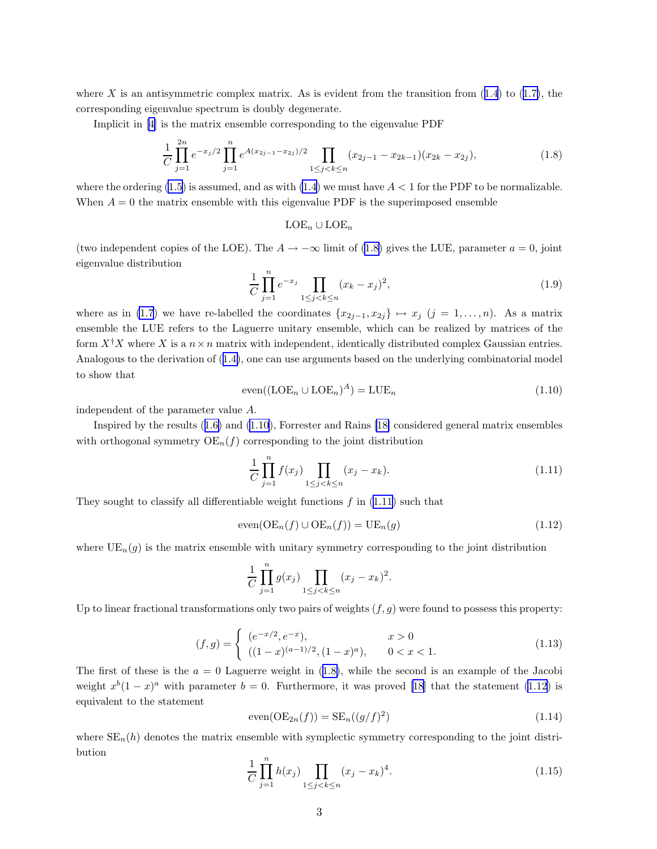<span id="page-2-0"></span>whereX is an antisymmetric complex matrix. As is evident from the transition from  $(1.4)$  $(1.4)$  $(1.4)$  to  $(1.7)$  $(1.7)$ , the corresponding eigenvalue spectrum is doubly degenerate.

Implicit in[[4](#page-45-0)] is the matrix ensemble corresponding to the eigenvalue PDF

$$
\frac{1}{C} \prod_{j=1}^{2n} e^{-x_j/2} \prod_{j=1}^n e^{A(x_{2j-1}-x_{2j})/2} \prod_{1 \le j < k \le n} (x_{2j-1}-x_{2k-1})(x_{2k}-x_{2j}),\tag{1.8}
$$

where the ordering  $(1.5)$  is assumed, and as with  $(1.4)$  we must have  $A < 1$  for the PDF to be normalizable. When  $A = 0$  the matrix ensemble with this eigenvalue PDF is the superimposed ensemble

### $LOE_n \cup LOE_n$

(two independent copies of the LOE). The  $A \to -\infty$  limit of (1.8) gives the LUE, parameter  $a = 0$ , joint eigenvalue distribution

$$
\frac{1}{C} \prod_{j=1}^{n} e^{-x_j} \prod_{1 \le j < k \le n} (x_k - x_j)^2,\tag{1.9}
$$

where as in [\(1.7](#page-1-0)) we have re-labelled the coordinates  $\{x_{2j-1}, x_{2j}\} \mapsto x_j$  (j = 1, ..., n). As a matrix ensemble the LUE refers to the Laguerre unitary ensemble, which can be realized by matrices of the form  $X^{\dagger}X$  where X is a  $n \times n$  matrix with independent, identically distributed complex Gaussian entries. Analogous to the derivation of([1.4\)](#page-1-0), one can use arguments based on the underlying combinatorial model to show that

$$
even((\text{LOE}_n \cup \text{LOE}_n)^A) = \text{LUE}_n \tag{1.10}
$$

independent of the parameter value A.

Inspired by the results([1.6\)](#page-1-0) and (1.10), Forrester and Rains [\[18\]](#page-45-0) considered general matrix ensembles with orthogonal symmetry  $OE<sub>n</sub>(f)$  corresponding to the joint distribution

$$
\frac{1}{C} \prod_{j=1}^{n} f(x_j) \prod_{1 \le j < k \le n} (x_j - x_k). \tag{1.11}
$$

They sought to classify all differentiable weight functions  $f$  in  $(1.11)$  such that

$$
even(OEn(f) \cup OEn(f)) = UEn(g)
$$
\n(1.12)

where  $UE_n(g)$  is the matrix ensemble with unitary symmetry corresponding to the joint distribution

$$
\frac{1}{C} \prod_{j=1}^{n} g(x_j) \prod_{1 \le j < k \le n} (x_j - x_k)^2.
$$

Up to linear fractional transformations only two pairs of weights  $(f, g)$  were found to possess this property:

$$
(f,g) = \begin{cases} (e^{-x/2}, e^{-x}), & x > 0 \\ ((1-x)^{(a-1)/2}, (1-x)^a), & 0 < x < 1. \end{cases}
$$
 (1.13)

The first of these is the  $a = 0$  Laguerre weight in (1.8), while the second is an example of the Jacobi weight $x^{b}(1-x)^{a}$  with parameter  $b=0$ . Furthermore, it was proved [[18\]](#page-45-0) that the statement (1.12) is equivalent to the statement

$$
\operatorname{even}(\operatorname{OE}_{2n}(f)) = \operatorname{SE}_n((g/f)^2) \tag{1.14}
$$

where  $SE_n(h)$  denotes the matrix ensemble with symplectic symmetry corresponding to the joint distribution

$$
\frac{1}{C} \prod_{j=1}^{n} h(x_j) \prod_{1 \le j < k \le n} (x_j - x_k)^4. \tag{1.15}
$$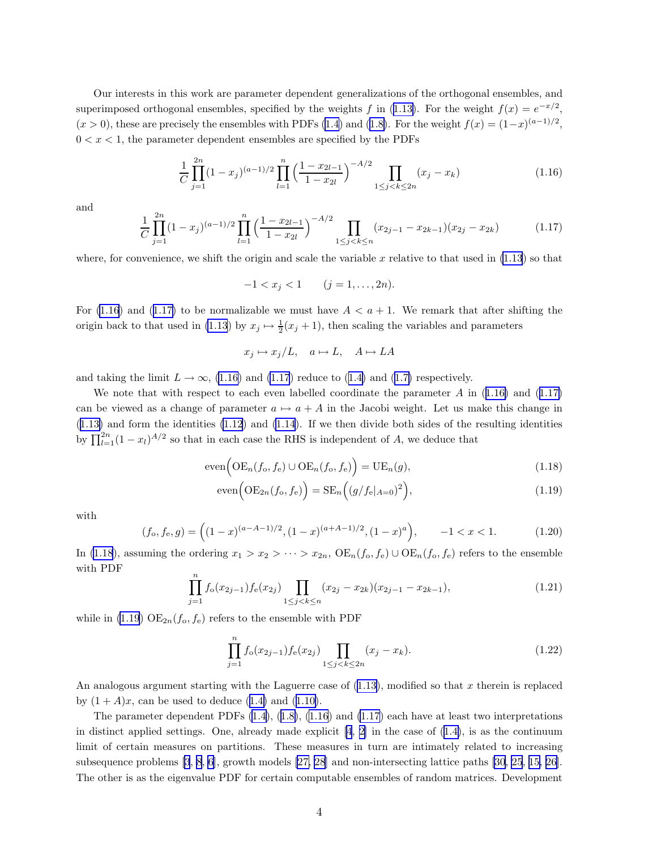<span id="page-3-0"></span>Our interests in this work are parameter dependent generalizations of the orthogonal ensembles, and superimposedorthogonal ensembles, specified by the weights f in ([1.13\)](#page-2-0). For the weight  $f(x) = e^{-x/2}$ ,  $(x > 0)$  $(x > 0)$  $(x > 0)$ , these are precisely the ensembles with PDFs [\(1.4](#page-1-0)) and ([1.8\)](#page-2-0). For the weight  $f(x) = (1-x)^{(a-1)/2}$ ,  $0 < x < 1$ , the parameter dependent ensembles are specified by the PDFs

$$
\frac{1}{C} \prod_{j=1}^{2n} (1-x_j)^{(a-1)/2} \prod_{l=1}^{n} \left(\frac{1-x_{2l-1}}{1-x_{2l}}\right)^{-A/2} \prod_{1 \le j < k \le 2n} (x_j - x_k) \tag{1.16}
$$

and

$$
\frac{1}{C} \prod_{j=1}^{2n} (1-x_j)^{(a-1)/2} \prod_{l=1}^{n} \left(\frac{1-x_{2l-1}}{1-x_{2l}}\right)^{-A/2} \prod_{1 \le j < k \le n} (x_{2j-1} - x_{2k-1})(x_{2j} - x_{2k}) \tag{1.17}
$$

where, for convenience, we shift the origin and scale the variable x relative to that used in  $(1.13)$  so that

$$
-1 < x_j < 1 \qquad (j = 1, \dots, 2n).
$$

For (1.16) and (1.17) to be normalizable we must have  $A < a + 1$ . We remark that after shifting the origin back to that used in [\(1.13](#page-2-0)) by  $x_j \mapsto \frac{1}{2}(x_j + 1)$ , then scaling the variables and parameters

$$
x_j \mapsto x_j/L, \quad a \mapsto L, \quad A \mapsto LA
$$

andtaking the limit  $L \to \infty$ , (1.16) and (1.17) reduce to ([1.4\)](#page-1-0) and ([1.7\)](#page-1-0) respectively.

We note that with respect to each even labelled coordinate the parameter A in  $(1.16)$  and  $(1.17)$ can be viewed as a change of parameter  $a \mapsto a + A$  in the Jacobi weight. Let us make this change in  $(1.13)$  $(1.13)$  and form the identities  $(1.12)$  and  $(1.14)$ . If we then divide both sides of the resulting identities by  $\prod_{l=1}^{2n} (1-x_l)^{A/2}$  so that in each case the RHS is independent of A, we deduce that

$$
\text{even}\Big(\text{OE}_n(f_o, f_e) \cup \text{OE}_n(f_o, f_e)\Big) = \text{UE}_n(g),\tag{1.18}
$$

$$
\text{even}\left(\text{OE}_{2n}(f_o, f_e)\right) = \text{SE}_n\left((g/f_e|_{A=0})^2\right),\tag{1.19}
$$

with

$$
(f_o, f_e, g) = \left( (1-x)^{(a-A-1)/2}, (1-x)^{(a+A-1)/2}, (1-x)^a \right), \qquad -1 < x < 1. \tag{1.20}
$$

In (1.18), assuming the ordering  $x_1 > x_2 > \cdots > x_{2n}$ ,  $OE_n(f_o, f_e) \cup OE_n(f_o, f_e)$  refers to the ensemble with PDF

$$
\prod_{j=1}^{n} f_o(x_{2j-1}) f_e(x_{2j}) \prod_{1 \le j < k \le n} (x_{2j} - x_{2k}) (x_{2j-1} - x_{2k-1}),\tag{1.21}
$$

while in (1.19)  $OE_{2n}(f_o, f_e)$  refers to the ensemble with PDF

$$
\prod_{j=1}^{n} f_o(x_{2j-1}) f_e(x_{2j}) \prod_{1 \le j < k \le 2n} (x_j - x_k). \tag{1.22}
$$

An analogous argument starting with the Laguerre case of  $(1.13)$ , modified so that x therein is replaced by $(1 + A)x$ , can be used to deduce  $(1.4)$  $(1.4)$  and  $(1.10)$  $(1.10)$ .

The parameter dependent PDFs [\(1.4](#page-1-0)),([1.8\)](#page-2-0), (1.16) and (1.17) each have at least two interpretations indistinct applied settings. One, already made explicit  $[4, 2]$  $[4, 2]$  in the case of  $(1.4)$  $(1.4)$ , is as the continuum limit of certain measures on partitions. These measures in turn are intimately related to increasing subsequence problems [\[3](#page-45-0), [8](#page-45-0), [6](#page-45-0)], growth models [\[27, 28](#page-46-0)] and non-intersecting lattice paths [\[30](#page-46-0), [25](#page-46-0), [15,](#page-45-0) [26\]](#page-46-0). The other is as the eigenvalue PDF for certain computable ensembles of random matrices. Development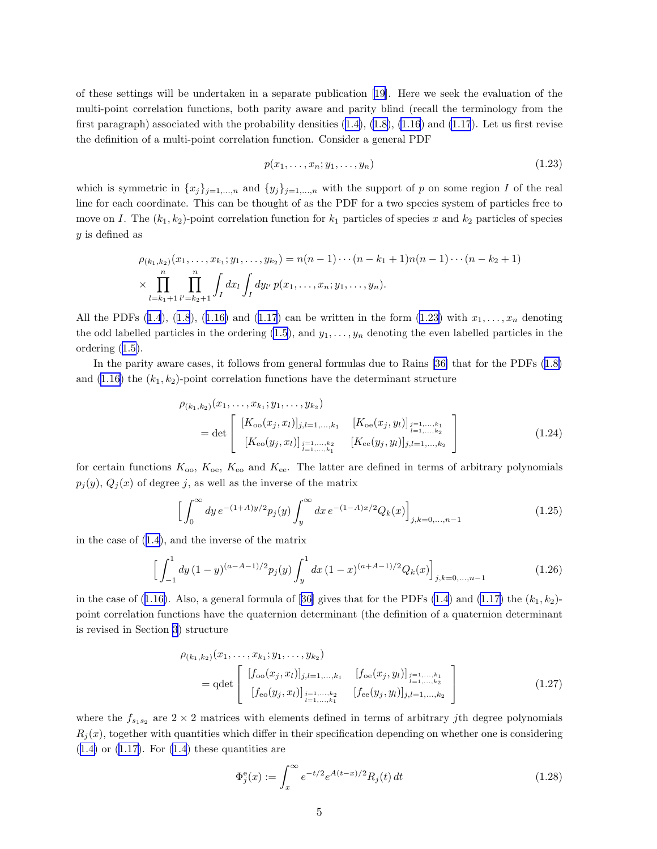<span id="page-4-0"></span>of these settings will be undertaken in a separate publication [\[19](#page-46-0)]. Here we seek the evaluation of the multi-point correlation functions, both parity aware and parity blind (recall the terminology from the first paragraph) associated with the probability densities  $(1.4)$  $(1.4)$ ,  $(1.8)$ ,  $(1.16)$  and  $(1.17)$ . Let us first revise the definition of a multi-point correlation function. Consider a general PDF

$$
p(x_1, \ldots, x_n; y_1, \ldots, y_n) \tag{1.23}
$$

which is symmetric in  $\{x_j\}_{j=1,\dots,n}$  and  $\{y_j\}_{j=1,\dots,n}$  with the support of p on some region I of the real line for each coordinate. This can be thought of as the PDF for a two species system of particles free to move on I. The  $(k_1, k_2)$ -point correlation function for  $k_1$  particles of species x and  $k_2$  particles of species y is defined as

$$
\rho_{(k_1,k_2)}(x_1,\ldots,x_{k_1};y_1,\ldots,y_{k_2}) = n(n-1)\cdots(n-k_1+1)n(n-1)\cdots(n-k_2+1)
$$
  

$$
\times \prod_{l=k_1+1}^n \prod_{l'=k_2+1}^n \int_I dx_l \int_I dy_{l'} p(x_1,\ldots,x_n;y_1,\ldots,y_n).
$$

Allthe PDFs ([1.4](#page-1-0)), ([1.8](#page-2-0)), ([1.16\)](#page-3-0) and ([1.17](#page-3-0)) can be written in the form (1.23) with  $x_1, \ldots, x_n$  denoting the odd labelled particles in the ordering  $(1.5)$ , and  $y_1, \ldots, y_n$  denoting the even labelled particles in the ordering [\(1.5\)](#page-1-0).

In the parity aware cases, it follows from general formulas due to Rains [\[36\]](#page-46-0) that for the PDFs([1.8\)](#page-2-0) and  $(1.16)$  the  $(k_1, k_2)$ -point correlation functions have the determinant structure

$$
\rho_{(k_1,k_2)}(x_1,\ldots,x_{k_1};y_1,\ldots,y_{k_2})
$$
\n
$$
= \det \begin{bmatrix}\n[K_{oo}(x_j,x_l)]_{j,l=1,\ldots,k_1} & [K_{oe}(x_j,y_l)]_{\substack{j=1,\ldots,k_1\\l=1,\ldots,k_2}} \\
[K_{eo}(y_j,x_l)]_{\substack{j=1,\ldots,k_2\\l=1,\ldots,k_1}} & [K_{ee}(y_j,y_l)]_{j,l=1,\ldots,k_2}\n\end{bmatrix}
$$
\n(1.24)

for certain functions  $K_{oo}$ ,  $K_{oo}$ ,  $K_{eo}$  and  $K_{ee}$ . The latter are defined in terms of arbitrary polynomials  $p_j(y)$ ,  $Q_j(x)$  of degree j, as well as the inverse of the matrix

$$
\left[\int_0^\infty dy \, e^{-(1+A)y/2} p_j(y) \int_y^\infty dx \, e^{-(1-A)x/2} Q_k(x)\right]_{j,k=0,\dots,n-1} \tag{1.25}
$$

in the case of([1.4\)](#page-1-0), and the inverse of the matrix

$$
\left[\int_{-1}^{1} dy \,(1-y)^{(a-A-1)/2} p_j(y) \int_y^1 dx \,(1-x)^{(a+A-1)/2} Q_k(x)\right]_{j,k=0,\dots,n-1}
$$
\n(1.26)

inthe case of ([1.16\)](#page-3-0). Also, a general formula of [[36\]](#page-46-0) gives that for the PDFs [\(1.4](#page-1-0)) and [\(1.17\)](#page-3-0) the  $(k_1, k_2)$ point correlation functions have the quaternion determinant (the definition of a quaternion determinant is revised in Section [3\)](#page-9-0) structure

$$
\rho_{(k_1,k_2)}(x_1,\ldots,x_{k_1};y_1,\ldots,y_{k_2})
$$
\n
$$
= \det \begin{bmatrix}\n[f_{oo}(x_j,x_l)]_{j,l=1,\ldots,k_1} & [f_{oe}(x_j,y_l)]_{\substack{j=1,\ldots,k_1\\l=1,\ldots,k_2}} \\
[f_{eo}(y_j,x_l)]_{\substack{j=1,\ldots,k_2\\l=1,\ldots,k_1}} & [f_{ee}(y_j,y_l)]_{j,l=1,\ldots,k_2}\n\end{bmatrix}
$$
\n(1.27)

where the  $f_{s_1s_2}$  are  $2 \times 2$  matrices with elements defined in terms of arbitrary jth degree polynomials  $R_j(x)$ , together with quantities which differ in their specification depending on whether one is considering  $(1.4)$  $(1.4)$ or  $(1.17)$  $(1.17)$ . For  $(1.4)$  these quantities are

$$
\Phi_j^e(x) := \int_x^{\infty} e^{-t/2} e^{A(t-x)/2} R_j(t) dt
$$
\n(1.28)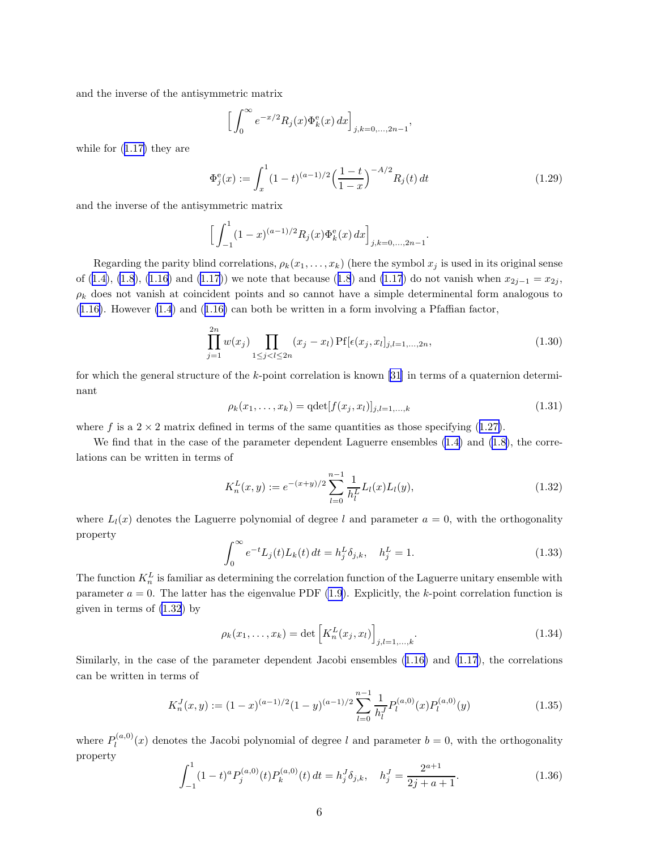<span id="page-5-0"></span>and the inverse of the antisymmetric matrix

$$
\left[\int_0^\infty e^{-x/2} R_j(x) \Phi_k^e(x) dx\right]_{j,k=0,\ldots,2n-1},
$$

while for([1.17\)](#page-3-0) they are

$$
\Phi_j^e(x) := \int_x^1 (1-t)^{(a-1)/2} \left(\frac{1-t}{1-x}\right)^{-A/2} R_j(t) dt \tag{1.29}
$$

and the inverse of the antisymmetric matrix

$$
\Big[\int_{-1}^{1} (1-x)^{(a-1)/2} R_j(x) \Phi_k^{\rm e}(x) \, dx\Big]_{j,k=0,\dots,2n-1}.
$$

Regarding the parity blind correlations,  $\rho_k(x_1, \ldots, x_k)$  (here the symbol  $x_j$  is used in its original sense of([1.4\)](#page-1-0), [\(1.8](#page-2-0)), [\(1.16\)](#page-3-0) and [\(1.17\)](#page-3-0)) we note that because ([1.8](#page-2-0)) and [\(1.17](#page-3-0)) do not vanish when  $x_{2j-1} = x_{2j}$ ,  $\rho_k$  does not vanish at coincident points and so cannot have a simple determinental form analogous to  $(1.16)$  $(1.16)$ .However  $(1.4)$  and  $(1.16)$  can both be written in a form involving a Pfaffian factor,

$$
\prod_{j=1}^{2n} w(x_j) \prod_{1 \le j < l \le 2n} (x_j - x_l) \Pr[\epsilon(x_j, x_l]_{j,l=1,\dots,2n},\tag{1.30}
$$

forwhich the general structure of the  $k$ -point correlation is known [[31\]](#page-46-0) in terms of a quaternion determinant

$$
\rho_k(x_1, \dots, x_k) = \det[f(x_j, x_l)]_{j,l=1,\dots,k} \tag{1.31}
$$

wheref is a  $2 \times 2$  matrix defined in terms of the same quantities as those specifying ([1.27\)](#page-4-0).

We find that in the case of the parameter dependent Laguerre ensembles  $(1.4)$  and  $(1.8)$ , the correlations can be written in terms of

$$
K_n^L(x,y) := e^{-(x+y)/2} \sum_{l=0}^{n-1} \frac{1}{h_l^L} L_l(x) L_l(y), \qquad (1.32)
$$

where  $L_l(x)$  denotes the Laguerre polynomial of degree l and parameter  $a = 0$ , with the orthogonality property

$$
\int_0^\infty e^{-t} L_j(t) L_k(t) dt = h_j^L \delta_{j,k}, \quad h_j^L = 1.
$$
\n(1.33)

The function  $K_n^L$  is familiar as determining the correlation function of the Laguerre unitary ensemble with parameter  $a = 0$ . The latter has the eigenvalue PDF [\(1.9](#page-2-0)). Explicitly, the k-point correlation function is given in terms of (1.32) by

$$
\rho_k(x_1, \dots, x_k) = \det \left[ K_n^L(x_j, x_l) \right]_{j,l=1,\dots,k}.
$$
\n(1.34)

Similarly, in the case of the parameter dependent Jacobi ensembles([1.16\)](#page-3-0) and [\(1.17](#page-3-0)), the correlations can be written in terms of

$$
K_n^J(x,y) := (1-x)^{(a-1)/2} (1-y)^{(a-1)/2} \sum_{l=0}^{n-1} \frac{1}{h_l^J} P_l^{(a,0)}(x) P_l^{(a,0)}(y)
$$
(1.35)

where  $P_l^{(a,0)}$  $\ell_l^{(a,0)}(x)$  denotes the Jacobi polynomial of degree l and parameter  $b = 0$ , with the orthogonality property

$$
\int_{-1}^{1} (1-t)^{a} P_{j}^{(a,0)}(t) P_{k}^{(a,0)}(t) dt = h_{j}^{J} \delta_{j,k}, \quad h_{j}^{J} = \frac{2^{a+1}}{2j+a+1}.
$$
 (1.36)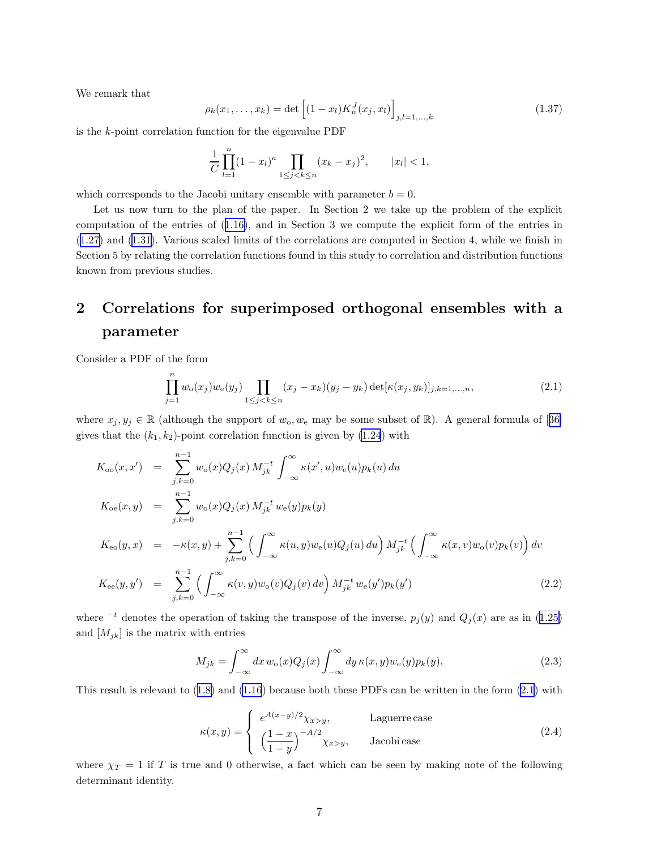<span id="page-6-0"></span>We remark that

$$
\rho_k(x_1, \dots, x_k) = \det \left[ (1 - x_l) K_n^J(x_j, x_l) \right]_{j,l=1,\dots,k} \tag{1.37}
$$

is the k-point correlation function for the eigenvalue PDF

$$
\frac{1}{C} \prod_{l=1}^{n} (1 - x_l)^a \prod_{1 \le j < k \le n} (x_k - x_j)^2, \qquad |x_l| < 1,
$$

which corresponds to the Jacobi unitary ensemble with parameter  $b = 0$ .

Let us now turn to the plan of the paper. In Section 2 we take up the problem of the explicit computation of the entries of([1.16\)](#page-3-0), and in Section 3 we compute the explicit form of the entries in ([1.27\)](#page-4-0) and [\(1.31\)](#page-5-0). Various scaled limits of the correlations are computed in Section 4, while we finish in Section 5 by relating the correlation functions found in this study to correlation and distribution functions known from previous studies.

# 2 Correlations for superimposed orthogonal ensembles with a parameter

Consider a PDF of the form

$$
\prod_{j=1}^{n} w_o(x_j) w_e(y_j) \prod_{1 \le j < k \le n} (x_j - x_k)(y_j - y_k) \det[\kappa(x_j, y_k)]_{j,k=1,\dots,n},\tag{2.1}
$$

where $x_j, y_j \in \mathbb{R}$  (although the support of  $w_0, w_0$  may be some subset of  $\mathbb{R}$ ). A general formula of [[36\]](#page-46-0) gives that the  $(k_1, k_2)$ -point correlation function is given by  $(1.24)$  with

$$
K_{oo}(x, x') = \sum_{j,k=0}^{n-1} w_o(x) Q_j(x) M_{jk}^{-t} \int_{-\infty}^{\infty} \kappa(x', u) w_e(u) p_k(u) du
$$
  
\n
$$
K_{oe}(x, y) = \sum_{j,k=0}^{n-1} w_o(x) Q_j(x) M_{jk}^{-t} w_e(y) p_k(y)
$$
  
\n
$$
K_{eo}(y, x) = -\kappa(x, y) + \sum_{j,k=0}^{n-1} \left( \int_{-\infty}^{\infty} \kappa(u, y) w_e(u) Q_j(u) du \right) M_{jk}^{-t} \left( \int_{-\infty}^{\infty} \kappa(x, v) w_o(v) p_k(v) \right) dv
$$
  
\n
$$
K_{ee}(y, y') = \sum_{j,k=0}^{n-1} \left( \int_{-\infty}^{\infty} \kappa(v, y) w_o(v) Q_j(v) dv \right) M_{jk}^{-t} w_e(y') p_k(y')
$$
\n(2.2)

where<sup> $-t$ </sup> denotes the operation of taking the transpose of the inverse,  $p_j(y)$  and  $Q_j(x)$  are as in ([1.25\)](#page-4-0) and  $[M_{jk}]$  is the matrix with entries

$$
M_{jk} = \int_{-\infty}^{\infty} dx \, w_o(x) Q_j(x) \int_{-\infty}^{\infty} dy \, \kappa(x, y) w_e(y) p_k(y).
$$
 (2.3)

Thisresult is relevant to  $(1.8)$  $(1.8)$  and  $(1.16)$  because both these PDFs can be written in the form  $(2.1)$  with

$$
\kappa(x,y) = \begin{cases}\ne^{A(x-y)/2} \chi_{x>y}, & \text{Laguerre case} \\
\left(\frac{1-x}{1-y}\right)^{-A/2} \chi_{x>y}, & \text{Jacobi case}\n\end{cases}
$$
\n(2.4)

where  $\chi_T = 1$  if T is true and 0 otherwise, a fact which can be seen by making note of the following determinant identity.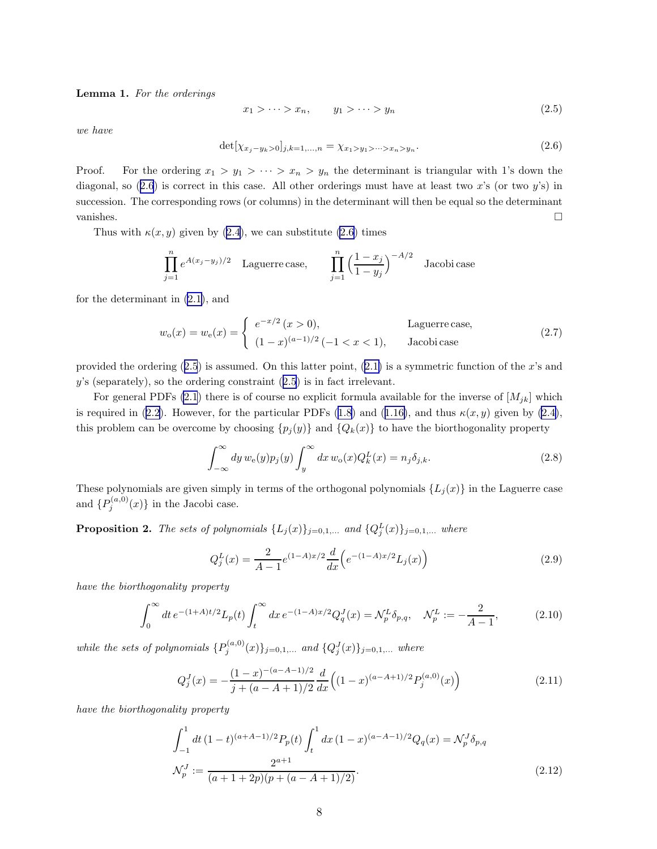<span id="page-7-0"></span>Lemma 1. For the orderings

$$
x_1 > \cdots > x_n, \qquad y_1 > \cdots > y_n \tag{2.5}
$$

we have

$$
\det[\chi_{x_j-y_k>0}]_{j,k=1,\dots,n} = \chi_{x_1>y_1>\dots>x_n>y_n}.\tag{2.6}
$$

Proof. For the ordering  $x_1 > y_1 > \cdots > x_n > y_n$  the determinant is triangular with 1's down the diagonal, so  $(2.6)$  is correct in this case. All other orderings must have at least two x's (or two y's) in succession. The corresponding rows (or columns) in the determinant will then be equal so the determinant vanishes.

Thus with  $\kappa(x, y)$  given by [\(2.4\)](#page-6-0), we can substitute (2.6) times

$$
\prod_{j=1}^{n} e^{A(x_j - y_j)/2}
$$
 Laguerre case, 
$$
\prod_{j=1}^{n} \left(\frac{1 - x_j}{1 - y_j}\right)^{-A/2}
$$
 Jacobi case

for the determinant in [\(2.1\)](#page-6-0), and

$$
w_o(x) = w_e(x) = \begin{cases} e^{-x/2} (x > 0), & \text{Laguerre case,} \\ (1-x)^{(a-1)/2} (-1 < x < 1), & \text{Jacobi case} \end{cases}
$$
(2.7)

providedthe ordering  $(2.5)$  is assumed. On this latter point,  $(2.1)$  $(2.1)$  is a symmetric function of the x's and  $y$ 's (separately), so the ordering constraint  $(2.5)$  is in fact irrelevant.

For general PDFs [\(2.1](#page-6-0)) there is of course no explicit formula available for the inverse of  $[M_{jk}]$  which is required in [\(2.2\)](#page-6-0). However, for the particular PDFs [\(1.8](#page-2-0))and ([1.16\)](#page-3-0), and thus  $\kappa(x, y)$  given by [\(2.4\)](#page-6-0), this problem can be overcome by choosing  $\{p_j(y)\}\$ and  $\{Q_k(x)\}\$ to have the biorthogonality property

$$
\int_{-\infty}^{\infty} dy \, w_{e}(y) p_{j}(y) \int_{y}^{\infty} dx \, w_{o}(x) Q_{k}^{L}(x) = n_{j} \delta_{j,k}.
$$
 (2.8)

These polynomials are given simply in terms of the orthogonal polynomials  $\{L_j(x)\}\$ in the Laguerre case and  $\{P_j^{(a,0)}(x)\}\$  in the Jacobi case.

**Proposition 2.** The sets of polynomials  $\{L_j(x)\}_{j=0,1,\ldots}$  and  $\{Q_j^L(x)\}_{j=0,1,\ldots}$  where

$$
Q_j^L(x) = \frac{2}{A-1} e^{(1-A)x/2} \frac{d}{dx} \left( e^{-(1-A)x/2} L_j(x) \right)
$$
 (2.9)

have the biorthogonality property

$$
\int_0^\infty dt \, e^{-(1+A)t/2} L_p(t) \int_t^\infty dx \, e^{-(1-A)x/2} Q_q^J(x) = \mathcal{N}_p^L \delta_{p,q}, \quad \mathcal{N}_p^L := -\frac{2}{A-1},\tag{2.10}
$$

while the sets of polynomials  $\{P_j^{(a,0)}(x)\}_{j=0,1,...}$  and  $\{Q_j^J(x)\}_{j=0,1,...}$  where

$$
Q_j^J(x) = -\frac{(1-x)^{-(a-A-1)/2}}{j+(a-A+1)/2} \frac{d}{dx} \left( (1-x)^{(a-A+1)/2} P_j^{(a,0)}(x) \right)
$$
(2.11)

have the biorthogonality property

$$
\int_{-1}^{1} dt \, (1-t)^{(a+A-1)/2} P_p(t) \int_{t}^{1} dx \, (1-x)^{(a-A-1)/2} Q_q(x) = \mathcal{N}_p^J \delta_{p,q}
$$
\n
$$
\mathcal{N}_p^J := \frac{2^{a+1}}{(a+1+2p)(p+(a-A+1)/2)}.
$$
\n(2.12)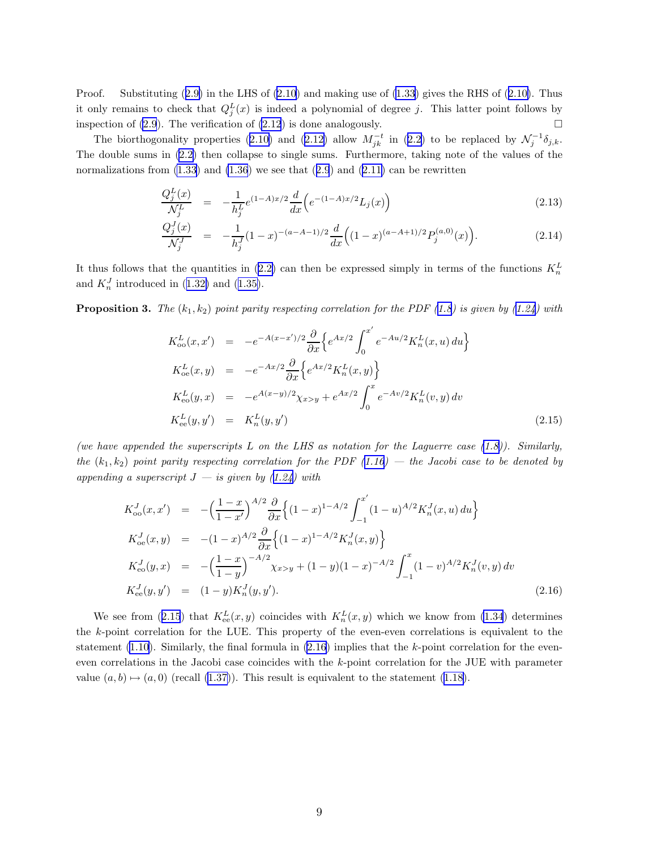<span id="page-8-0"></span>Proof.Substituting  $(2.9)$  $(2.9)$  in the LHS of  $(2.10)$  $(2.10)$  and making use of  $(1.33)$  gives the RHS of  $(2.10)$ . Thus it only remains to check that  $Q_j^L(x)$  is indeed a polynomial of degree j. This latter point follows by inspection of [\(2.9](#page-7-0)). The verification of [\(2.12](#page-7-0)) is done analogously.  $\Box$ 

Thebiorthogonality properties ([2.10\)](#page-7-0) and ([2.12\)](#page-7-0) allow  $M_{jk}^{-t}$  in ([2.2\)](#page-6-0) to be replaced by  $\mathcal{N}_j^{-1}\delta_{j,k}$ . The double sums in [\(2.2\)](#page-6-0) then collapse to single sums. Furthermore, taking note of the values of the normalizationsfrom  $(1.33)$  and  $(1.36)$  we see that  $(2.9)$  $(2.9)$  $(2.9)$  and  $(2.11)$  $(2.11)$  can be rewritten

$$
\frac{Q_j^L(x)}{\mathcal{N}_j^L} = -\frac{1}{h_j^L} e^{(1-A)x/2} \frac{d}{dx} \left( e^{-(1-A)x/2} L_j(x) \right) \tag{2.13}
$$

$$
\frac{Q_j^J(x)}{\mathcal{N}_j^J} = -\frac{1}{h_j^J} (1-x)^{-(a-A-1)/2} \frac{d}{dx} \Big( (1-x)^{(a-A+1)/2} P_j^{(a,0)}(x) \Big). \tag{2.14}
$$

Itthus follows that the quantities in ([2.2\)](#page-6-0) can then be expressed simply in terms of the functions  $K_n^L$ and $K_n^J$  introduced in ([1.32\)](#page-5-0) and ([1.35\)](#page-5-0).

**Proposition 3.** The  $(k_1, k_2)$  point parity respecting correlation for the PDF ([1.8\)](#page-2-0) is given by ([1.24\)](#page-4-0) with

$$
K_{oo}^{L}(x, x') = -e^{-A(x-x')/2} \frac{\partial}{\partial x} \left\{ e^{Ax/2} \int_{0}^{x'} e^{-Au/2} K_{n}^{L}(x, u) du \right\}
$$
  
\n
$$
K_{oo}^{L}(x, y) = -e^{-Ax/2} \frac{\partial}{\partial x} \left\{ e^{Ax/2} K_{n}^{L}(x, y) \right\}
$$
  
\n
$$
K_{oo}^{L}(y, x) = -e^{A(x-y)/2} \chi_{x>y} + e^{Ax/2} \int_{0}^{x} e^{-Av/2} K_{n}^{L}(v, y) dv
$$
  
\n
$$
K_{ee}^{L}(y, y') = K_{n}^{L}(y, y')
$$
\n(2.15)

(we have appended the superscripts L on the LHS as notation for the Laguerre case  $(1.8)$ ). Similarly, the  $(k_1, k_2)$  point parity respecting correlation for the PDF ([1.16\)](#page-3-0) — the Jacobi case to be denoted by appending a superscript  $J - i s$  given by ([1.24\)](#page-4-0) with

$$
K_{oo}^{J}(x, x') = -\left(\frac{1-x}{1-x'}\right)^{A/2} \frac{\partial}{\partial x} \left\{ (1-x)^{1-A/2} \int_{-1}^{x'} (1-u)^{A/2} K_{n}^{J}(x, u) du \right\}
$$
  
\n
$$
K_{oe}^{J}(x, y) = -(1-x)^{A/2} \frac{\partial}{\partial x} \left\{ (1-x)^{1-A/2} K_{n}^{J}(x, y) \right\}
$$
  
\n
$$
K_{eo}^{J}(y, x) = -\left(\frac{1-x}{1-y}\right)^{-A/2} \chi_{x>y} + (1-y)(1-x)^{-A/2} \int_{-1}^{x} (1-v)^{A/2} K_{n}^{J}(v, y) dv
$$
  
\n
$$
K_{ee}^{J}(y, y') = (1-y) K_{n}^{J}(y, y'). \qquad (2.16)
$$

We see from (2.15) that  $K_{ee}^L(x, y)$  coincides with  $K_n^L(x, y)$  which we know from [\(1.34](#page-5-0)) determines the k-point correlation for the LUE. This property of the even-even correlations is equivalent to the statement [\(1.10\)](#page-2-0). Similarly, the final formula in  $(2.16)$  implies that the k-point correlation for the eveneven correlations in the Jacobi case coincides with the k-point correlation for the JUE with parameter value $(a, b) \mapsto (a, 0)$  (recall ([1.37\)](#page-6-0)). This result is equivalent to the statement ([1.18\)](#page-3-0).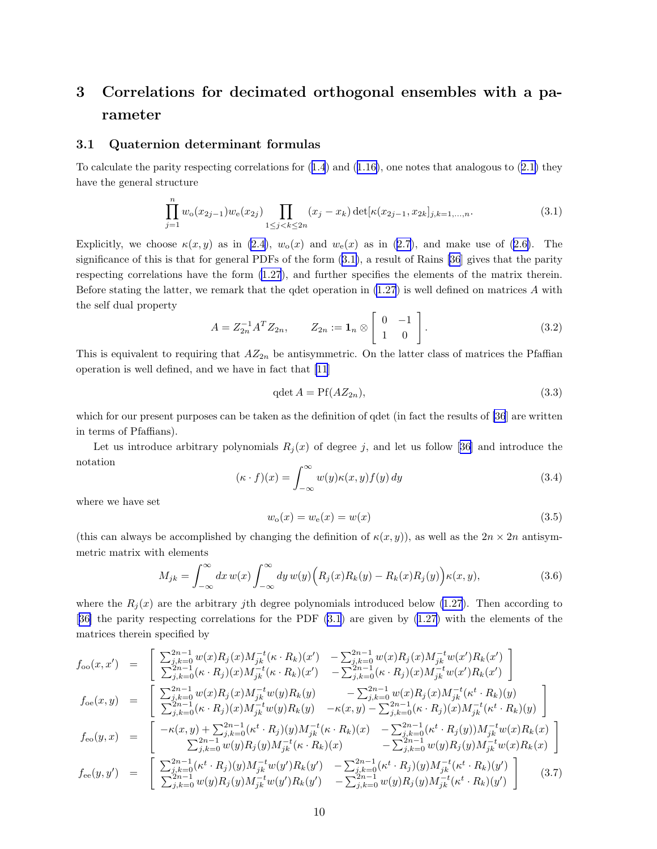## <span id="page-9-0"></span>3 Correlations for decimated orthogonal ensembles with a parameter

### 3.1 Quaternion determinant formulas

Tocalculate the parity respecting correlations for  $(1.4)$  $(1.4)$  $(1.4)$  and  $(1.16)$  $(1.16)$ , one notes that analogous to  $(2.1)$  $(2.1)$  they have the general structure

$$
\prod_{j=1}^{n} w_o(x_{2j-1}) w_e(x_{2j}) \prod_{1 \le j < k \le 2n} (x_j - x_k) \det[\kappa(x_{2j-1}, x_{2k}]_{j,k=1,\dots,n}.\tag{3.1}
$$

Explicitly,we choose  $\kappa(x, y)$  as in [\(2.4](#page-6-0)),  $w_0(x)$  and  $w_0(x)$  as in [\(2.7\)](#page-7-0), and make use of ([2.6\)](#page-7-0). The significance of this is that for general PDFs of the form (3.1), a result of Rains [\[36](#page-46-0)] gives that the parity respecting correlations have the form [\(1.27](#page-4-0)), and further specifies the elements of the matrix therein. Before stating the latter, we remark that the qdet operation in  $(1.27)$  is well defined on matrices A with the self dual property

$$
A = Z_{2n}^{-1} A^T Z_{2n}, \qquad Z_{2n} := \mathbf{1}_n \otimes \begin{bmatrix} 0 & -1 \\ 1 & 0 \end{bmatrix}.
$$
 (3.2)

This is equivalent to requiring that  $AZ_{2n}$  be antisymmetric. On the latter class of matrices the Pfaffian operation is well defined, and we have in fact that [\[11](#page-45-0)]

$$
q\det A = Pf(AZ_{2n}),\tag{3.3}
$$

which for our present purposes can be taken as the definition of qdet (in fact the results of [\[36](#page-46-0)] are written in terms of Pfaffians).

Letus introduce arbitrary polynomials  $R_j(x)$  of degree j, and let us follow [[36\]](#page-46-0) and introduce the notation

$$
(\kappa \cdot f)(x) = \int_{-\infty}^{\infty} w(y)\kappa(x, y)f(y) \, dy \tag{3.4}
$$

where we have set

$$
w_o(x) = w_e(x) = w(x)
$$
\n(3.5)

(this can always be accomplished by changing the definition of  $\kappa(x, y)$ ), as well as the  $2n \times 2n$  antisymmetric matrix with elements

$$
M_{jk} = \int_{-\infty}^{\infty} dx w(x) \int_{-\infty}^{\infty} dy w(y) \Big( R_j(x) R_k(y) - R_k(x) R_j(y) \Big) \kappa(x, y), \tag{3.6}
$$

where the  $R_j(x)$  are the arbitrary jth degree polynomials introduced below [\(1.27](#page-4-0)). Then according to [[36\]](#page-46-0) the parity respecting correlations for the PDF (3.1) are given by [\(1.27](#page-4-0)) with the elements of the matrices therein specified by

$$
f_{oo}(x, x') = \begin{bmatrix} \sum_{j,k=0}^{2n-1} w(x) R_j(x) M_{jk}^{-t}(\kappa \cdot R_k)(x') - \sum_{j,k=0}^{2n-1} w(x) R_j(x) M_{jk}^{-t}w(x') R_k(x') \\ \sum_{j,k=0}^{2n-1} (\kappa \cdot R_j)(x) M_{jk}^{-t}(\kappa \cdot R_k)(x') - \sum_{j,k=0}^{2n-1} (\kappa \cdot R_j)(x) M_{jk}^{-t}w(x') R_k(x') \end{bmatrix}
$$
  
\n
$$
f_{oe}(x, y) = \begin{bmatrix} \sum_{j,k=0}^{2n-1} w(x) R_j(x) M_{jk}^{-t}w(y) R_k(y) - \sum_{j,k=0}^{2n-1} w(x) R_j(x) M_{jk}^{-t}(\kappa^t \cdot R_k)(y) \\ \sum_{j,k=0}^{2n-1} (\kappa \cdot R_j)(x) M_{jk}^{-t}w(y) R_k(y) - \kappa(x, y) - \sum_{j,k=0}^{2n-1} (\kappa \cdot R_j)(x) M_{jk}^{-t}(\kappa^t \cdot R_k)(y) \end{bmatrix}
$$
  
\n
$$
f_{eo}(y, x) = \begin{bmatrix} -\kappa(x, y) + \sum_{j,k=0}^{2n-1} (\kappa^t \cdot R_j)(y) M_{jk}^{-t}(\kappa \cdot R_k)(x) - \sum_{j,k=0}^{2n-1} (\kappa^t \cdot R_j)(y) M_{jk}^{-t}w(x) R_k(x) \\ \sum_{j,k=0}^{2n-1} w(y) R_j(y) M_{jk}^{-t}(\kappa \cdot R_k)(x) - \sum_{j,k=0}^{2n-1} w(y) R_j(y) M_{jk}^{-t}w(x) R_k(x) \end{bmatrix}
$$
  
\n
$$
f_{ee}(y, y') = \begin{bmatrix} \sum_{j,k=0}^{2n-1} (\kappa^t \cdot R_j)(y) M_{jk}^{-t}w(y') R_k(y') - \sum_{j,k=0}^{2n-1} (\kappa^t \cdot R_j)(y) M_{jk}^{-t}(\kappa^t \cdot R_k)(y') \\ \sum_{j,k=0}^{2n-1} w(y) R_j(y) M_{jk}^{-t}w(y') R_k(y') - \sum_{j,k=0}^{2n-1} w(y) R_j(y) M_{jk}^{-t}(\kappa^t \cdot
$$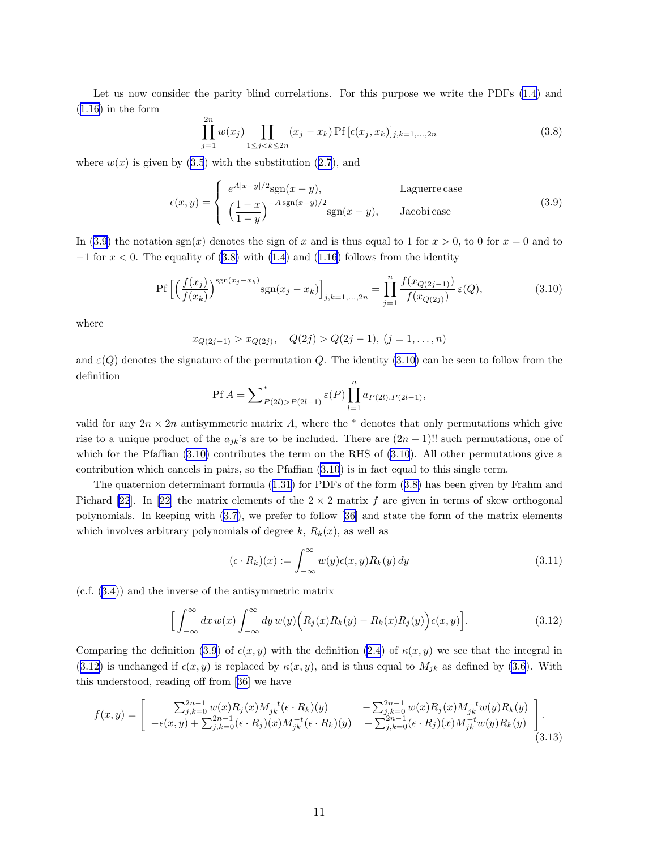<span id="page-10-0"></span>Let us now consider the parity blind correlations. For this purpose we write the PDFs [\(1.4](#page-1-0)) and  $(1.16)$  $(1.16)$  in the form

$$
\prod_{j=1}^{2n} w(x_j) \prod_{1 \le j < k \le 2n} (x_j - x_k) \text{Pf} \left[ \epsilon(x_j, x_k) \right]_{j,k=1,\dots,2n} \tag{3.8}
$$

where $w(x)$  is given by ([3.5](#page-9-0)) with the substitution ([2.7](#page-7-0)), and

$$
\epsilon(x,y) = \begin{cases} e^{A|x-y|/2} \text{sgn}(x-y), & \text{Laguerre case} \\ \left(\frac{1-x}{1-y}\right)^{-A \text{ sgn}(x-y)/2} \text{sgn}(x-y), & \text{Jacobi case} \end{cases}
$$
(3.9)

In (3.9) the notation sgn(x) denotes the sign of x and is thus equal to 1 for  $x > 0$ , to 0 for  $x = 0$  and to  $-1$ for  $x < 0$ . The equality of (3.8) with [\(1.4](#page-1-0)) and ([1.16](#page-3-0)) follows from the identity

$$
\Pr\left[\left(\frac{f(x_j)}{f(x_k)}\right)^{\text{sgn}(x_j - x_k)} \text{sgn}(x_j - x_k)\right]_{j,k=1,...,2n} = \prod_{j=1}^n \frac{f(x_{Q(2j-1)})}{f(x_{Q(2j)})} \varepsilon(Q),\tag{3.10}
$$

where

$$
x_{Q(2j-1)} > x_{Q(2j)}, \quad Q(2j) > Q(2j-1), \ (j = 1, ..., n)
$$

and  $\varepsilon(Q)$  denotes the signature of the permutation Q. The identity (3.10) can be seen to follow from the definition

$$
Pf A = \sum_{P(2l) > P(2l-1)}^{*} \varepsilon(P) \prod_{l=1}^{n} a_{P(2l), P(2l-1)},
$$

valid for any  $2n \times 2n$  antisymmetric matrix A, where the  $*$  denotes that only permutations which give rise to a unique product of the  $a_{jk}$ 's are to be included. There are  $(2n-1)!!$  such permutations, one of which for the Pfaffian (3.10) contributes the term on the RHS of (3.10). All other permutations give a contribution which cancels in pairs, so the Pfaffian (3.10) is in fact equal to this single term.

The quaternion determinant formula([1.31\)](#page-5-0) for PDFs of the form (3.8) has been given by Frahm and Pichard [\[22](#page-46-0)].In [[22\]](#page-46-0) the matrix elements of the  $2 \times 2$  matrix f are given in terms of skew orthogonal polynomials. In keeping with [\(3.7](#page-9-0)), we prefer to follow [\[36](#page-46-0)] and state the form of the matrix elements which involves arbitrary polynomials of degree  $k, R_k(x)$ , as well as

$$
(\epsilon \cdot R_k)(x) := \int_{-\infty}^{\infty} w(y)\epsilon(x, y)R_k(y) \, dy \tag{3.11}
$$

(c.f.([3.4\)](#page-9-0)) and the inverse of the antisymmetric matrix

$$
\Big[\int_{-\infty}^{\infty} dx w(x) \int_{-\infty}^{\infty} dy w(y) \Big(R_j(x)R_k(y) - R_k(x)R_j(y)\Big) \epsilon(x,y)\Big].
$$
\n(3.12)

Comparing the definition (3.9) of  $\epsilon(x, y)$  with the definition [\(2.4](#page-6-0)) of  $\kappa(x, y)$  we see that the integral in (3.12) is unchanged if  $\epsilon(x, y)$  is replaced by  $\kappa(x, y)$ , and is thus equal to  $M_{jk}$  as defined by [\(3.6](#page-9-0)). With this understood, reading off from [\[36](#page-46-0)] we have

$$
f(x,y) = \begin{bmatrix} \sum_{j,k=0}^{2n-1} w(x) R_j(x) M_{jk}^{-t} (\epsilon \cdot R_k)(y) & -\sum_{j,k=0}^{2n-1} w(x) R_j(x) M_{jk}^{-t} w(y) R_k(y) \\ -\epsilon(x,y) + \sum_{j,k=0}^{2n-1} (\epsilon \cdot R_j)(x) M_{jk}^{-t} (\epsilon \cdot R_k)(y) & -\sum_{j,k=0}^{2n-1} (\epsilon \cdot R_j)(x) M_{jk}^{-t} w(y) R_k(y) \end{bmatrix} .
$$
\n(3.13)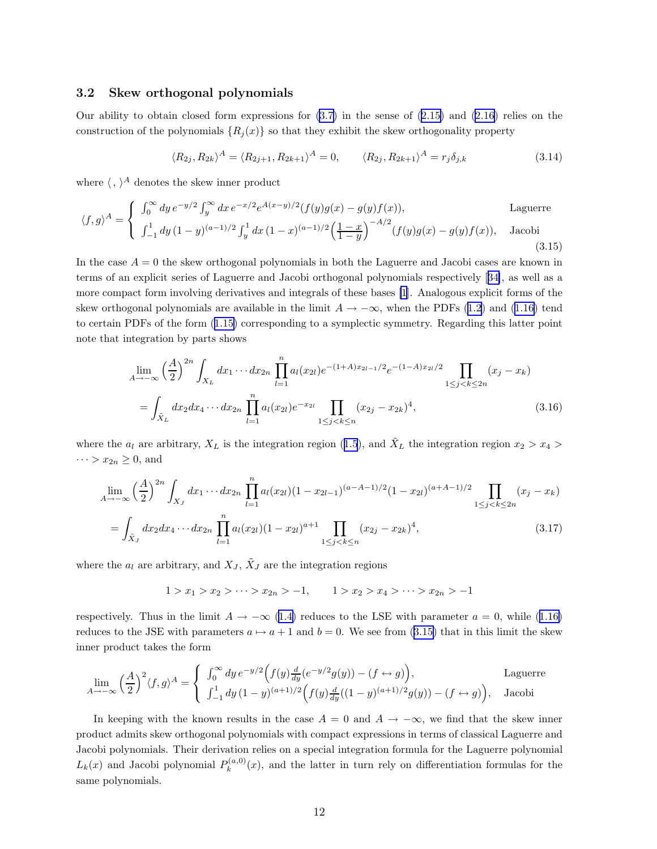#### <span id="page-11-0"></span>3.2 Skew orthogonal polynomials

Ourability to obtain closed form expressions for  $(3.7)$  in the sense of  $(2.15)$  $(2.15)$  and  $(2.16)$  relies on the construction of the polynomials  ${R_i(x)}$  so that they exhibit the skew orthogonality property

$$
\langle R_{2j}, R_{2k} \rangle^A = \langle R_{2j+1}, R_{2k+1} \rangle^A = 0, \qquad \langle R_{2j}, R_{2k+1} \rangle^A = r_j \delta_{j,k} \tag{3.14}
$$

where  $\langle , \rangle^A$  denotes the skew inner product

$$
\langle f, g \rangle^{A} = \begin{cases} \int_{0}^{\infty} dy \, e^{-y/2} \int_{y}^{\infty} dx \, e^{-x/2} e^{A(x-y)/2} (f(y)g(x) - g(y)f(x)), & \text{Laguerre} \\ \int_{-1}^{1} dy \, (1-y)^{(a-1)/2} \int_{y}^{1} dx \, (1-x)^{(a-1)/2} \left(\frac{1-x}{1-y}\right)^{-A/2} (f(y)g(x) - g(y)f(x)), & \text{Jacobi} \end{cases}
$$
\n(3.15)

In the case  $A = 0$  the skew orthogonal polynomials in both the Laguerre and Jacobi cases are known in terms of an explicit series of Laguerre and Jacobi orthogonal polynomials respectively[[34\]](#page-46-0), as well as a more compact form involving derivatives and integrals of these bases [\[1](#page-45-0)]. Analogous explicit forms of the skeworthogonal polynomials are available in the limit  $A \to -\infty$ , when the PDFs [\(1.2\)](#page-0-0) and ([1.16\)](#page-3-0) tend to certain PDFs of the form([1.15\)](#page-2-0) corresponding to a symplectic symmetry. Regarding this latter point note that integration by parts shows

$$
\lim_{A \to -\infty} \left(\frac{A}{2}\right)^{2n} \int_{X_L} dx_1 \cdots dx_{2n} \prod_{l=1}^n a_l(x_{2l}) e^{-(1+A)x_{2l-1}/2} e^{-(1-A)x_{2l}/2} \prod_{1 \le j < k \le 2n} (x_j - x_k)
$$
\n
$$
= \int_{\tilde{X}_L} dx_2 dx_4 \cdots dx_{2n} \prod_{l=1}^n a_l(x_{2l}) e^{-x_{2l}} \prod_{1 \le j < k \le n} (x_{2j} - x_{2k})^4,\tag{3.16}
$$

wherethe  $a_l$  are arbitrary,  $X_L$  is the integration region ([1.5](#page-1-0)), and  $\tilde{X}_L$  the integration region  $x_2 > x_4 >$  $\cdots > x_{2n} \geq 0$ , and

$$
\lim_{A \to -\infty} \left(\frac{A}{2}\right)^{2n} \int_{X_J} dx_1 \cdots dx_{2n} \prod_{l=1}^n a_l(x_{2l})(1 - x_{2l-1})^{(a-A-1)/2} (1 - x_{2l})^{(a+A-1)/2} \prod_{1 \le j < k \le 2n} (x_j - x_k)
$$
\n
$$
= \int_{\tilde{X}_J} dx_2 dx_4 \cdots dx_{2n} \prod_{l=1}^n a_l(x_{2l})(1 - x_{2l})^{a+1} \prod_{1 \le j < k \le n} (x_{2j} - x_{2k})^4,\tag{3.17}
$$

where the  $a_l$  are arbitrary, and  $X_J$ ,  $\tilde{X}_J$  are the integration regions

$$
1 > x_1 > x_2 > \cdots > x_{2n} > -1, \qquad 1 > x_2 > x_4 > \cdots > x_{2n} > -1
$$

respectively.Thus in the limit  $A \to -\infty$  ([1.4\)](#page-1-0) reduces to the LSE with parameter  $a = 0$ , while ([1.16\)](#page-3-0) reduces to the JSE with parameters  $a \mapsto a + 1$  and  $b = 0$ . We see from (3.15) that in this limit the skew inner product takes the form

$$
\lim_{A \to -\infty} \left(\frac{A}{2}\right)^2 \langle f, g \rangle^A = \begin{cases} \int_0^\infty dy \, e^{-y/2} \Big( f(y) \frac{d}{dy} (e^{-y/2} g(y)) - (f \leftrightarrow g) \Big), & \text{Laguerre} \\ \int_{-1}^1 dy \, (1-y)^{(a+1)/2} \Big( f(y) \frac{d}{dy} ((1-y)^{(a+1)/2} g(y)) - (f \leftrightarrow g) \Big), & \text{Jacobi} \end{cases}
$$

In keeping with the known results in the case  $A = 0$  and  $A \rightarrow -\infty$ , we find that the skew inner product admits skew orthogonal polynomials with compact expressions in terms of classical Laguerre and Jacobi polynomials. Their derivation relies on a special integration formula for the Laguerre polynomial  $L_k(x)$  and Jacobi polynomial  $P_k^{(a,0)}$  $k_k^{(a,0)}(x)$ , and the latter in turn rely on differentiation formulas for the same polynomials.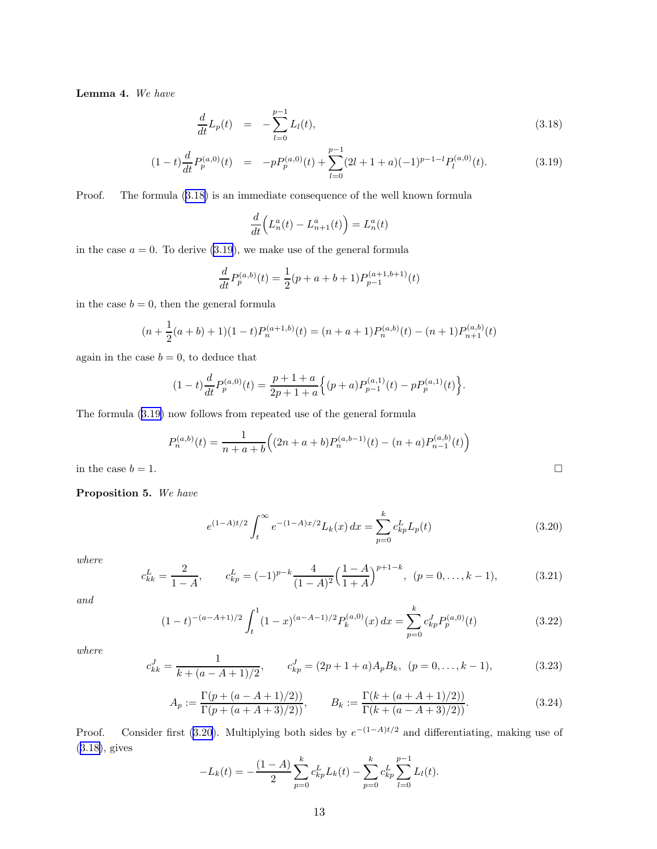<span id="page-12-0"></span>Lemma 4. We have

$$
\frac{d}{dt}L_p(t) = -\sum_{l=0}^{p-1} L_l(t), \qquad (3.18)
$$

$$
(1-t)\frac{d}{dt}P_p^{(a,0)}(t) = -pP_p^{(a,0)}(t) + \sum_{l=0}^{p-1} (2l+1+a)(-1)^{p-1-l}P_l^{(a,0)}(t).
$$
 (3.19)

Proof. The formula (3.18) is an immediate consequence of the well known formula

$$
\frac{d}{dt}\Big(L_n^a(t) - L_{n+1}^a(t)\Big) = L_n^a(t)
$$

in the case  $a = 0$ . To derive  $(3.19)$ , we make use of the general formula

$$
\frac{d}{dt}P_p^{(a,b)}(t) = \frac{1}{2}(p+a+b+1)P_{p-1}^{(a+1,b+1)}(t)
$$

in the case  $b = 0$ , then the general formula

$$
(n + \frac{1}{2}(a+b) + 1)(1-t)P_n^{(a+1,b)}(t) = (n + a + 1)P_n^{(a,b)}(t) - (n + 1)P_{n+1}^{(a,b)}(t)
$$

again in the case  $b = 0$ , to deduce that

$$
(1-t)\frac{d}{dt}P_p^{(a,0)}(t) = \frac{p+1+a}{2p+1+a} \Big\{ (p+a)P_{p-1}^{(a,1)}(t) - pP_p^{(a,1)}(t) \Big\}.
$$

The formula (3.19) now follows from repeated use of the general formula

$$
P_n^{(a,b)}(t) = \frac{1}{n+a+b} \Big( (2n+a+b) P_n^{(a,b-1)}(t) - (n+a) P_{n-1}^{(a,b)}(t) \Big)
$$

in the case  $b = 1$ .

Proposition 5. We have

$$
e^{(1-A)t/2} \int_{t}^{\infty} e^{-(1-A)x/2} L_k(x) dx = \sum_{p=0}^{k} c_{kp}^{L} L_p(t)
$$
 (3.20)

where

$$
c_{kk}^L = \frac{2}{1-A}, \qquad c_{kp}^L = (-1)^{p-k} \frac{4}{(1-A)^2} \left(\frac{1-A}{1+A}\right)^{p+1-k}, \ (p = 0, \dots, k-1), \tag{3.21}
$$

and

$$
(1-t)^{-(a-A+1)/2} \int_{t}^{1} (1-x)^{(a-A-1)/2} P_{k}^{(a,0)}(x) dx = \sum_{p=0}^{k} c_{kp}^{J} P_{p}^{(a,0)}(t)
$$
(3.22)

where

$$
c_{kk}^J = \frac{1}{k + (a - A + 1)/2}, \qquad c_{kp}^J = (2p + 1 + a)A_p B_k, \ (p = 0, \dots, k - 1), \tag{3.23}
$$

$$
A_p := \frac{\Gamma(p + (a - A + 1)/2))}{\Gamma(p + (a + A + 3)/2)}, \qquad B_k := \frac{\Gamma(k + (a + A + 1)/2))}{\Gamma(k + (a - A + 3)/2)}.
$$
 (3.24)

Proof. Consider first (3.20). Multiplying both sides by  $e^{-(1-A)t/2}$  and differentiating, making use of (3.18), gives

$$
-L_k(t) = -\frac{(1-A)}{2} \sum_{p=0}^k c_{kp}^L L_k(t) - \sum_{p=0}^k c_{kp}^L \sum_{l=0}^{p-1} L_l(t).
$$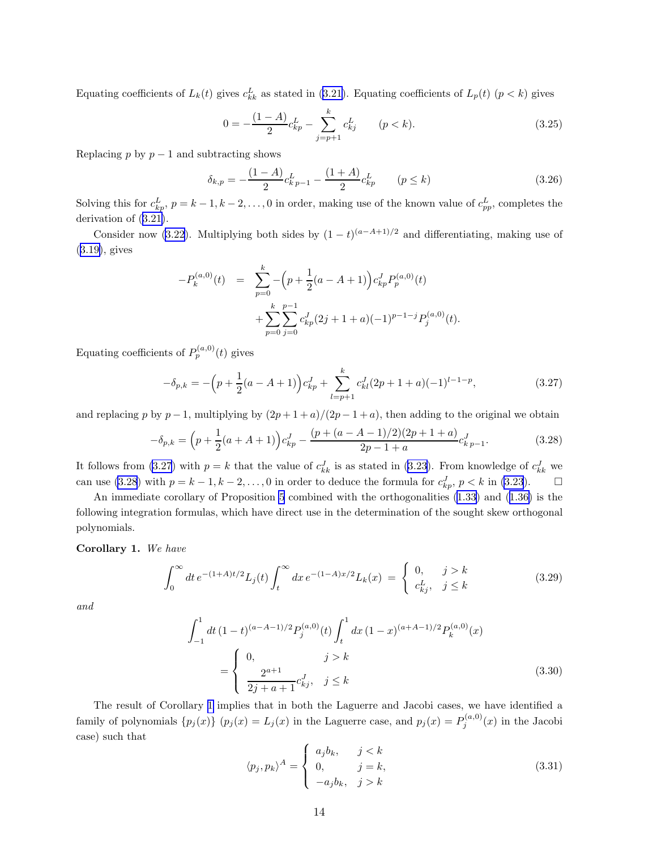<span id="page-13-0"></span>Equatingcoefficients of  $L_k(t)$  gives  $c_{kk}^L$  as stated in ([3.21\)](#page-12-0). Equating coefficients of  $L_p(t)$   $(p < k)$  gives

$$
0 = -\frac{(1-A)}{2}c_{kp}^L - \sum_{j=p+1}^k c_{kj}^L \qquad (p < k). \tag{3.25}
$$

Replacing p by  $p-1$  and subtracting shows

$$
\delta_{k,p} = -\frac{(1-A)}{2}c_{kp-1}^L - \frac{(1+A)}{2}c_{kp}^L \qquad (p \le k)
$$
\n(3.26)

Solving this for  $c_{kp}^L$ ,  $p = k - 1, k - 2, \ldots, 0$  in order, making use of the known value of  $c_{pp}^L$ , completes the derivation of([3.21\)](#page-12-0).

Consider now [\(3.22](#page-12-0)). Multiplying both sides by  $(1-t)^{(a-A+1)/2}$  and differentiating, making use of ([3.19\)](#page-12-0), gives

$$
-P_k^{(a,0)}(t) = \sum_{p=0}^k -\left(p + \frac{1}{2}(a - A + 1)\right) c_{kp}^J P_p^{(a,0)}(t) + \sum_{p=0}^k \sum_{j=0}^{p-1} c_{kp}^J (2j + 1 + a)(-1)^{p-1-j} P_j^{(a,0)}(t).
$$

Equating coefficients of  $P_p^{(a,0)}(t)$  gives

$$
-\delta_{p,k} = -\left(p + \frac{1}{2}(a - A + 1)\right)c_{kp}^J + \sum_{l=p+1}^k c_{kl}^J (2p + 1 + a)(-1)^{l-1-p},\tag{3.27}
$$

and replacing p by  $p-1$ , multiplying by  $(2p+1+a)/(2p-1+a)$ , then adding to the original we obtain

$$
-\delta_{p,k} = \left(p + \frac{1}{2}(a+A+1)\right)c_{kp}^J - \frac{(p + (a-A-1)/2)(2p+1+a)}{2p-1+a}c_{kp-1}^J.
$$
\n(3.28)

It follows from (3.27) with  $p = k$  that the value of  $c_{kk}^J$  is as stated in [\(3.23](#page-12-0)). From knowledge of  $c_{kk}^J$  we can use (3.28) with  $p = k - 1, k - 2, \ldots, 0$  in order to deduce the formula for  $c_{kp}^J$ ,  $p < k$  in [\(3.23](#page-12-0)).  $\Box$ 

An immediate corollary of Proposition [5](#page-12-0) combined with the orthogonalities [\(1.33](#page-5-0)) and [\(1.36\)](#page-5-0) is the following integration formulas, which have direct use in the determination of the sought skew orthogonal polynomials.

#### Corollary 1. We have

$$
\int_0^\infty dt \, e^{-(1+A)t/2} L_j(t) \int_t^\infty dx \, e^{-(1-A)x/2} L_k(x) \ = \begin{cases} \ 0, & j > k \\ \ c_{kj}^L, & j \le k \end{cases} \tag{3.29}
$$

and

$$
\int_{-1}^{1} dt \, (1-t)^{(a-A-1)/2} P_j^{(a,0)}(t) \int_t^1 dx \, (1-x)^{(a+A-1)/2} P_k^{(a,0)}(x)
$$
\n
$$
= \begin{cases}\n0, & j > k \\
\frac{2^{a+1}}{2j+a+1} c_{kj}^J, & j \le k\n\end{cases}
$$
\n(3.30)

The result of Corollary 1 implies that in both the Laguerre and Jacobi cases, we have identified a family of polynomials  $\{p_j(x)\}\ (p_j(x) = L_j(x)$  in the Laguerre case, and  $p_j(x) = P_j^{(a,0)}(x)$  in the Jacobi case) such that

$$
\langle p_j, p_k \rangle^A = \begin{cases} a_j b_k, & j < k \\ 0, & j = k, \\ -a_j b_k, & j > k \end{cases}
$$
 (3.31)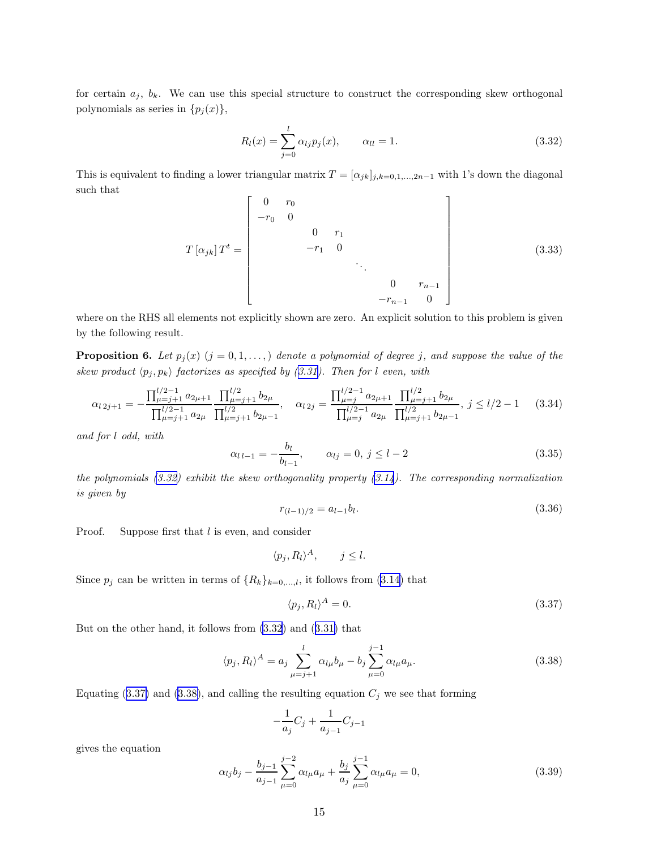<span id="page-14-0"></span>for certain  $a_j$ ,  $b_k$ . We can use this special structure to construct the corresponding skew orthogonal polynomials as series in  $\{p_j(x)\},\$ 

$$
R_l(x) = \sum_{j=0}^{l} \alpha_{lj} p_j(x), \qquad \alpha_{ll} = 1.
$$
 (3.32)

This is equivalent to finding a lower triangular matrix  $T = [\alpha_{jk}]_{j,k=0,1,\dots,2n-1}$  with 1's down the diagonal such that E.

$$
T[\alpha_{jk}]T^{t} = \begin{bmatrix} 0 & r_0 & & & & & \\ -r_0 & 0 & & & & & \\ & & 0 & r_1 & & & \\ & & -r_1 & 0 & & & \\ & & & \ddots & & & \\ & & & & 0 & r_{n-1} & \\ & & & & -r_{n-1} & 0 \end{bmatrix}
$$
(3.33)

where on the RHS all elements not explicitly shown are zero. An explicit solution to this problem is given by the following result.

**Proposition 6.** Let  $p_j(x)$   $(j = 0, 1, \ldots)$  denote a polynomial of degree j, and suppose the value of the skew product  $\langle p_j, p_k \rangle$  factorizes as specified by ([3.31\)](#page-13-0). Then for l even, with

$$
\alpha_{l\,2j+1} = -\frac{\prod_{\mu=j+1}^{l/2-1} a_{2\mu+1}}{\prod_{\mu=j+1}^{l/2} a_{2\mu}} \frac{\prod_{\mu=j+1}^{l/2} b_{2\mu}}{\prod_{\mu=j+1}^{l/2} b_{2\mu-1}}, \quad \alpha_{l\,2j} = \frac{\prod_{\mu=j}^{l/2-1} a_{2\mu+1}}{\prod_{\mu=j}^{l/2-1} a_{2\mu}} \frac{\prod_{\mu=j+1}^{l/2} b_{2\mu}}{\prod_{\mu=j+1}^{l/2} b_{2\mu-1}}, \quad j \le l/2 - 1 \tag{3.34}
$$

and for l odd, with

$$
\alpha_{l\,l-1} = -\frac{b_l}{b_{l-1}}, \qquad \alpha_{lj} = 0, \ j \le l-2 \tag{3.35}
$$

the polynomials  $(3.32)$  exhibit the skew orthogonality property  $(3.14)$  $(3.14)$ . The corresponding normalization is given by

$$
r_{(l-1)/2} = a_{l-1}b_l. \tag{3.36}
$$

Proof. Suppose first that l is even, and consider

$$
\langle p_j, R_l \rangle^A, \qquad j \leq l.
$$

Since $p_j$  can be written in terms of  $\{R_k\}_{k=0,\dots,l}$ , it follows from ([3.14\)](#page-11-0) that

$$
\langle p_j, R_l \rangle^A = 0. \tag{3.37}
$$

But on the other hand, it follows from (3.32) and([3.31\)](#page-13-0) that

$$
\langle p_j, R_l \rangle^A = a_j \sum_{\mu=j+1}^l \alpha_{l\mu} b_{\mu} - b_j \sum_{\mu=0}^{j-1} \alpha_{l\mu} a_{\mu}.
$$
 (3.38)

Equating (3.37) and (3.38), and calling the resulting equation  $C_j$  we see that forming

$$
-\frac{1}{a_j}C_j + \frac{1}{a_{j-1}}C_{j-1}
$$

gives the equation

$$
\alpha_{lj}b_j - \frac{b_{j-1}}{a_{j-1}} \sum_{\mu=0}^{j-2} \alpha_{l\mu} a_{\mu} + \frac{b_j}{a_j} \sum_{\mu=0}^{j-1} \alpha_{l\mu} a_{\mu} = 0, \qquad (3.39)
$$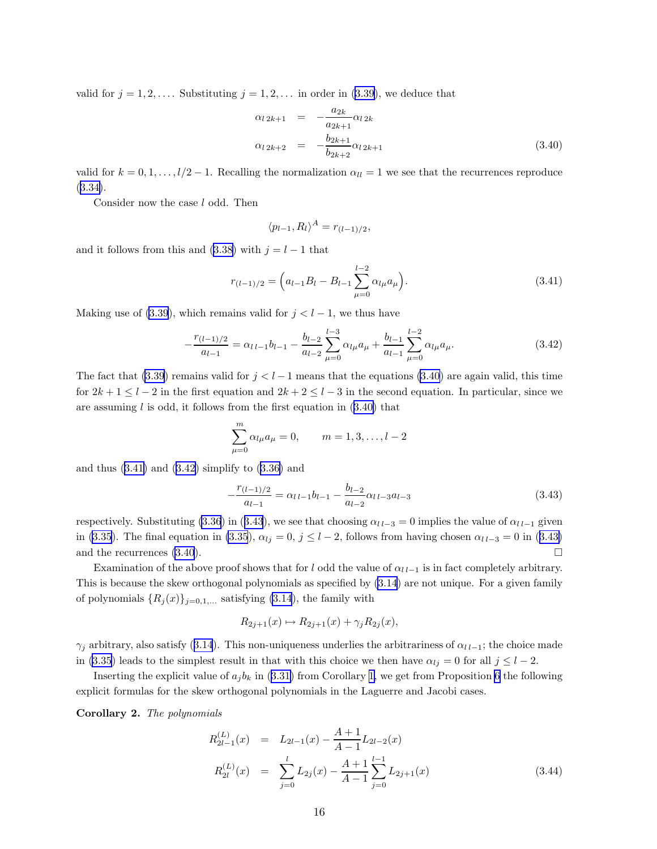<span id="page-15-0"></span>valid for  $j = 1, 2, \ldots$  Substituting  $j = 1, 2, \ldots$  in order in [\(3.39\)](#page-14-0), we deduce that

$$
\alpha_{l\,2k+1} = -\frac{a_{2k}}{a_{2k+1}} \alpha_{l\,2k}
$$
  
\n
$$
\alpha_{l\,2k+2} = -\frac{b_{2k+1}}{b_{2k+2}} \alpha_{l\,2k+1}
$$
\n(3.40)

valid for  $k = 0, 1, \ldots, l/2 - 1$ . Recalling the normalization  $\alpha_{ll} = 1$  we see that the recurrences reproduce ([3.34\)](#page-14-0).

Consider now the case l odd. Then

$$
\langle p_{l-1}, R_l \rangle^A = r_{(l-1)/2},
$$

and it follows from this and [\(3.38\)](#page-14-0) with  $j = l - 1$  that

$$
r_{(l-1)/2} = \left(a_{l-1}B_l - B_{l-1}\sum_{\mu=0}^{l-2} \alpha_{l\mu} a_{\mu}\right).
$$
 (3.41)

Making use of [\(3.39](#page-14-0)), which remains valid for  $j < l-1$ , we thus have

$$
-\frac{r_{(l-1)/2}}{a_{l-1}} = \alpha_{l\,l-1}b_{l-1} - \frac{b_{l-2}}{a_{l-2}}\sum_{\mu=0}^{l-3}\alpha_{l\mu}a_{\mu} + \frac{b_{l-1}}{a_{l-1}}\sum_{\mu=0}^{l-2}\alpha_{l\mu}a_{\mu}.
$$
\n(3.42)

The fact that [\(3.39](#page-14-0)) remains valid for  $j < l-1$  means that the equations (3.40) are again valid, this time for  $2k + 1 \leq l - 2$  in the first equation and  $2k + 2 \leq l - 3$  in the second equation. In particular, since we are assuming  $l$  is odd, it follows from the first equation in  $(3.40)$  that

$$
\sum_{\mu=0}^{m} \alpha_{l\mu} a_{\mu} = 0, \qquad m = 1, 3, \dots, l-2
$$

andthus  $(3.41)$  and  $(3.42)$  simplify to  $(3.36)$  $(3.36)$  and

$$
-\frac{r_{(l-1)/2}}{a_{l-1}} = \alpha_{l\,l-1}b_{l-1} - \frac{b_{l-2}}{a_{l-2}}\alpha_{l\,l-3}a_{l-3} \tag{3.43}
$$

respectively. Substituting [\(3.36](#page-14-0)) in (3.43), we see that choosing  $\alpha_{l l-3} = 0$  implies the value of  $\alpha_{l l-1}$  given in [\(3.35](#page-14-0)). The final equation in (3.35),  $\alpha_{lj} = 0$ ,  $j \le l-2$ , follows from having chosen  $\alpha_{l,l-3} = 0$  in (3.43) and the recurrences  $(3.40)$ .

Examination of the above proof shows that for l odd the value of  $\alpha_{l l-1}$  is in fact completely arbitrary. This is because the skew orthogonal polynomials as specified by [\(3.14](#page-11-0)) are not unique. For a given family of polynomials  $\{R_j(x)\}_{j=0,1,...}$  satisfying [\(3.14](#page-11-0)), the family with

$$
R_{2j+1}(x) \mapsto R_{2j+1}(x) + \gamma_j R_{2j}(x),
$$

 $\gamma_j$ arbitrary, also satisfy ([3.14](#page-11-0)). This non-uniqueness underlies the arbitrariness of  $\alpha_{l l-1}$ ; the choice made in [\(3.35](#page-14-0)) leads to the simplest result in that with this choice we then have  $\alpha_{lj} = 0$  for all  $j \leq l - 2$ .

Insertingthe explicit value of  $a_j b_k$  in ([3.31\)](#page-13-0) from Corollary [1,](#page-13-0) we get from Proposition [6](#page-14-0) the following explicit formulas for the skew orthogonal polynomials in the Laguerre and Jacobi cases.

Corollary 2. The polynomials

$$
R_{2l-1}^{(L)}(x) = L_{2l-1}(x) - \frac{A+1}{A-1}L_{2l-2}(x)
$$
  
\n
$$
R_{2l}^{(L)}(x) = \sum_{j=0}^{l} L_{2j}(x) - \frac{A+1}{A-1} \sum_{j=0}^{l-1} L_{2j+1}(x)
$$
\n(3.44)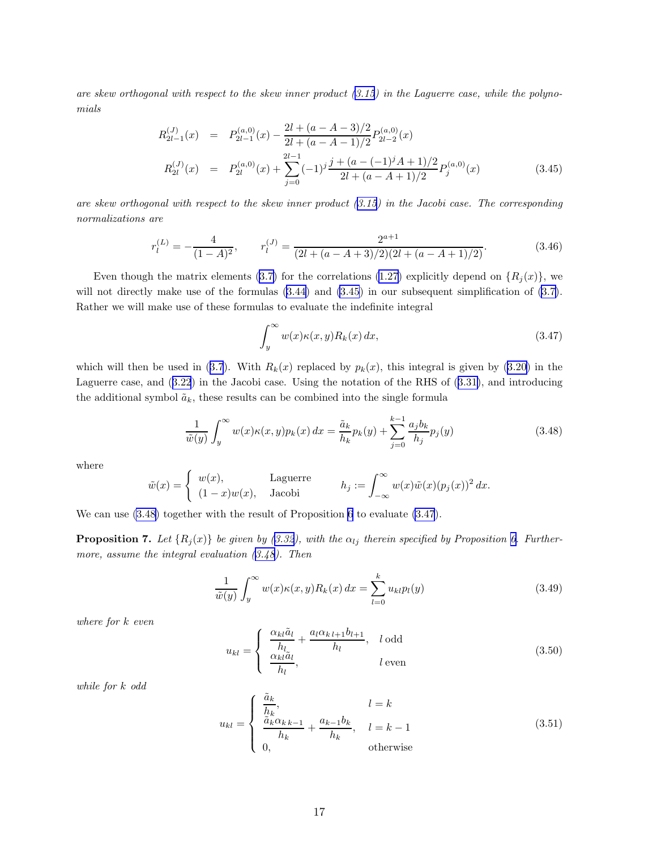<span id="page-16-0"></span>are skew orthogonal with respect to the skew inner product  $(3.15)$  $(3.15)$  in the Laguerre case, while the polynomials

$$
R_{2l-1}^{(J)}(x) = P_{2l-1}^{(a,0)}(x) - \frac{2l + (a - A - 3)/2}{2l + (a - A - 1)/2} P_{2l-2}^{(a,0)}(x)
$$
  
\n
$$
R_{2l}^{(J)}(x) = P_{2l}^{(a,0)}(x) + \sum_{j=0}^{2l-1} (-1)^j \frac{j + (a - (-1)^j A + 1)/2}{2l + (a - A + 1)/2} P_j^{(a,0)}(x)
$$
\n(3.45)

are skew orthogonal with respect to the skew inner product  $(3.15)$  $(3.15)$  $(3.15)$  in the Jacobi case. The corresponding normalizations are

$$
r_l^{(L)} = -\frac{4}{(1-A)^2}, \qquad r_l^{(J)} = \frac{2^{a+1}}{(2l + (a-A+3)/2)(2l + (a-A+1)/2)}.\tag{3.46}
$$

Eventhough the matrix elements ([3.7\)](#page-9-0) for the correlations [\(1.27](#page-4-0)) explicitly depend on  $\{R_i(x)\}\$ , we will not directly make use of the formulas  $(3.44)$  and  $(3.45)$  in our subsequent simplification of  $(3.7)$ . Rather we will make use of these formulas to evaluate the indefinite integral

$$
\int_{y}^{\infty} w(x)\kappa(x,y)R_k(x) dx,
$$
\n(3.47)

whichwill then be used in ([3.7](#page-9-0)). With  $R_k(x)$  replaced by  $p_k(x)$ , this integral is given by [\(3.20\)](#page-12-0) in the Laguerre case, and([3.22](#page-12-0)) in the Jacobi case. Using the notation of the RHS of([3.31\)](#page-13-0), and introducing the additional symbol  $\tilde{a}_k$ , these results can be combined into the single formula

$$
\frac{1}{\tilde{w}(y)} \int_{y}^{\infty} w(x) \kappa(x, y) p_k(x) dx = \frac{\tilde{a}_k}{h_k} p_k(y) + \sum_{j=0}^{k-1} \frac{a_j b_k}{h_j} p_j(y)
$$
(3.48)

where

$$
\tilde{w}(x) = \begin{cases}\nw(x), & \text{Laguerre} \\
(1-x)w(x), & \text{Jacobi}\n\end{cases} \qquad h_j := \int_{-\infty}^{\infty} w(x)\tilde{w}(x)(p_j(x))^2 dx.
$$

We can use (3.48) together with the result of Proposition [6](#page-14-0) to evaluate (3.47).

**Proposition 7.** Let  $\{R_j(x)\}\$  be given by ([3.32\)](#page-14-0), with the  $\alpha_{lj}$  therein specified by Proposition [6.](#page-14-0) Furthermore, assume the integral evaluation  $(3.48)$ . Then

$$
\frac{1}{\tilde{w}(y)} \int_{y}^{\infty} w(x) \kappa(x, y) R_k(x) dx = \sum_{l=0}^{k} u_{kl} p_l(y)
$$
\n(3.49)

where for k even

$$
u_{kl} = \begin{cases} \frac{\alpha_{kl}\tilde{a}_l}{h_l} + \frac{a_l \alpha_{kll+1} b_{l+1}}{h_l}, & l \text{ odd} \\ \frac{\alpha_{kl}\tilde{a}_l}{h_l}, & l \text{ even} \end{cases}
$$
(3.50)

while for k odd

$$
u_{kl} = \begin{cases} \frac{\tilde{a}_k}{h_k}, & l = k\\ \frac{\tilde{a}_k \alpha_{k-k-1}}{h_k} + \frac{a_{k-1} b_k}{h_k}, & l = k - 1\\ 0, & \text{otherwise} \end{cases}
$$
(3.51)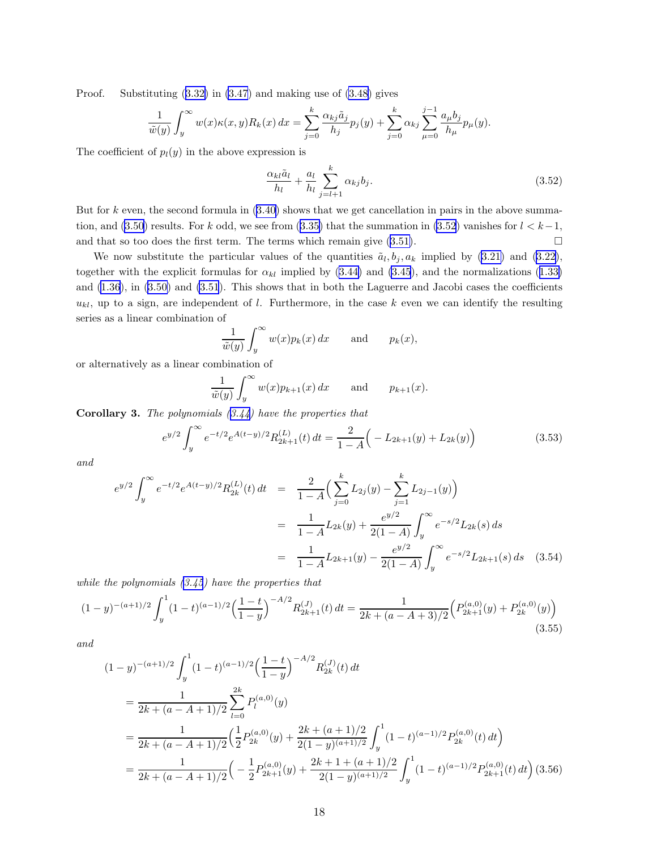<span id="page-17-0"></span>Proof. Substituting([3.32\)](#page-14-0) in [\(3.47](#page-16-0)) and making use of [\(3.48](#page-16-0)) gives

$$
\frac{1}{\tilde{w}(y)} \int_y^{\infty} w(x) \kappa(x, y) R_k(x) dx = \sum_{j=0}^k \frac{\alpha_{kj} \tilde{a}_j}{h_j} p_j(y) + \sum_{j=0}^k \alpha_{kj} \sum_{\mu=0}^{j-1} \frac{a_{\mu} b_j}{h_{\mu}} p_{\mu}(y).
$$

The coefficient of  $p_l(y)$  in the above expression is

$$
\frac{\alpha_{kl}\tilde{a}_l}{h_l} + \frac{a_l}{h_l} \sum_{j=l+1}^k \alpha_{kj} b_j.
$$
\n(3.52)

But for k even, the second formula in  $(3.40)$  shows that we get cancellation in pairs in the above summa-tion, and [\(3.50](#page-16-0))results. For k odd, we see from ([3.35\)](#page-14-0) that the summation in (3.52) vanishes for  $l < k-1$ , and that so too does the first term. The terms which remain give  $(3.51)$  $(3.51)$ .

Wenow substitute the particular values of the quantities  $\tilde{a}_l, b_j, a_k$  implied by ([3.21\)](#page-12-0) and [\(3.22\)](#page-12-0), togetherwith the explicit formulas for  $\alpha_{kl}$  implied by [\(3.44\)](#page-15-0) and [\(3.45](#page-16-0)), and the normalizations ([1.33\)](#page-5-0) and [\(1.36](#page-5-0)), in([3.50\)](#page-16-0) and [\(3.51](#page-16-0)). This shows that in both the Laguerre and Jacobi cases the coefficients  $u_{kl}$ , up to a sign, are independent of l. Furthermore, in the case k even we can identify the resulting series as a linear combination of

$$
\frac{1}{\tilde{w}(y)} \int_{y}^{\infty} w(x) p_k(x) dx \quad \text{and} \quad p_k(x),
$$

or alternatively as a linear combination of

$$
\frac{1}{\tilde{w}(y)} \int_y^\infty w(x) p_{k+1}(x) \, dx \qquad \text{and} \qquad p_{k+1}(x).
$$

**Corollary 3.** The polynomials  $(3.44)$  $(3.44)$  have the properties that

$$
e^{y/2} \int_{y}^{\infty} e^{-t/2} e^{A(t-y)/2} R_{2k+1}^{(L)}(t) dt = \frac{2}{1-A} \Big( -L_{2k+1}(y) + L_{2k}(y) \Big)
$$
(3.53)

and

$$
e^{y/2} \int_{y}^{\infty} e^{-t/2} e^{A(t-y)/2} R_{2k}^{(L)}(t) dt = \frac{2}{1-A} \Big( \sum_{j=0}^{k} L_{2j}(y) - \sum_{j=1}^{k} L_{2j-1}(y) \Big)
$$
  

$$
= \frac{1}{1-A} L_{2k}(y) + \frac{e^{y/2}}{2(1-A)} \int_{y}^{\infty} e^{-s/2} L_{2k}(s) ds
$$
  

$$
= \frac{1}{1-A} L_{2k+1}(y) - \frac{e^{y/2}}{2(1-A)} \int_{y}^{\infty} e^{-s/2} L_{2k+1}(s) ds \quad (3.54)
$$

while the polynomials  $(3.45)$  $(3.45)$  have the properties that

$$
(1-y)^{-(a+1)/2} \int_{y}^{1} (1-t)^{(a-1)/2} \left(\frac{1-t}{1-y}\right)^{-A/2} R_{2k+1}^{(J)}(t) dt = \frac{1}{2k + (a-A+3)/2} \left( P_{2k+1}^{(a,0)}(y) + P_{2k}^{(a,0)}(y) \right)
$$
(3.55)

and

$$
(1-y)^{-(a+1)/2} \int_{y}^{1} (1-t)^{(a-1)/2} \left(\frac{1-t}{1-y}\right)^{-A/2} R_{2k}^{(J)}(t) dt
$$
  
\n
$$
= \frac{1}{2k + (a-A+1)/2} \sum_{l=0}^{2k} P_{l}^{(a,0)}(y)
$$
  
\n
$$
= \frac{1}{2k + (a-A+1)/2} \left(\frac{1}{2} P_{2k}^{(a,0)}(y) + \frac{2k + (a+1)/2}{2(1-y)^{(a+1)/2}} \int_{y}^{1} (1-t)^{(a-1)/2} P_{2k}^{(a,0)}(t) dt\right)
$$
  
\n
$$
= \frac{1}{2k + (a-A+1)/2} \left(-\frac{1}{2} P_{2k+1}^{(a,0)}(y) + \frac{2k+1 + (a+1)/2}{2(1-y)^{(a+1)/2}} \int_{y}^{1} (1-t)^{(a-1)/2} P_{2k+1}^{(a,0)}(t) dt\right) (3.56)
$$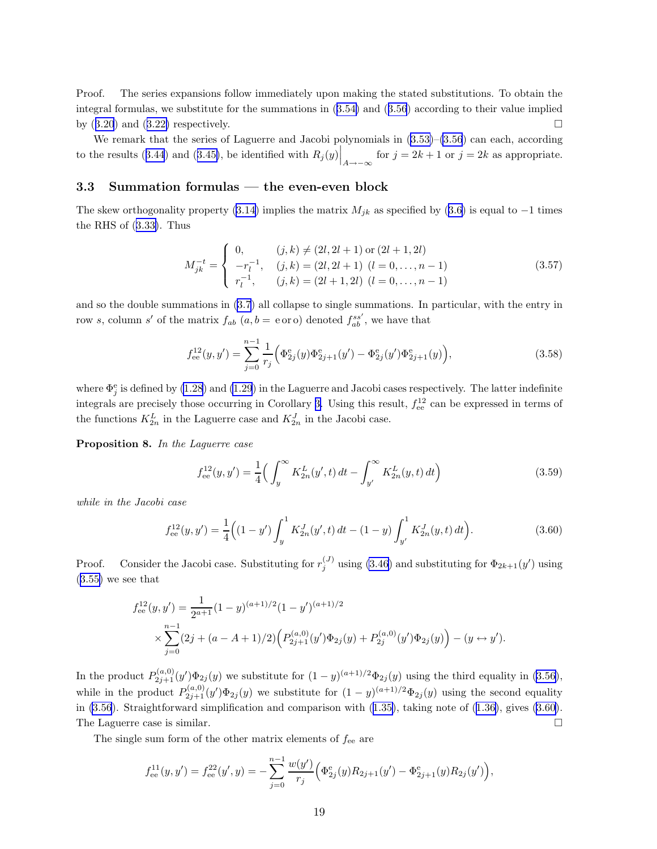<span id="page-18-0"></span>Proof. The series expansions follow immediately upon making the stated substitutions. To obtain the integral formulas, we substitute for the summations in([3.54\)](#page-17-0) and([3.56](#page-17-0)) according to their value implied by $(3.20)$  $(3.20)$  $(3.20)$  and  $(3.22)$  $(3.22)$  respectively.

Weremark that the series of Laguerre and Jacobi polynomials in  $(3.53)$  $(3.53)$ – $(3.56)$  $(3.56)$  can each, according tothe results ([3.44](#page-15-0)) and ([3.45\)](#page-16-0), be identified with  $R_j(y)\Big|_{A\to -\infty}$ for  $j = 2k + 1$  or  $j = 2k$  as appropriate.

### 3.3 Summation formulas — the even-even block

The skew orthogonality property [\(3.14](#page-11-0))implies the matrix  $M_{jk}$  as specified by ([3.6\)](#page-9-0) is equal to −1 times the RHS of([3.33\)](#page-14-0). Thus

$$
M_{jk}^{-t} = \begin{cases} 0, & (j,k) \neq (2l, 2l+1) \text{ or } (2l+1, 2l) \\ -r_l^{-1}, & (j,k) = (2l, 2l+1) \ (l=0, \ldots, n-1) \\ r_l^{-1}, & (j,k) = (2l+1, 2l) \ (l=0, \ldots, n-1) \end{cases}
$$
(3.57)

and so the double summations in [\(3.7](#page-9-0)) all collapse to single summations. In particular, with the entry in row s, column s' of the matrix  $f_{ab}$   $(a,b = e \text{ or } o)$  denoted  $f_{ab}^{ss'}$ , we have that

$$
f_{ee}^{12}(y, y') = \sum_{j=0}^{n-1} \frac{1}{r_j} \Big( \Phi_{2j}^{e}(y) \Phi_{2j+1}^{e}(y') - \Phi_{2j}^{e}(y') \Phi_{2j+1}^{e}(y) \Big), \tag{3.58}
$$

where  $\Phi_j^e$  is defined by [\(1.28](#page-4-0)) and [\(1.29](#page-5-0)) in the Laguerre and Jacobi cases respectively. The latter indefinite integrals are precisely those occurring in Corollary [3.](#page-17-0) Using this result,  $f_{ee}^{12}$  can be expressed in terms of the functions  $K_{2n}^L$  in the Laguerre case and  $K_{2n}^J$  in the Jacobi case.

Proposition 8. In the Laguerre case

$$
f_{ee}^{12}(y, y') = \frac{1}{4} \left( \int_{y}^{\infty} K_{2n}^{L}(y', t) dt - \int_{y'}^{\infty} K_{2n}^{L}(y, t) dt \right)
$$
(3.59)

while in the Jacobi case

$$
f_{ee}^{12}(y, y') = \frac{1}{4} \Big( (1 - y') \int_{y}^{1} K_{2n}^{J}(y', t) dt - (1 - y) \int_{y'}^{1} K_{2n}^{J}(y, t) dt \Big). \tag{3.60}
$$

Proof. Consider the Jacobi case. Substituting for  $r_j^{(J)}$  using [\(3.46](#page-16-0)) and substituting for  $\Phi_{2k+1}(y')$  using  $(3.55)$  $(3.55)$  we see that

$$
f_{ee}^{12}(y, y') = \frac{1}{2^{a+1}} (1-y)^{(a+1)/2} (1-y')^{(a+1)/2}
$$
  
 
$$
\times \sum_{j=0}^{n-1} (2j + (a-A+1)/2) \Big( P_{2j+1}^{(a,0)}(y') \Phi_{2j}(y) + P_{2j}^{(a,0)}(y') \Phi_{2j}(y) \Big) - (y \leftrightarrow y').
$$

In the product  $P_{2j+1}^{(a,0)}(y')\Phi_{2j}(y)$  we substitute for  $(1-y)^{(a+1)/2}\Phi_{2j}(y)$  using the third equality in [\(3.56\)](#page-17-0), while in the product  $P_{2j+1}^{(a,0)}(y)\Phi_{2j}(y)$  we substitute for  $(1-y)^{(a+1)/2}\Phi_{2j}(y)$  using the second equality in [\(3.56](#page-17-0)). Straightforward simplification and comparison with([1.35\)](#page-5-0), taking note of([1.36\)](#page-5-0), gives (3.60). The Laguerre case is similar.

The single sum form of the other matrix elements of  $f_{ee}$  are

$$
f_{ee}^{11}(y, y') = f_{ee}^{22}(y', y) = -\sum_{j=0}^{n-1} \frac{w(y')}{r_j} \Big( \Phi_{2j}^{e}(y) R_{2j+1}(y') - \Phi_{2j+1}^{e}(y) R_{2j}(y') \Big),
$$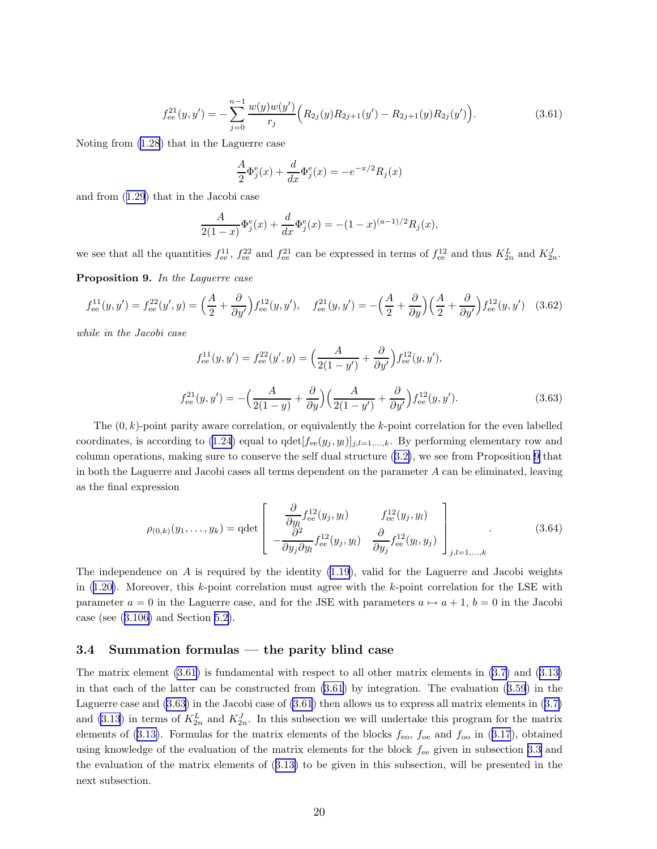$$
f_{ee}^{21}(y, y') = -\sum_{j=0}^{n-1} \frac{w(y)w(y')}{r_j} \Big( R_{2j}(y) R_{2j+1}(y') - R_{2j+1}(y) R_{2j}(y') \Big). \tag{3.61}
$$

<span id="page-19-0"></span>Noting from [\(1.28](#page-4-0)) that in the Laguerre case

$$
\frac{A}{2}\Phi_j^{\text{e}}(x) + \frac{d}{dx}\Phi_j^{\text{e}}(x) = -e^{-x/2}R_j(x)
$$

and from([1.29](#page-5-0)) that in the Jacobi case

$$
\frac{A}{2(1-x)}\Phi_j^e(x) + \frac{d}{dx}\Phi_j^e(x) = -(1-x)^{(a-1)/2}R_j(x),
$$

we see that all the quantities  $f_{\text{ee}}^{11}$ ,  $f_{\text{ee}}^{22}$  and  $f_{\text{ee}}^{21}$  can be expressed in terms of  $f_{\text{ee}}^{12}$  and thus  $K_{2n}^L$  and  $K_{2n}^J$ .

Proposition 9. In the Laguerre case

$$
f_{ee}^{11}(y, y') = f_{ee}^{22}(y', y) = \left(\frac{A}{2} + \frac{\partial}{\partial y'}\right) f_{ee}^{12}(y, y'), \quad f_{ee}^{21}(y, y') = -\left(\frac{A}{2} + \frac{\partial}{\partial y}\right) \left(\frac{A}{2} + \frac{\partial}{\partial y'}\right) f_{ee}^{12}(y, y') \quad (3.62)
$$

while in the Jacobi case

$$
f_{ee}^{11}(y, y') = f_{ee}^{22}(y', y) = \left(\frac{A}{2(1 - y')} + \frac{\partial}{\partial y'}\right) f_{ee}^{12}(y, y'),
$$
  

$$
f_{ee}^{21}(y, y') = -\left(\frac{A}{2(1 - y)} + \frac{\partial}{\partial y}\right) \left(\frac{A}{2(1 - y')} + \frac{\partial}{\partial y'}\right) f_{ee}^{12}(y, y').
$$
 (3.63)

The  $(0, k)$ -point parity aware correlation, or equivalently the k-point correlation for the even labelled coordinates, is according to [\(1.24](#page-4-0)) equal to  $qdet[f_{ee}(y_j, y_l)]_{j,l=1,\ldots,k}$ . By performing elementary row and column operations, making sure to conserve the self dual structure([3.2\)](#page-9-0), we see from Proposition 9 that in both the Laguerre and Jacobi cases all terms dependent on the parameter  $A$  can be eliminated, leaving as the final expression

$$
\rho_{(0,k)}(y_1,\ldots,y_k) = \det \begin{bmatrix} \frac{\partial}{\partial y_i} f_{\text{ee}}^{12}(y_j, y_l) & f_{\text{ee}}^{12}(y_j, y_l) \\ -\frac{\partial^2}{\partial y_j \partial y_l} f_{\text{ee}}^{12}(y_j, y_l) & \frac{\partial}{\partial y_j} f_{\text{ee}}^{12}(y_l, y_j) \end{bmatrix}_{j,l=1,\ldots,k} (3.64)
$$

The independence on  $A$  is required by the identity  $(1.19)$ , valid for the Laguerre and Jacobi weights in $(1.20)$  $(1.20)$ . Moreover, this k-point correlation must agree with the k-point correlation for the LSE with parameter  $a = 0$  in the Laguerre case, and for the JSE with parameters  $a \mapsto a + 1$ ,  $b = 0$  in the Jacobi case (see([3.106\)](#page-24-0) and Section [5.2\)](#page-37-0).

### 3.4 Summation formulas — the parity blind case

The matrix element (3.61) is fundamental with respect to all other matrix elements in [\(3.7\)](#page-9-0) and([3.13\)](#page-10-0) in that each of the latter can be constructed from (3.61) by integration. The evaluation([3.59](#page-18-0)) in the Laguerre case and (3.63) in the Jacobi case of (3.61) then allows us to express all matrix elements in([3.7\)](#page-9-0) and [\(3.13](#page-10-0)) in terms of  $K_{2n}^L$  and  $K_{2n}^J$ . In this subsection we will undertake this program for the matrix elementsof ([3.13\)](#page-10-0). Formulas for the matrix elements of the blocks  $f_{\text{eo}}$ ,  $f_{\text{oe}}$  and  $f_{\text{oo}}$  in ([3.17](#page-11-0)), obtained using knowledge of the evaluation of the matrix elements for the block fee given in subsection [3.3](#page-18-0) and the evaluation of the matrix elements of([3.13\)](#page-10-0) to be given in this subsection, will be presented in the next subsection.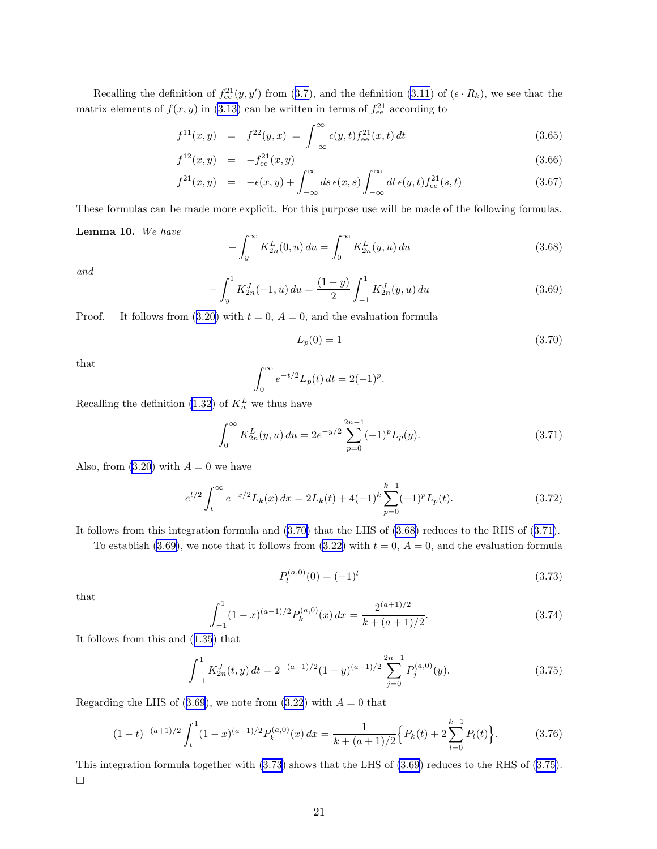<span id="page-20-0"></span>Recallingthe definition of  $f_{ee}^{21}(y, y')$  from ([3.7\)](#page-9-0), and the definition [\(3.11\)](#page-10-0) of  $(\epsilon \cdot R_k)$ , we see that the matrix elements of  $f(x, y)$  in [\(3.13](#page-10-0)) can be written in terms of  $f_{\text{ee}}^{21}$  according to

$$
f^{11}(x,y) = f^{22}(y,x) = \int_{-\infty}^{\infty} \epsilon(y,t) f_{ee}^{21}(x,t) dt
$$
\n(3.65)

$$
f^{12}(x,y) = -f_{ee}^{21}(x,y) \tag{3.66}
$$

$$
f^{21}(x,y) = -\epsilon(x,y) + \int_{-\infty}^{\infty} ds \,\epsilon(x,s) \int_{-\infty}^{\infty} dt \,\epsilon(y,t) f_{\text{ee}}^{21}(s,t)
$$
\n(3.67)

These formulas can be made more explicit. For this purpose use will be made of the following formulas.

#### Lemma 10. We have

$$
-\int_{y}^{\infty} K_{2n}^{L}(0, u) du = \int_{0}^{\infty} K_{2n}^{L}(y, u) du
$$
\n(3.68)

and

$$
-\int_{y}^{1} K_{2n}^{J}(-1, u) du = \frac{(1-y)}{2} \int_{-1}^{1} K_{2n}^{J}(y, u) du
$$
\n(3.69)

Proof.It follows from  $(3.20)$  $(3.20)$  with  $t = 0$ ,  $A = 0$ , and the evaluation formula

$$
L_p(0) = 1 \t\t(3.70)
$$

that

$$
\int_0^\infty e^{-t/2} L_p(t) \, dt = 2(-1)^p.
$$

Recalling the definition [\(1.32](#page-5-0)) of  $K_n^L$  we thus have

$$
\int_0^\infty K_{2n}^L(y, u) du = 2e^{-y/2} \sum_{p=0}^{2n-1} (-1)^p L_p(y).
$$
 (3.71)

Also, from  $(3.20)$  with  $A = 0$  we have

$$
e^{t/2} \int_{t}^{\infty} e^{-x/2} L_k(x) dx = 2L_k(t) + 4(-1)^k \sum_{p=0}^{k-1} (-1)^p L_p(t).
$$
 (3.72)

It follows from this integration formula and (3.70) that the LHS of (3.68) reduces to the RHS of (3.71).

To establish (3.69), we note that it follows from [\(3.22\)](#page-12-0) with  $t = 0$ ,  $A = 0$ , and the evaluation formula

$$
P_l^{(a,0)}(0) = (-1)^l \tag{3.73}
$$

that

$$
\int_{-1}^{1} (1-x)^{(a-1)/2} P_k^{(a,0)}(x) dx = \frac{2^{(a+1)/2}}{k + (a+1)/2}.
$$
 (3.74)

It follows from this and([1.35](#page-5-0)) that

$$
\int_{-1}^{1} K_{2n}^{J}(t, y) dt = 2^{-(a-1)/2} (1 - y)^{(a-1)/2} \sum_{j=0}^{2n-1} P_j^{(a,0)}(y).
$$
 (3.75)

Regarding the LHS of (3.69), we note from [\(3.22](#page-12-0)) with  $A = 0$  that

$$
(1-t)^{-(a+1)/2} \int_{t}^{1} (1-x)^{(a-1)/2} P_{k}^{(a,0)}(x) dx = \frac{1}{k + (a+1)/2} \Big\{ P_{k}(t) + 2 \sum_{l=0}^{k-1} P_{l}(t) \Big\}.
$$
 (3.76)

This integration formula together with (3.73) shows that the LHS of (3.69) reduces to the RHS of (3.75).  $\Box$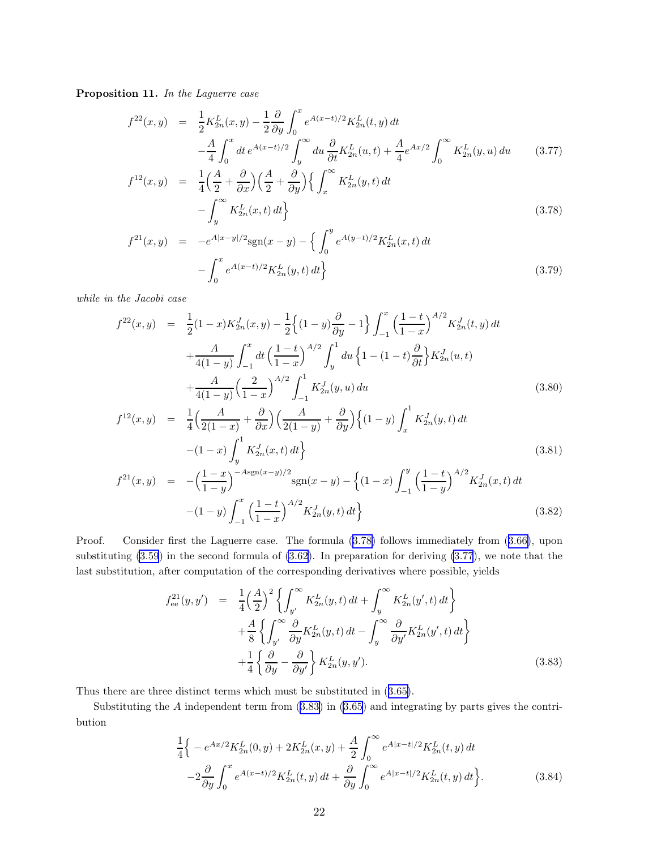<span id="page-21-0"></span>Proposition 11. In the Laguerre case

$$
f^{22}(x,y) = \frac{1}{2} K_{2n}^{L}(x,y) - \frac{1}{2} \frac{\partial}{\partial y} \int_{0}^{x} e^{A(x-t)/2} K_{2n}^{L}(t,y) dt
$$
  

$$
- \frac{A}{4} \int_{0}^{x} dt e^{A(x-t)/2} \int_{y}^{\infty} du \frac{\partial}{\partial t} K_{2n}^{L}(u,t) + \frac{A}{4} e^{Ax/2} \int_{0}^{\infty} K_{2n}^{L}(y,u) du \qquad (3.77)
$$
  

$$
f^{12}(x,y) = \frac{1}{4} \Big( \frac{A}{2} + \frac{\partial}{\partial x} \Big) \Big( \frac{A}{2} + \frac{\partial}{\partial y} \Big) \Big\{ \int_{0}^{\infty} K_{2n}^{L}(y,t) dt \Big\}
$$

$$
F^{12}(x,y) = \frac{1}{4} \left(\frac{A}{2} + \frac{\partial}{\partial x}\right) \left(\frac{A}{2} + \frac{\partial}{\partial y}\right) \left\{ \int_x^\infty K_{2n}^L(y,t) dt - \int_y^\infty K_{2n}^L(x,t) dt \right\}
$$
\n(3.78)

$$
f^{21}(x,y) = -e^{A|x-y|/2} \text{sgn}(x-y) - \left\{ \int_0^y e^{A(y-t)/2} K_{2n}^L(x,t) dt - \int_0^x e^{A(x-t)/2} K_{2n}^L(y,t) dt \right\}
$$
(3.79)

while in the Jacobi case

$$
f^{22}(x,y) = \frac{1}{2}(1-x)K_{2n}^{J}(x,y) - \frac{1}{2}\left\{(1-y)\frac{\partial}{\partial y} - 1\right\}\int_{-1}^{x} \left(\frac{1-t}{1-x}\right)^{A/2} K_{2n}^{J}(t,y) dt
$$
  
+ 
$$
\frac{A}{4(1-y)}\int_{-1}^{x} dt \left(\frac{1-t}{1-x}\right)^{A/2} \int_{y}^{1} du \left\{1 - (1-t)\frac{\partial}{\partial t}\right\} K_{2n}^{J}(u,t)
$$
  
+ 
$$
\frac{A}{4(1-y)}\left(\frac{2}{1-x}\right)^{A/2} \int_{-1}^{1} K_{2n}^{J}(y,u) du
$$
(3.80)

$$
f^{12}(x,y) = \frac{1}{4} \left( \frac{A}{2(1-x)} + \frac{\partial}{\partial x} \right) \left( \frac{A}{2(1-y)} + \frac{\partial}{\partial y} \right) \left\{ (1-y) \int_x^1 K_{2n}^J(y,t) dt - (1-x) \int_y^1 K_{2n}^J(x,t) dt \right\}
$$
(3.81)

$$
f^{21}(x,y) = -\left(\frac{1-x}{1-y}\right)^{-Asgn(x-y)/2} \operatorname{sgn}(x-y) - \left\{(1-x)\int_{-1}^{y} \left(\frac{1-t}{1-y}\right)^{A/2} K_{2n}^{J}(x,t) dt - (1-y)\int_{-1}^{x} \left(\frac{1-t}{1-x}\right)^{A/2} K_{2n}^{J}(y,t) dt\right\}
$$
(3.82)

Proof. Consider first the Laguerre case. The formula (3.78) follows immediately from([3.66\)](#page-20-0), upon substituting [\(3.59](#page-18-0)) in the second formula of [\(3.62](#page-19-0)). In preparation for deriving (3.77), we note that the last substitution, after computation of the corresponding derivatives where possible, yields

$$
f_{ee}^{21}(y, y') = \frac{1}{4} \left(\frac{A}{2}\right)^2 \left\{ \int_{y'}^{\infty} K_{2n}^L(y, t) dt + \int_y^{\infty} K_{2n}^L(y', t) dt \right\} + \frac{A}{8} \left\{ \int_{y'}^{\infty} \frac{\partial}{\partial y} K_{2n}^L(y, t) dt - \int_y^{\infty} \frac{\partial}{\partial y'} K_{2n}^L(y', t) dt \right\} + \frac{1}{4} \left\{ \frac{\partial}{\partial y} - \frac{\partial}{\partial y'} \right\} K_{2n}^L(y, y').
$$
(3.83)

Thus there are three distinct terms which must be substituted in([3.65\)](#page-20-0).

Substituting the A independent term from (3.83) in [\(3.65](#page-20-0)) and integrating by parts gives the contribution

$$
\frac{1}{4}\Big\{-e^{Ax/2}K_{2n}^{L}(0,y)+2K_{2n}^{L}(x,y)+\frac{A}{2}\int_{0}^{\infty}e^{A|x-t|/2}K_{2n}^{L}(t,y) dt \n-2\frac{\partial}{\partial y}\int_{0}^{x}e^{A(x-t)/2}K_{2n}^{L}(t,y) dt + \frac{\partial}{\partial y}\int_{0}^{\infty}e^{A|x-t|/2}K_{2n}^{L}(t,y) dt \Big\}.
$$
\n(3.84)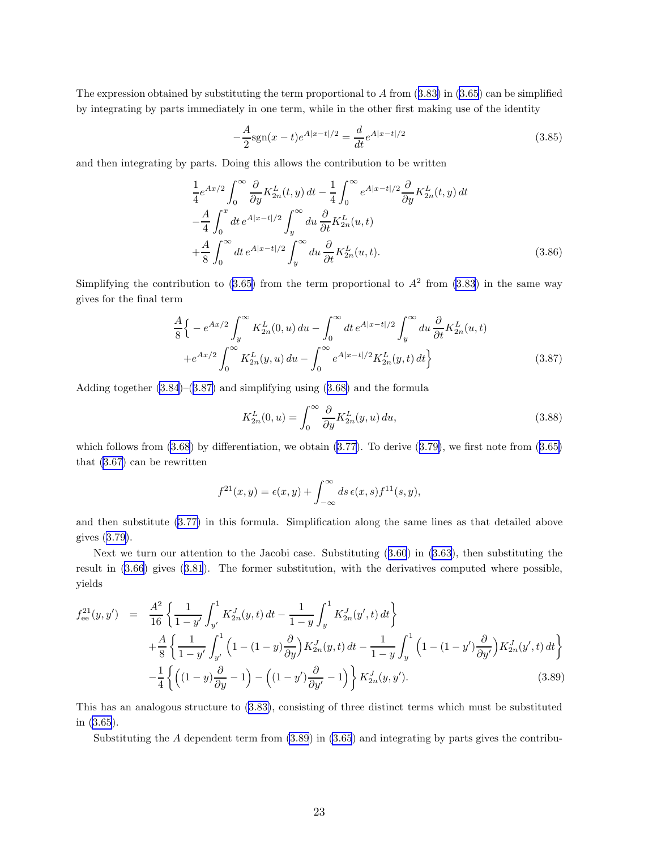<span id="page-22-0"></span>Theexpression obtained by substituting the term proportional to  $A$  from  $(3.83)$  $(3.83)$  in  $(3.65)$  can be simplified by integrating by parts immediately in one term, while in the other first making use of the identity

$$
-\frac{A}{2}\text{sgn}(x-t)e^{A|x-t|/2} = \frac{d}{dt}e^{A|x-t|/2}
$$
\n(3.85)

and then integrating by parts. Doing this allows the contribution to be written

$$
\frac{1}{4}e^{Ax/2}\int_0^\infty \frac{\partial}{\partial y} K_{2n}^L(t, y) dt - \frac{1}{4} \int_0^\infty e^{A|x-t|/2} \frac{\partial}{\partial y} K_{2n}^L(t, y) dt \n- \frac{A}{4} \int_0^x dt \, e^{A|x-t|/2} \int_y^\infty du \, \frac{\partial}{\partial t} K_{2n}^L(u, t) \n+ \frac{A}{8} \int_0^\infty dt \, e^{A|x-t|/2} \int_y^\infty du \, \frac{\partial}{\partial t} K_{2n}^L(u, t).
$$
\n(3.86)

Simplifyingthe contribution to ([3.65\)](#page-20-0) from the term proportional to  $A^2$  from [\(3.83](#page-21-0)) in the same way gives for the final term

$$
\frac{A}{8} \Big\{ -e^{Ax/2} \int_{y}^{\infty} K_{2n}^{L}(0, u) du - \int_{0}^{\infty} dt \, e^{A|x-t|/2} \int_{y}^{\infty} du \, \frac{\partial}{\partial t} K_{2n}^{L}(u, t) \n+e^{Ax/2} \int_{0}^{\infty} K_{2n}^{L}(y, u) du - \int_{0}^{\infty} e^{A|x-t|/2} K_{2n}^{L}(y, t) dt \Big\}
$$
\n(3.87)

Adding together [\(3.84](#page-21-0))–(3.87) and simplifying using([3.68\)](#page-20-0) and the formula

$$
K_{2n}^{L}(0, u) = \int_0^\infty \frac{\partial}{\partial y} K_{2n}^{L}(y, u) du,
$$
\n(3.88)

whichfollows from  $(3.68)$  by differentiation, we obtain  $(3.77)$ . To derive  $(3.79)$  $(3.79)$ , we first note from  $(3.65)$  $(3.65)$ that [\(3.67](#page-20-0)) can be rewritten

$$
f^{21}(x,y) = \epsilon(x,y) + \int_{-\infty}^{\infty} ds \,\epsilon(x,s) f^{11}(s,y),
$$

and then substitute([3.77\)](#page-21-0) in this formula. Simplification along the same lines as that detailed above gives [\(3.79\)](#page-21-0).

Next we turn our attention to the Jacobi case. Substituting([3.60](#page-18-0)) in [\(3.63\)](#page-19-0), then substituting the result in [\(3.66](#page-20-0)) gives([3.81](#page-21-0)). The former substitution, with the derivatives computed where possible, yields

$$
f_{ee}^{21}(y,y') = \frac{A^2}{16} \left\{ \frac{1}{1-y'} \int_{y'}^1 K_{2n}^J(y,t) dt - \frac{1}{1-y} \int_y^1 K_{2n}^J(y',t) dt \right\} + \frac{A}{8} \left\{ \frac{1}{1-y'} \int_{y'}^1 \left( 1 - (1-y) \frac{\partial}{\partial y} \right) K_{2n}^J(y,t) dt - \frac{1}{1-y} \int_y^1 \left( 1 - (1-y') \frac{\partial}{\partial y'} \right) K_{2n}^J(y',t) dt \right\} - \frac{1}{4} \left\{ \left( (1-y) \frac{\partial}{\partial y} - 1 \right) - \left( (1-y') \frac{\partial}{\partial y'} - 1 \right) \right\} K_{2n}^J(y,y').
$$
(3.89)

This has an analogous structure to([3.83\)](#page-21-0), consisting of three distinct terms which must be substituted in [\(3.65](#page-20-0)).

Substituting the A dependent term from (3.89) in [\(3.65](#page-20-0)) and integrating by parts gives the contribu-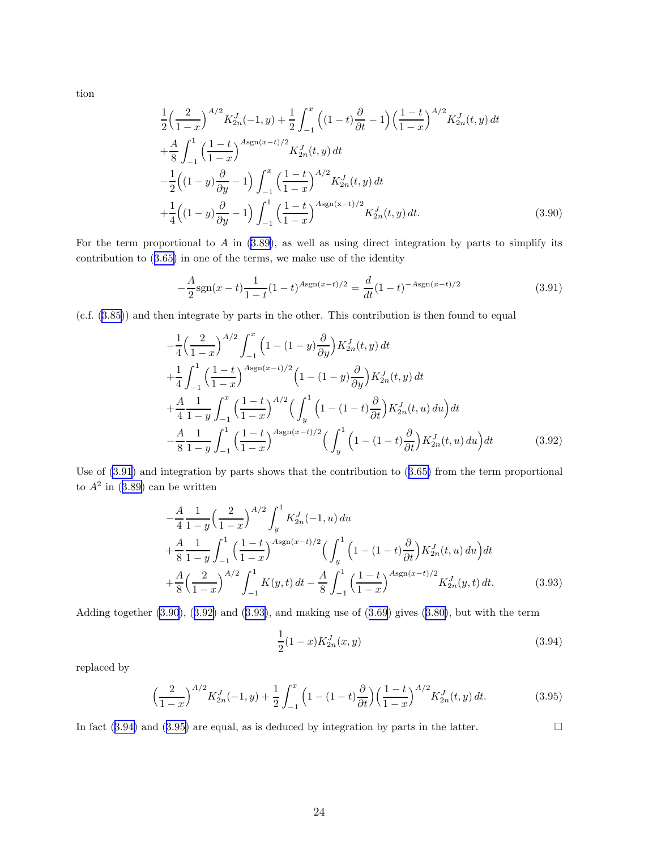tion

$$
\frac{1}{2}\left(\frac{2}{1-x}\right)^{A/2}K_{2n}^{J}(-1,y) + \frac{1}{2}\int_{-1}^{x}\left((1-t)\frac{\partial}{\partial t} - 1\right)\left(\frac{1-t}{1-x}\right)^{A/2}K_{2n}^{J}(t,y) dt \n+ \frac{A}{8}\int_{-1}^{1}\left(\frac{1-t}{1-x}\right)^{A\operatorname{sgn}(x-t)/2}K_{2n}^{J}(t,y) dt \n- \frac{1}{2}\left((1-y)\frac{\partial}{\partial y} - 1\right)\int_{-1}^{x}\left(\frac{1-t}{1-x}\right)^{A/2}K_{2n}^{J}(t,y) dt \n+ \frac{1}{4}\left((1-y)\frac{\partial}{\partial y} - 1\right)\int_{-1}^{1}\left(\frac{1-t}{1-x}\right)^{A\operatorname{sgn}(x-t)/2}K_{2n}^{J}(t,y) dt.
$$
\n(3.90)

Forthe term proportional to  $A$  in  $(3.89)$  $(3.89)$ , as well as using direct integration by parts to simplify its contribution to([3.65\)](#page-20-0) in one of the terms, we make use of the identity

$$
-\frac{A}{2}\text{sgn}(x-t)\frac{1}{1-t}(1-t)^{A\text{sgn}(x-t)/2} = \frac{d}{dt}(1-t)^{-A\text{sgn}(x-t)/2}
$$
(3.91)

(c.f.([3.85\)](#page-22-0)) and then integrate by parts in the other. This contribution is then found to equal

$$
-\frac{1}{4}\left(\frac{2}{1-x}\right)^{A/2}\int_{-1}^{x}\left(1-(1-y)\frac{\partial}{\partial y}\right)K_{2n}^{J}(t,y) dt +\frac{1}{4}\int_{-1}^{1}\left(\frac{1-t}{1-x}\right)^{A\text{sgn}(x-t)/2}\left(1-(1-y)\frac{\partial}{\partial y}\right)K_{2n}^{J}(t,y) dt +\frac{A}{4}\frac{1}{1-y}\int_{-1}^{x}\left(\frac{1-t}{1-x}\right)^{A/2}\left(\int_{y}^{1}\left(1-(1-t)\frac{\partial}{\partial t}\right)K_{2n}^{J}(t,u) du\right) dt -\frac{A}{8}\frac{1}{1-y}\int_{-1}^{1}\left(\frac{1-t}{1-x}\right)^{A\text{sgn}(x-t)/2}\left(\int_{y}^{1}\left(1-(1-t)\frac{\partial}{\partial t}\right)K_{2n}^{J}(t,u) du\right) dt \qquad (3.92)
$$

Useof  $(3.91)$  and integration by parts shows that the contribution to  $(3.65)$  $(3.65)$  from the term proportional to $A^2$  in ([3.89\)](#page-22-0) can be written

$$
-\frac{A}{4}\frac{1}{1-y}\left(\frac{2}{1-x}\right)^{A/2}\int_{y}^{1} K_{2n}^{J}(-1, u) du
$$
  
+
$$
\frac{A}{8}\frac{1}{1-y}\int_{-1}^{1}\left(\frac{1-t}{1-x}\right)^{A\text{sgn}(x-t)/2}\left(\int_{y}^{1}\left(1-(1-t)\frac{\partial}{\partial t}\right)K_{2n}^{J}(t, u) du\right) dt
$$
  
+
$$
\frac{A}{8}\left(\frac{2}{1-x}\right)^{A/2}\int_{-1}^{1} K(y, t) dt - \frac{A}{8}\int_{-1}^{1}\left(\frac{1-t}{1-x}\right)^{A\text{sgn}(x-t)/2}K_{2n}^{J}(y, t) dt.
$$
 (3.93)

Adding together (3.90), (3.92) and (3.93), and making use of ([3.69](#page-20-0)) gives([3.80\)](#page-21-0), but with the term

$$
\frac{1}{2}(1-x)K_{2n}^J(x,y) \tag{3.94}
$$

replaced by

$$
\left(\frac{2}{1-x}\right)^{A/2} K_{2n}^J(-1,y) + \frac{1}{2} \int_{-1}^x \left(1 - (1-t)\frac{\partial}{\partial t}\right) \left(\frac{1-t}{1-x}\right)^{A/2} K_{2n}^J(t,y) dt.
$$
 (3.95)

In fact  $(3.94)$  and  $(3.95)$  are equal, as is deduced by integration by parts in the latter.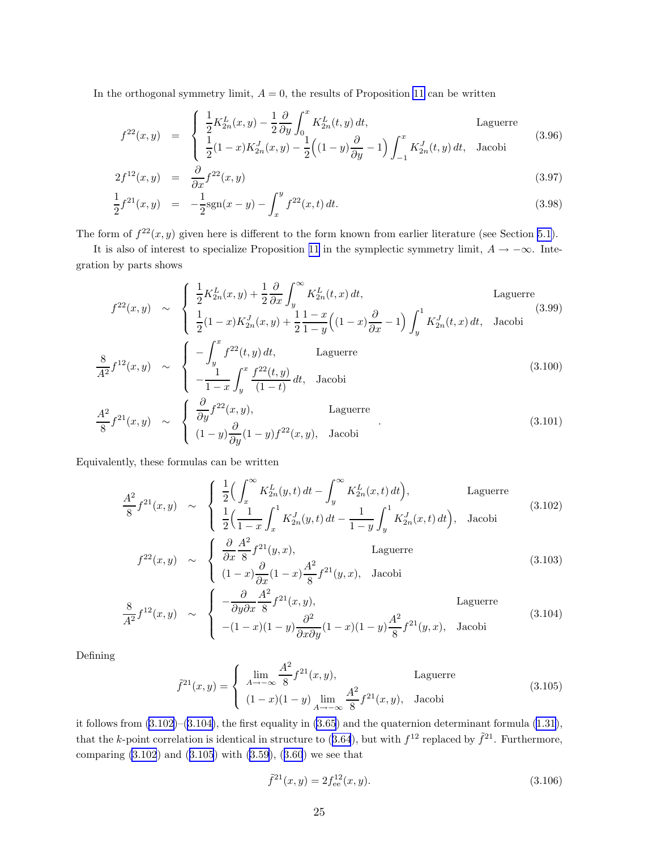<span id="page-24-0"></span>In the orthogonal symmetry limit,  $A = 0$ , the results of Proposition [11](#page-20-0) can be written

$$
f^{22}(x,y) = \begin{cases} \frac{1}{2}K_{2n}^{L}(x,y) - \frac{1}{2}\frac{\partial}{\partial y}\int_{0}^{x} K_{2n}^{L}(t,y) dt, & \text{Laguerre} \\ \frac{1}{2}(1-x)K_{2n}^{J}(x,y) - \frac{1}{2}\left((1-y)\frac{\partial}{\partial y}-1\right)\int_{-1}^{x} K_{2n}^{J}(t,y) dt, & \text{Jacobi} \end{cases}
$$
(3.96)

$$
2f^{12}(x,y) = \frac{\partial}{\partial x} f^{22}(x,y) \tag{3.97}
$$

$$
\frac{1}{2}f^{21}(x,y) = -\frac{1}{2}\text{sgn}(x-y) - \int_{x}^{y} f^{22}(x,t) dt.
$$
\n(3.98)

The form of  $f^{22}(x, y)$  given here is different to the form known from earlier literature (see Section [5.1\)](#page-31-0).

It is also of interest to specialize Proposition [11](#page-20-0) in the symplectic symmetry limit,  $A \rightarrow -\infty$ . Integration by parts shows

$$
f^{22}(x,y) \sim \begin{cases} \frac{1}{2}K_{2n}^{L}(x,y) + \frac{1}{2}\frac{\partial}{\partial x}\int_{y}^{\infty} K_{2n}^{L}(t,x) dt, & \text{Laguerre} \\ \frac{1}{2}(1-x)K_{2n}^{J}(x,y) + \frac{1}{2}\frac{1-x}{1-y}\Big((1-x)\frac{\partial}{\partial x} - 1\Big)\int_{y}^{1} K_{2n}^{J}(t,x) dt, & \text{Jacobi} \end{cases}
$$
(3.99)  

$$
\frac{8}{A^{2}}f^{12}(x,y) \sim \begin{cases} -\int_{y}^{x} f^{22}(t,y) dt, & \text{Laguerre} \\ -\frac{1}{1-x}\int_{y}^{x} \frac{f^{22}(t,y)}{(1-t)} dt, & \text{Jacobi} \end{cases}
$$
(3.100)

$$
\frac{A^2}{8} f^{21}(x, y) \sim \begin{cases} \frac{\partial}{\partial y} f^{22}(x, y), & \text{Laguerre} \\ (1 - y) \frac{\partial}{\partial y} (1 - y) f^{22}(x, y), & \text{Jacobi} \end{cases}
$$
(3.101)

Equivalently, these formulas can be written

$$
\frac{A^2}{8} f^{21}(x, y) \sim \begin{cases} \frac{1}{2} \Big( \int_x^{\infty} K_{2n}^L(y, t) dt - \int_y^{\infty} K_{2n}^L(x, t) dt \Big), & \text{Laguerre} \\ \frac{1}{2} \Big( \frac{1}{1-x} \int_x^1 K_{2n}^J(y, t) dt - \frac{1}{1-y} \int_y^1 K_{2n}^J(x, t) dt \Big), & \text{Jacobi} \end{cases}
$$
(3.102)

$$
f^{22}(x,y) \sim \begin{cases} \frac{\partial}{\partial x} \frac{A^2}{8} f^{21}(y,x), & \text{Laguerre} \\ (1-x) \frac{\partial}{\partial x} (1-x) \frac{A^2}{8} f^{21}(y,x), & \text{Jacobi} \end{cases}
$$
(3.103)

$$
\frac{8}{A^2} f^{12}(x, y) \sim \begin{cases}\n-\frac{\partial}{\partial y \partial x} \frac{A^2}{8} f^{21}(x, y), & \text{Laguerre} \\
-(1-x)(1-y) \frac{\partial^2}{\partial x \partial y}(1-x)(1-y) \frac{A^2}{8} f^{21}(y, x), & \text{Jacobi}\n\end{cases}
$$
\n(3.104)

Defining

$$
\tilde{f}^{21}(x,y) = \begin{cases} \lim_{A \to -\infty} \frac{A^2}{8} f^{21}(x,y), & \text{Laguerre} \\ (1-x)(1-y) \lim_{A \to -\infty} \frac{A^2}{8} f^{21}(x,y), & \text{Jacobi} \end{cases}
$$
(3.105)

it follows from (3.102)–(3.104), the first equality in [\(3.65](#page-20-0)) and the quaternion determinant formula [\(1.31\)](#page-5-0), thatthe k-point correlation is identical in structure to ([3.64](#page-19-0)), but with  $f^{12}$  replaced by  $\tilde{f}^{21}$ . Furthermore, comparing (3.102) and (3.105) with [\(3.59\)](#page-18-0),([3.60](#page-18-0)) we see that

$$
\tilde{f}^{21}(x,y) = 2f_{\text{ee}}^{12}(x,y). \tag{3.106}
$$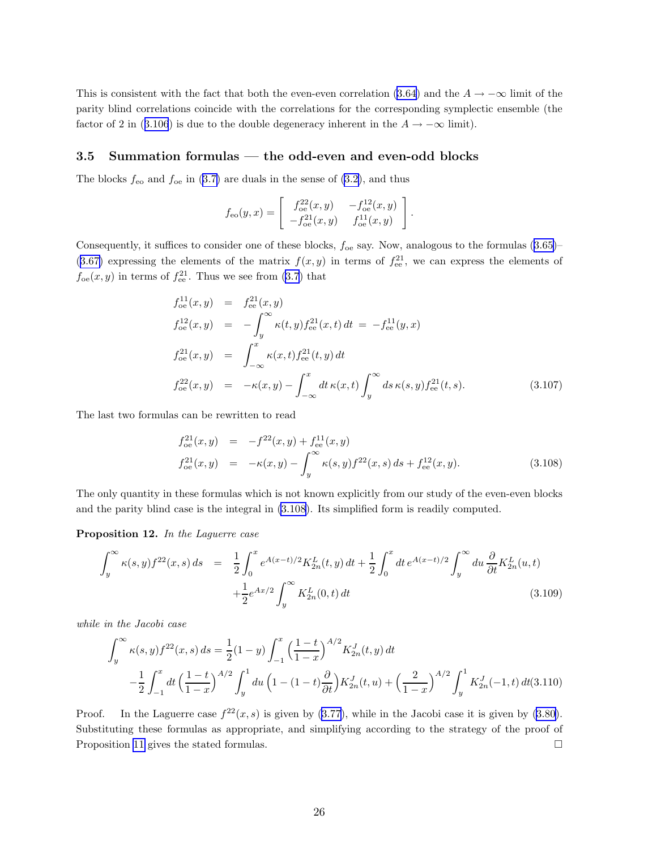<span id="page-25-0"></span>This is consistent with the fact that both the even-even correlation [\(3.64](#page-19-0)) and the  $A \to -\infty$  limit of the parity blind correlations coincide with the correlations for the corresponding symplectic ensemble (the factorof 2 in ([3.106](#page-24-0)) is due to the double degeneracy inherent in the  $A \to -\infty$  limit).

### 3.5 Summation formulas — the odd-even and even-odd blocks

The blocks  $f_{\text{eo}}$  and  $f_{\text{oe}}$  in [\(3.7\)](#page-9-0) are duals in the sense of [\(3.2](#page-9-0)), and thus

$$
f_{\rm eo}(y,x) = \begin{bmatrix} f_{\rm oe}^{22}(x,y) & -f_{\rm oe}^{12}(x,y) \\ -f_{\rm oe}^{21}(x,y) & f_{\rm oe}^{11}(x,y) \end{bmatrix}.
$$

Consequently,it suffices to consider one of these blocks,  $f_{oe}$  say. Now, analogous to the formulas  $(3.65)$  $(3.65)$ ([3.67\)](#page-20-0) expressing the elements of the matrix  $f(x, y)$  in terms of  $f_{ee}^{21}$ , we can express the elements of  $f_{oe}(x, y)$  in terms of  $f_{ee}^{21}$ . Thus we see from [\(3.7\)](#page-9-0) that

$$
f_{oe}^{11}(x,y) = f_{ee}^{21}(x,y)
$$
  
\n
$$
f_{oe}^{12}(x,y) = -\int_{y}^{\infty} \kappa(t,y)f_{ee}^{21}(x,t) dt = -f_{ee}^{11}(y,x)
$$
  
\n
$$
f_{oe}^{21}(x,y) = \int_{-\infty}^{x} \kappa(x,t)f_{ee}^{21}(t,y) dt
$$
  
\n
$$
f_{oe}^{22}(x,y) = -\kappa(x,y) - \int_{-\infty}^{x} dt \kappa(x,t) \int_{y}^{\infty} ds \kappa(s,y)f_{ee}^{21}(t,s).
$$
\n(3.107)

The last two formulas can be rewritten to read

$$
f_{oe}^{21}(x,y) = -f^{22}(x,y) + f_{ee}^{11}(x,y)
$$
  
\n
$$
f_{oe}^{21}(x,y) = -\kappa(x,y) - \int_{y}^{\infty} \kappa(s,y)f^{22}(x,s) ds + f_{ee}^{12}(x,y).
$$
\n(3.108)

The only quantity in these formulas which is not known explicitly from our study of the even-even blocks and the parity blind case is the integral in (3.108). Its simplified form is readily computed.

Proposition 12. In the Laguerre case

$$
\int_{y}^{\infty} \kappa(s, y) f^{22}(x, s) ds = \frac{1}{2} \int_{0}^{x} e^{A(x-t)/2} K_{2n}^{L}(t, y) dt + \frac{1}{2} \int_{0}^{x} dt e^{A(x-t)/2} \int_{y}^{\infty} du \frac{\partial}{\partial t} K_{2n}^{L}(u, t) + \frac{1}{2} e^{Ax/2} \int_{y}^{\infty} K_{2n}^{L}(0, t) dt
$$
\n(3.109)

while in the Jacobi case

$$
\int_{y}^{\infty} \kappa(s, y) f^{22}(x, s) ds = \frac{1}{2} (1 - y) \int_{-1}^{x} \left(\frac{1 - t}{1 - x}\right)^{A/2} K_{2n}^{J}(t, y) dt
$$

$$
- \frac{1}{2} \int_{-1}^{x} dt \left(\frac{1 - t}{1 - x}\right)^{A/2} \int_{y}^{1} du \left(1 - (1 - t) \frac{\partial}{\partial t}\right) K_{2n}^{J}(t, u) + \left(\frac{2}{1 - x}\right)^{A/2} \int_{y}^{1} K_{2n}^{J}(-1, t) dt(3.110)
$$

Proof. In the Laguerre case  $f^{22}(x, s)$  is given by  $(3.77)$ , while in the Jacobi case it is given by  $(3.80)$ . Substituting these formulas as appropriate, and simplifying according to the strategy of the proof of Proposition [11](#page-20-0) gives the stated formulas.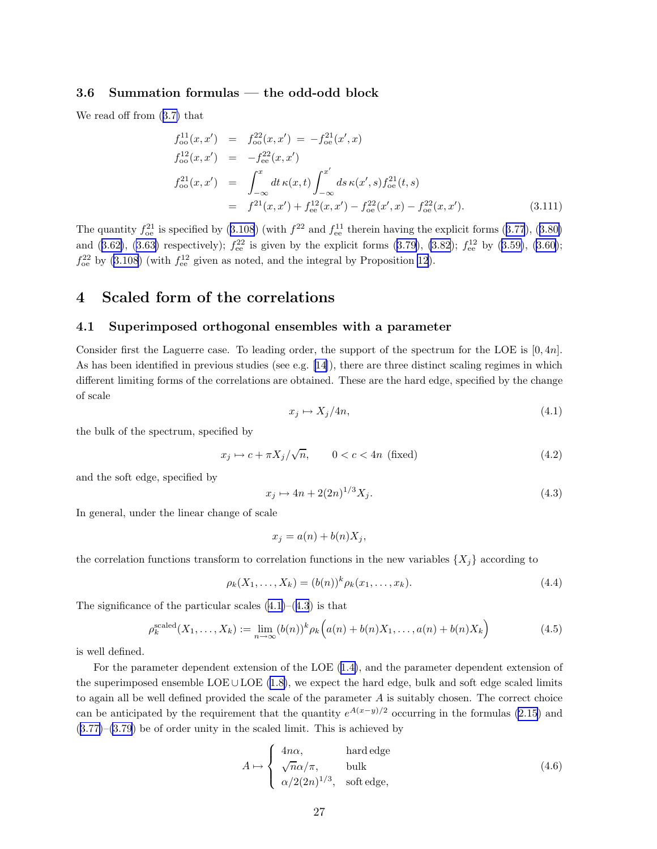### <span id="page-26-0"></span>3.6 Summation formulas — the odd-odd block

We read off from([3.7\)](#page-9-0) that

$$
f_{oo}^{11}(x, x') = f_{oo}^{22}(x, x') = -f_{oe}^{21}(x', x)
$$
  
\n
$$
f_{oo}^{12}(x, x') = -f_{ee}^{22}(x, x')
$$
  
\n
$$
f_{oo}^{21}(x, x') = \int_{-\infty}^{x} dt \kappa(x, t) \int_{-\infty}^{x'} ds \kappa(x', s) f_{oe}^{21}(t, s)
$$
  
\n
$$
= f^{21}(x, x') + f_{ee}^{12}(x, x') - f_{oe}^{22}(x', x) - f_{oe}^{22}(x, x').
$$
\n(3.111)

Thequantity  $f_{oe}^{21}$  is specified by ([3.108](#page-25-0)) (with  $f^{22}$  and  $f_{ee}^{11}$  therein having the explicit forms ([3.77](#page-21-0)), ([3.80\)](#page-21-0) and([3.62\)](#page-19-0), [\(3.63\)](#page-19-0) respectively);  $f_{ee}^{22}$  is given by the explicit forms [\(3.79\)](#page-21-0), [\(3.82](#page-21-0));  $f_{ee}^{12}$  by ([3.59\)](#page-18-0), [\(3.60\)](#page-18-0);  $f_{\text{oe}}^{22}$  by [\(3.108](#page-25-0)) (with  $f_{\text{ee}}^{12}$  given as noted, and the integral by Proposition [12](#page-25-0)).

### 4 Scaled form of the correlations

#### 4.1 Superimposed orthogonal ensembles with a parameter

Consider first the Laguerre case. To leading order, the support of the spectrum for the LOE is [0, 4n]. As has been identified in previous studies (see e.g. [\[14](#page-45-0)]), there are three distinct scaling regimes in which different limiting forms of the correlations are obtained. These are the hard edge, specified by the change of scale

$$
x_j \mapsto X_j/4n,\tag{4.1}
$$

the bulk of the spectrum, specified by

$$
x_j \mapsto c + \pi X_j / \sqrt{n}, \qquad 0 < c < 4n \text{ (fixed)}
$$
\n
$$
(4.2)
$$

and the soft edge, specified by

$$
x_j \mapsto 4n + 2(2n)^{1/3} X_j. \tag{4.3}
$$

In general, under the linear change of scale

$$
x_j = a(n) + b(n)X_j,
$$

the correlation functions transform to correlation functions in the new variables  $\{X_i\}$  according to

$$
\rho_k(X_1, \dots, X_k) = (b(n))^k \rho_k(x_1, \dots, x_k).
$$
\n(4.4)

The significance of the particular scales  $(4.1)$ – $(4.3)$  is that

$$
\rho_k^{\text{scaled}}(X_1, \dots, X_k) := \lim_{n \to \infty} (b(n))^k \rho_k \left( a(n) + b(n)X_1, \dots, a(n) + b(n)X_k \right) \tag{4.5}
$$

is well defined.

For the parameter dependent extension of the LOE([1.4\)](#page-1-0), and the parameter dependent extension of thesuperimposed ensemble LOE ∪LOE  $(1.8)$  $(1.8)$ , we expect the hard edge, bulk and soft edge scaled limits to again all be well defined provided the scale of the parameter  $A$  is suitably chosen. The correct choice can be anticipated by the requirement that the quantity  $e^{A(x-y)/2}$  occurring in the formulas [\(2.15](#page-8-0)) and  $(3.77)$  $(3.77)$ – $(3.79)$  $(3.79)$  be of order unity in the scaled limit. This is achieved by

$$
A \mapsto \begin{cases} 4n\alpha, & \text{hard edge} \\ \sqrt{n}\alpha/\pi, & \text{bulk} \\ \alpha/2(2n)^{1/3}, & \text{soft edge,} \end{cases}
$$
(4.6)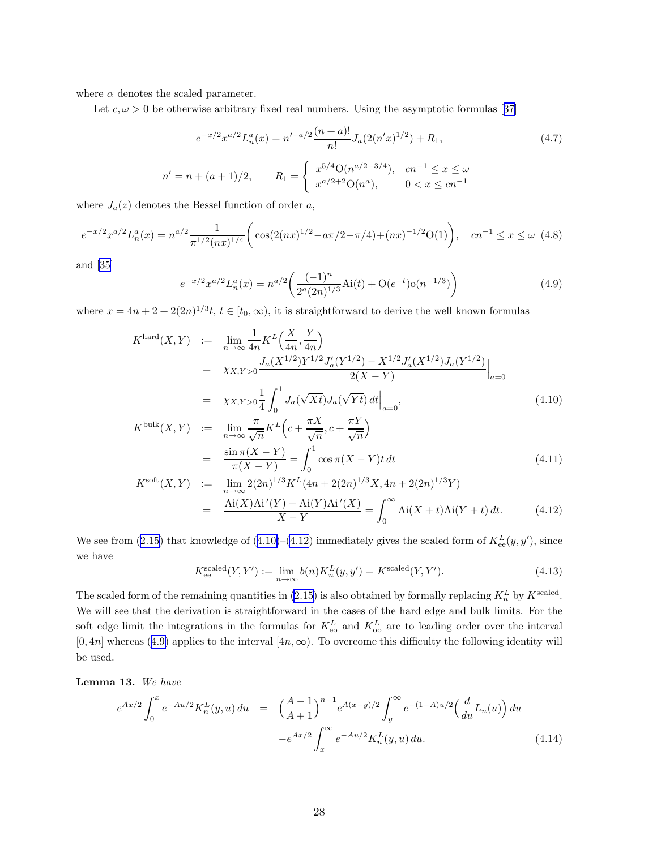<span id="page-27-0"></span>where  $\alpha$  denotes the scaled parameter.

Let $c, \omega > 0$  be otherwise arbitrary fixed real numbers. Using the asymptotic formulas [[37\]](#page-46-0)

$$
e^{-x/2}x^{a/2}L_n^a(x) = n'^{-a/2}\frac{(n+a)!}{n!}J_a(2(n'x)^{1/2}) + R_1,
$$
\n
$$
n' = n + (a+1)/2, \qquad R_1 = \begin{cases} x^{5/4}O(n^{a/2-3/4}), & cn^{-1} \le x \le \omega \\ x^{a/2+2}O(n^a), & 0 < x \le cn^{-1} \end{cases}
$$
\n(4.7)

where  $J_a(z)$  denotes the Bessel function of order a,

$$
e^{-x/2}x^{a/2}L_n^a(x) = n^{a/2}\frac{1}{\pi^{1/2}(nx)^{1/4}} \bigg( \cos(2(nx)^{1/2} - a\pi/2 - \pi/4) + (nx)^{-1/2}O(1) \bigg), \quad cn^{-1} \le x \le \omega \tag{4.8}
$$

and [\[35\]](#page-46-0)

$$
e^{-x/2}x^{a/2}L_n^a(x) = n^{a/2} \left(\frac{(-1)^n}{2^a(2n)^{1/3}} \text{Ai}(t) + \mathcal{O}(e^{-t})\mathcal{O}(n^{-1/3})\right)
$$
(4.9)

where  $x = 4n + 2 + 2(2n)^{1/3}t$ ,  $t \in [t_0, \infty)$ , it is straightforward to derive the well known formulas

$$
K^{\text{hard}}(X, Y) := \lim_{n \to \infty} \frac{1}{4n} K^{L} \left( \frac{X}{4n}, \frac{Y}{4n} \right)
$$
  
\n
$$
= \chi_{X,Y>0} \frac{J_{a}(X^{1/2}) Y^{1/2} J'_{a}(Y^{1/2}) - X^{1/2} J'_{a}(X^{1/2}) J_{a}(Y^{1/2})}{2(X - Y)} \Big|_{a=0}
$$
  
\n
$$
= \chi_{X,Y>0} \frac{1}{4} \int_{0}^{1} J_{a}(\sqrt{Xt}) J_{a}(\sqrt{Yt}) dt \Big|_{a=0},
$$
  
\n
$$
K^{\text{bulk}}(X, Y) = \frac{\pi}{4} K^{L} \left( \frac{\pi X}{2} + \frac{\pi Y}{2} \right).
$$
 (4.10)

$$
K^{\text{bulk}}(X,Y) := \lim_{n \to \infty} \frac{\pi}{\sqrt{n}} K^L \left( c + \frac{\pi X}{\sqrt{n}}, c + \frac{\pi Y}{\sqrt{n}} \right)
$$
  
\n
$$
= \frac{\sin \pi (X - Y)}{\pi (X - Y)} = \int_0^1 \cos \pi (X - Y) t \, dt
$$
  
\n
$$
K^{\text{soft}}(X,Y) := \lim_{n \to \infty} 2(2n)^{1/3} K^L (4n + 2(2n)^{1/3} X, 4n + 2(2n)^{1/3} Y)
$$
  
\n
$$
= \frac{\text{Ai}(X) \text{Ai}'(Y) - \text{Ai}(Y) \text{Ai}'(X)}{X - X} = \int_0^\infty \text{Ai}(X + t) \text{Ai}(Y + t) \, dt. \tag{4.12}
$$

Wesee from ([2.15\)](#page-8-0) that knowledge of (4.10)–(4.12) immediately gives the scaled form of  $K_{ee}^L(y, y')$ , since we have

 $X - Y$ 

$$
K_{\text{ee}}^{\text{scaled}}(Y, Y') := \lim_{n \to \infty} b(n) K_n^L(y, y') = K^{\text{scaled}}(Y, Y'). \tag{4.13}
$$

 $\boldsymbol{0}$ 

The scaled form of the remaining quantities in [\(2.15](#page-8-0)) is also obtained by formally replacing  $K_n^L$  by  $K^{\text{scaled}}$ . We will see that the derivation is straightforward in the cases of the hard edge and bulk limits. For the soft edge limit the integrations in the formulas for  $K_{\rm eo}^L$  and  $K_{\rm oo}^L$  are to leading order over the interval  $[0, 4n]$  whereas (4.9) applies to the interval  $[4n, \infty)$ . To overcome this difficulty the following identity will be used.

Lemma 13. We have

$$
e^{Ax/2} \int_0^x e^{-Au/2} K_n^L(y, u) du = \left(\frac{A-1}{A+1}\right)^{n-1} e^{A(x-y)/2} \int_y^\infty e^{-(1-A)u/2} \left(\frac{d}{du} L_n(u)\right) du
$$

$$
-e^{Ax/2} \int_x^\infty e^{-Au/2} K_n^L(y, u) du.
$$
(4.14)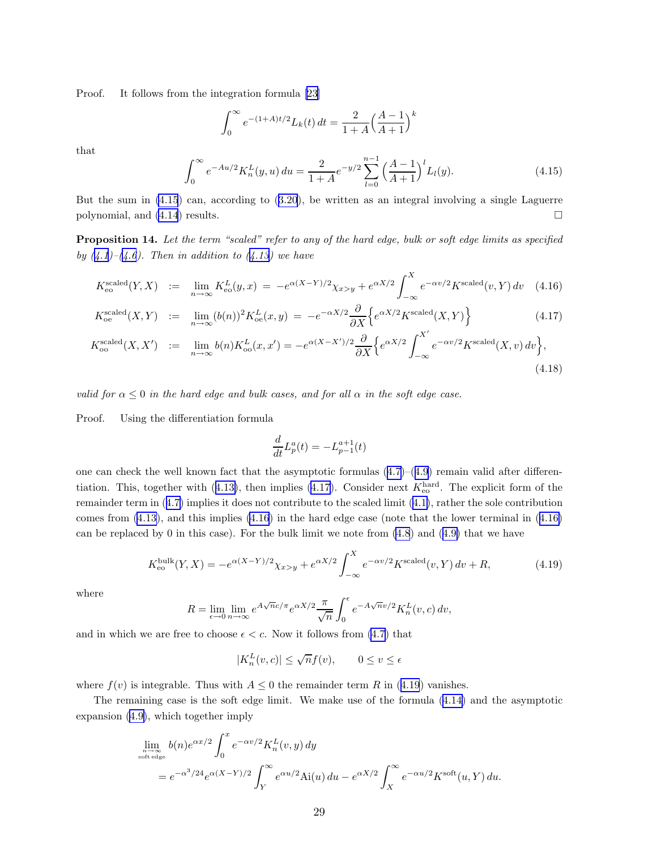<span id="page-28-0"></span>Proof. It follows from the integration formula [\[23](#page-46-0)]

$$
\int_0^{\infty} e^{-(1+A)t/2} L_k(t) dt = \frac{2}{1+A} \left(\frac{A-1}{A+1}\right)^k
$$

that

$$
\int_0^\infty e^{-Au/2} K_n^L(y, u) \, du = \frac{2}{1+A} e^{-y/2} \sum_{l=0}^{n-1} \left(\frac{A-1}{A+1}\right)^l L_l(y). \tag{4.15}
$$

But the sum in (4.15) can, according to([3.20](#page-12-0)), be written as an integral involving a single Laguerre polynomial, and  $(4.14)$  results.

Proposition 14. Let the term "scaled" refer to any of the hard edge, bulk or soft edge limits as specified by  $(4.1)$  $(4.1)$  $(4.1)$ – $(4.6)$  $(4.6)$ . Then in addition to  $(4.13)$  $(4.13)$  we have

$$
K_{\text{eo}}^{\text{scaled}}(Y, X) := \lim_{n \to \infty} K_{\text{eo}}^L(y, x) = -e^{\alpha (X - Y)/2} \chi_{x>y} + e^{\alpha X/2} \int_{-\infty}^X e^{-\alpha v/2} K^{\text{scaled}}(v, Y) dv \quad (4.16)
$$

$$
K_{\text{oe}}^{\text{scaled}}(X,Y) \quad := \quad \lim_{n \to \infty} (b(n))^2 K_{\text{oe}}^L(x,y) \ = \ -e^{-\alpha X/2} \frac{\partial}{\partial X} \left\{ e^{\alpha X/2} K^{\text{scaled}}(X,Y) \right\} \tag{4.17}
$$

$$
K_{\text{oo}}^{\text{scaled}}(X, X') \quad := \quad \lim_{n \to \infty} b(n) K_{\text{oo}}^L(x, x') = -e^{\alpha(X - X')/2} \frac{\partial}{\partial X} \Big\{ e^{\alpha X/2} \int_{-\infty}^{X'} e^{-\alpha v/2} K^{\text{scaled}}(X, v) \, dv \Big\},\tag{4.18}
$$

valid for  $\alpha \leq 0$  in the hard edge and bulk cases, and for all  $\alpha$  in the soft edge case.

Proof. Using the differentiation formula

$$
\frac{d}{dt}L_p^a(t) = -L_{p-1}^{a+1}(t)
$$

onecan check the well known fact that the asymptotic formulas  $(4.7)$  $(4.7)$ – $(4.9)$  $(4.9)$  $(4.9)$  remain valid after differen-tiation.This, together with  $(4.13)$  $(4.13)$ , then implies  $(4.17)$ . Consider next  $K_{\text{eo}}^{\text{hard}}$ . The explicit form of the remainder term in([4.7\)](#page-27-0) implies it does not contribute to the scaled limit([4.1\)](#page-26-0), rather the sole contribution comes from [\(4.13\)](#page-27-0), and this implies (4.16) in the hard edge case (note that the lower terminal in (4.16) canbe replaced by 0 in this case). For the bulk limit we note from  $(4.8)$  and  $(4.9)$  $(4.9)$  that we have

$$
K_{\text{eo}}^{\text{bulk}}(Y, X) = -e^{\alpha(X - Y)/2} \chi_{x>y} + e^{\alpha X/2} \int_{-\infty}^{X} e^{-\alpha v/2} K^{\text{scaled}}(v, Y) \, dv + R,\tag{4.19}
$$

where

$$
R = \lim_{\epsilon \to 0} \lim_{n \to \infty} e^{A\sqrt{n}c/\pi} e^{\alpha X/2} \frac{\pi}{\sqrt{n}} \int_0^{\epsilon} e^{-A\sqrt{n}v/2} K_n^L(v, c) dv,
$$

and in which we are free to choose  $\epsilon < c$ . Now it follows from [\(4.7](#page-27-0)) that

$$
|K_n^L(v, c)| \le \sqrt{n} f(v), \qquad 0 \le v \le \epsilon
$$

where  $f(v)$  is integrable. Thus with  $A \leq 0$  the remainder term R in (4.19) vanishes.

The remaining case is the soft edge limit. We make use of the formula([4.14\)](#page-27-0) and the asymptotic expansion [\(4.9\)](#page-27-0), which together imply

$$
\lim_{n \to \infty \atop \text{soft edge}} b(n)e^{\alpha x/2} \int_0^x e^{-\alpha v/2} K_n^L(v, y) dy
$$
  
=  $e^{-\alpha^3/24} e^{\alpha(X-Y)/2} \int_Y^\infty e^{\alpha u/2} A i(u) du - e^{\alpha X/2} \int_X^\infty e^{-\alpha u/2} K^{\text{soft}}(u, Y) du.$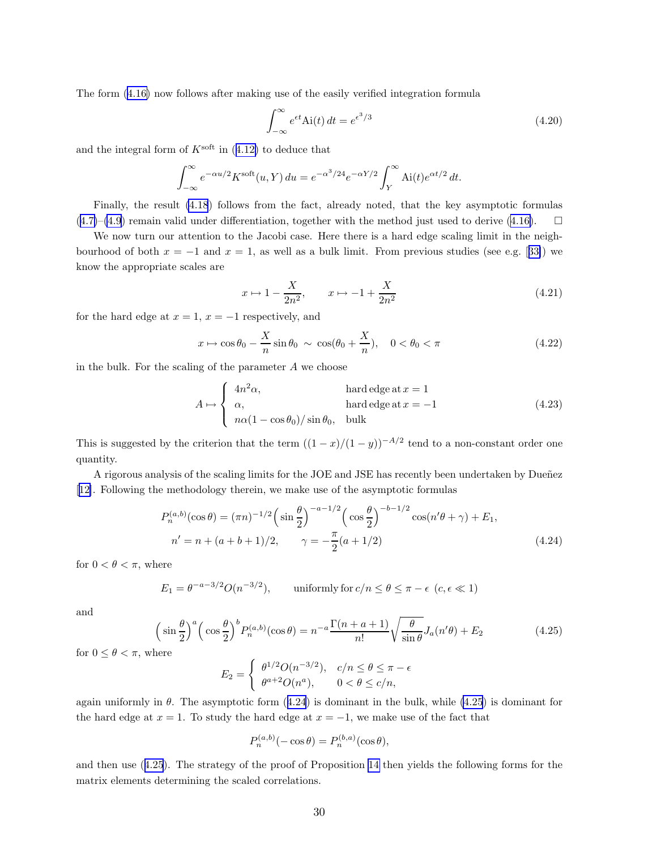<span id="page-29-0"></span>The form([4.16\)](#page-28-0) now follows after making use of the easily verified integration formula

$$
\int_{-\infty}^{\infty} e^{\epsilon t} \text{Ai}(t) dt = e^{\epsilon^3/3}
$$
\n(4.20)

andthe integral form of  $K^{\text{soft}}$  in ([4.12\)](#page-27-0) to deduce that

$$
\int_{-\infty}^{\infty} e^{-\alpha u/2} K^{\text{soft}}(u, Y) du = e^{-\alpha^3/24} e^{-\alpha Y/2} \int_{Y}^{\infty} \text{Ai}(t) e^{\alpha t/2} dt.
$$

Finally, the result [\(4.18](#page-28-0)) follows from the fact, already noted, that the key asymptotic formulas  $(4.7)$  $(4.7)$ – $(4.9)$  $(4.9)$ remain valid under differentiation, together with the method just used to derive  $(4.16)$  $(4.16)$ .  $\square$ 

We now turn our attention to the Jacobi case. Here there is a hard edge scaling limit in the neighbourhoodof both  $x = -1$  and  $x = 1$ , as well as a bulk limit. From previous studies (see e.g. [[33\]](#page-46-0)) we know the appropriate scales are

$$
x \mapsto 1 - \frac{X}{2n^2}, \qquad x \mapsto -1 + \frac{X}{2n^2}
$$
 (4.21)

for the hard edge at  $x = 1$ ,  $x = -1$  respectively, and

$$
x \mapsto \cos \theta_0 - \frac{X}{n} \sin \theta_0 \sim \cos(\theta_0 + \frac{X}{n}), \quad 0 < \theta_0 < \pi \tag{4.22}
$$

in the bulk. For the scaling of the parameter  $A$  we choose

$$
A \mapsto \begin{cases} 4n^2\alpha, & \text{hard edge at } x = 1\\ \alpha, & \text{hard edge at } x = -1\\ n\alpha(1 - \cos\theta_0)/\sin\theta_0, & \text{bulk} \end{cases}
$$
(4.23)

This is suggested by the criterion that the term  $((1-x)/(1-y))^{-A/2}$  tend to a non-constant order one quantity.

A rigorous analysis of the scaling limits for the JOE and JSE has recently been undertaken by Dueñez [[12\]](#page-45-0). Following the methodology therein, we make use of the asymptotic formulas

$$
P_n^{(a,b)}(\cos \theta) = (\pi n)^{-1/2} \left( \sin \frac{\theta}{2} \right)^{-a-1/2} \left( \cos \frac{\theta}{2} \right)^{-b-1/2} \cos(n'\theta + \gamma) + E_1,
$$
  
\n
$$
n' = n + (a+b+1)/2, \qquad \gamma = -\frac{\pi}{2}(a+1/2)
$$
\n(4.24)

for  $0 < \theta < \pi$ , where

$$
E_1 = \theta^{-a-3/2} O(n^{-3/2}), \qquad \text{uniformly for } c/n \le \theta \le \pi - \epsilon \ (c, \epsilon \ll 1)
$$

and

$$
\left(\sin\frac{\theta}{2}\right)^{a}\left(\cos\frac{\theta}{2}\right)^{b}P_{n}^{(a,b)}(\cos\theta) = n^{-a}\frac{\Gamma(n+a+1)}{n!}\sqrt{\frac{\theta}{\sin\theta}}J_{a}(n'\theta) + E_{2}
$$
\n(4.25)

for  $0 \leq \theta < \pi$ , where

$$
E_2 = \begin{cases} \theta^{1/2}O(n^{-3/2}), & c/n \le \theta \le \pi - \epsilon \\ \theta^{a+2}O(n^a), & 0 < \theta \le c/n, \end{cases}
$$

again uniformly in  $\theta$ . The asymptotic form (4.24) is dominant in the bulk, while (4.25) is dominant for the hard edge at  $x = 1$ . To study the hard edge at  $x = -1$ , we make use of the fact that

$$
P_n^{(a,b)}(-\cos\theta) = P_n^{(b,a)}(\cos\theta),
$$

and then use (4.25). The strategy of the proof of Proposition [14](#page-28-0) then yields the following forms for the matrix elements determining the scaled correlations.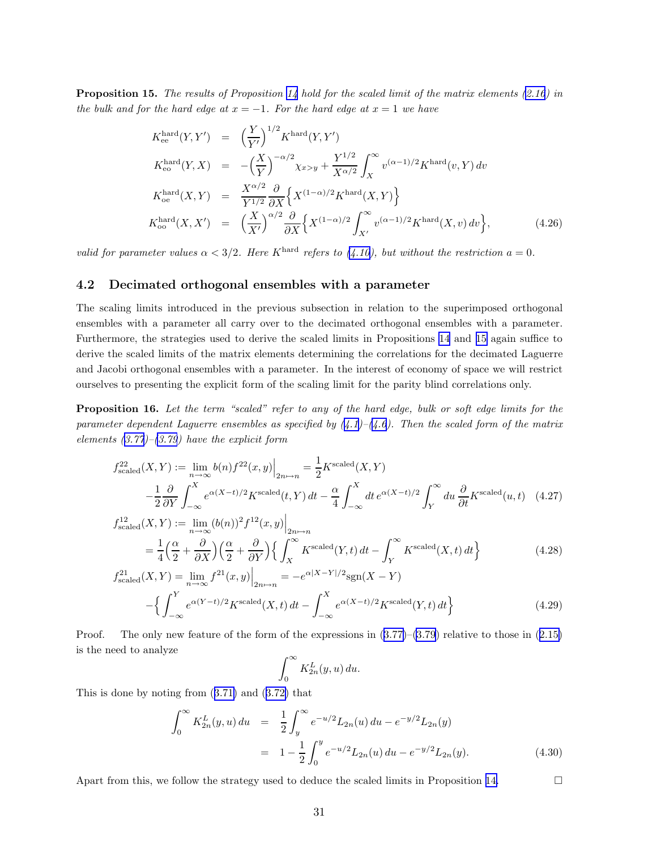<span id="page-30-0"></span>**Proposition 15.** The results of Proposition [14](#page-28-0) hold for the scaled limit of the matrix elements  $(2.16)$  $(2.16)$  in the bulk and for the hard edge at  $x = -1$ . For the hard edge at  $x = 1$  we have

$$
K_{\text{ee}}^{\text{hard}}(Y, Y') = \left(\frac{Y}{Y'}\right)^{1/2} K^{\text{hard}}(Y, Y')
$$
  
\n
$$
K_{\text{ee}}^{\text{hard}}(Y, X) = -\left(\frac{X}{Y}\right)^{-\alpha/2} \chi_{x>y} + \frac{Y^{1/2}}{X^{\alpha/2}} \int_{X}^{\infty} v^{(\alpha - 1)/2} K^{\text{hard}}(v, Y) dv
$$
  
\n
$$
K_{\text{oe}}^{\text{hard}}(X, Y) = \frac{X^{\alpha/2}}{Y^{1/2}} \frac{\partial}{\partial X} \left\{ X^{(1-\alpha)/2} K^{\text{hard}}(X, Y) \right\}
$$
  
\n
$$
K_{\text{oo}}^{\text{hard}}(X, X') = \left(\frac{X}{X'}\right)^{\alpha/2} \frac{\partial}{\partial X} \left\{ X^{(1-\alpha)/2} \int_{X'}^{\infty} v^{(\alpha - 1)/2} K^{\text{hard}}(X, v) dv \right\},
$$
(4.26)

valid for parameter values  $\alpha < 3/2$ . Here K<sup>hard</sup> refers to [\(4.10\)](#page-27-0), but without the restriction  $a = 0$ .

### 4.2 Decimated orthogonal ensembles with a parameter

The scaling limits introduced in the previous subsection in relation to the superimposed orthogonal ensembles with a parameter all carry over to the decimated orthogonal ensembles with a parameter. Furthermore, the strategies used to derive the scaled limits in Propositions [14](#page-28-0) and [15](#page-29-0) again suffice to derive the scaled limits of the matrix elements determining the correlations for the decimated Laguerre and Jacobi orthogonal ensembles with a parameter. In the interest of economy of space we will restrict ourselves to presenting the explicit form of the scaling limit for the parity blind correlations only.

Proposition 16. Let the term "scaled" refer to any of the hard edge, bulk or soft edge limits for the parameter dependent Laguerre ensembles as specified by  $(4.1)-(4.6)$  $(4.1)-(4.6)$  $(4.1)-(4.6)$  $(4.1)-(4.6)$  $(4.1)-(4.6)$ . Then the scaled form of the matrix elements  $(3.77)$  $(3.77)$  $(3.77)$ – $(3.79)$  $(3.79)$  have the explicit form

$$
f_{\text{scaled}}^{22}(X,Y) := \lim_{n \to \infty} b(n) f^{22}(x,y) \Big|_{2n \mapsto n} = \frac{1}{2} K^{\text{scaled}}(X,Y)
$$

$$
- \frac{1}{2} \frac{\partial}{\partial Y} \int_{-\infty}^{X} e^{\alpha (X-t)/2} K^{\text{scaled}}(t,Y) dt - \frac{\alpha}{4} \int_{-\infty}^{X} dt \, e^{\alpha (X-t)/2} \int_{Y}^{\infty} du \, \frac{\partial}{\partial t} K^{\text{scaled}}(u,t) \tag{4.27}
$$

$$
f_{\text{scaled}}^{12}(X,Y) := \lim_{n \to \infty} (b(n))^2 f^{12}(x,y) \Big|_{2n \to n}
$$
  
=  $\frac{1}{4} \Big( \frac{\alpha}{2} + \frac{\partial}{\partial X} \Big) \Big( \frac{\alpha}{2} + \frac{\partial}{\partial Y} \Big) \Big\{ \int_X^{\infty} K^{\text{scaled}}(Y,t) dt - \int_Y^{\infty} K^{\text{scaled}}(X,t) dt \Big\}$  (4.28)  
 $f_{\text{scaled}}^{21}(X,Y) = \lim_{n \to \infty} f^{21}(x,y) \Big|_{x=0} = -e^{\alpha |X-Y|/2} \text{sgn}(X-Y)$ 

$$
{}_{\text{scaled}}^{21}(X,Y) = \lim_{n \to \infty} f^{21}(x,y) \Big|_{2n \mapsto n} = -e^{\alpha |X - Y|/2} \text{sgn}(X - Y)
$$

$$
- \Big\{ \int_{-\infty}^{Y} e^{\alpha (Y - t)/2} K^{\text{scaled}}(X,t) dt - \int_{-\infty}^{X} e^{\alpha (X - t)/2} K^{\text{scaled}}(Y,t) dt \Big\}
$$
(4.29)

Proof.The only new feature of the form of the expressions in  $(3.77)-(3.79)$  $(3.77)-(3.79)$  $(3.77)-(3.79)$  $(3.77)-(3.79)$  $(3.77)-(3.79)$  relative to those in  $(2.15)$  $(2.15)$ is the need to analyze

$$
\int_0^\infty K_{2n}^L(y, u) \, du.
$$

This is done by noting from([3.71\)](#page-20-0) and([3.72\)](#page-20-0) that

$$
\int_0^\infty K_{2n}^L(y, u) du = \frac{1}{2} \int_y^\infty e^{-u/2} L_{2n}(u) du - e^{-y/2} L_{2n}(y)
$$
  
=  $1 - \frac{1}{2} \int_0^y e^{-u/2} L_{2n}(u) du - e^{-y/2} L_{2n}(y).$  (4.30)

Apart from this, we follow the strategy used to deduce the scaled limits in Proposition [14.](#page-28-0)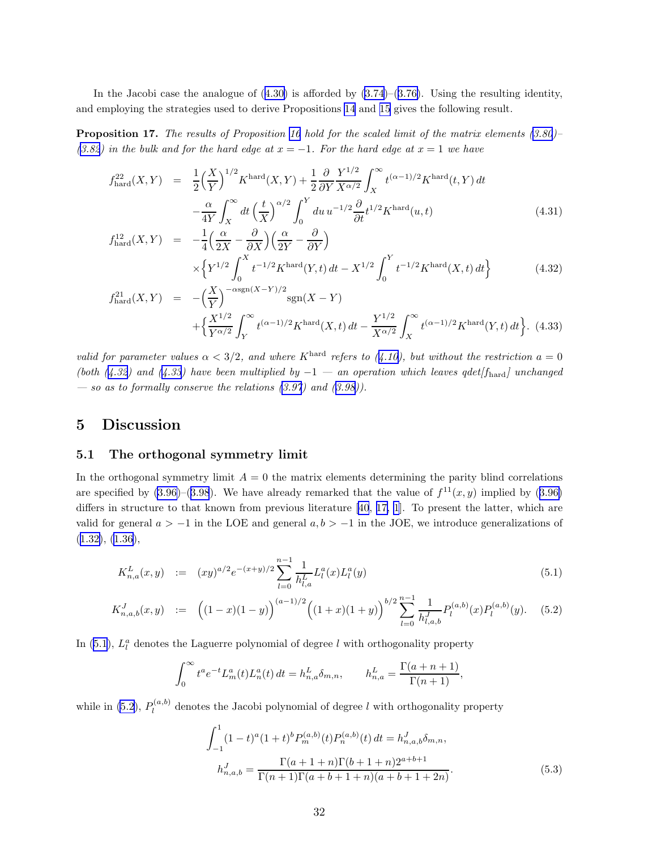<span id="page-31-0"></span>Inthe Jacobi case the analogue of  $(4.30)$  $(4.30)$  is afforded by  $(3.74)$ – $(3.76)$  $(3.76)$ . Using the resulting identity, and employing the strategies used to derive Propositions [14](#page-28-0) and [15](#page-29-0) gives the following result.

**Proposition 17.** The results of Proposition [16](#page-30-0) hold for the scaled limit of the matrix elements  $(3.80)$  $(3.80)$  $(3.80)$ ([3.82](#page-21-0)) in the bulk and for the hard edge at  $x = -1$ . For the hard edge at  $x = 1$  we have

$$
f_{\text{hard}}^{22}(X,Y) = \frac{1}{2} \left(\frac{X}{Y}\right)^{1/2} K^{\text{hard}}(X,Y) + \frac{1}{2} \frac{\partial}{\partial Y} \frac{Y^{1/2}}{X^{\alpha/2}} \int_{X}^{\infty} t^{(\alpha-1)/2} K^{\text{hard}}(t,Y) dt - \frac{\alpha}{4Y} \int_{X}^{\infty} dt \left(\frac{t}{X}\right)^{\alpha/2} \int_{0}^{Y} du \, u^{-1/2} \frac{\partial}{\partial t} t^{1/2} K^{\text{hard}}(u,t) \tag{4.31}
$$

$$
f_{\text{hard}}^{12}(X,Y) = -\frac{1}{4} \left( \frac{\alpha}{2X} - \frac{\partial}{\partial X} \right) \left( \frac{\alpha}{2Y} - \frac{\partial}{\partial Y} \right)
$$
  
 
$$
\times \left\{ Y^{1/2} \int_0^X t^{-1/2} K^{\text{hard}}(Y,t) dt - X^{1/2} \int_0^Y t^{-1/2} K^{\text{hard}}(X,t) dt \right\}
$$
(4.32)

$$
f_{\text{hard}}^{21}(X,Y) = -\left(\frac{X}{Y}\right)^{-\alpha \text{sgn}(X-Y)/2} \text{sgn}(X-Y) + \left\{\frac{X^{1/2}}{Y^{\alpha/2}} \int_{Y}^{\infty} t^{(\alpha-1)/2} K^{\text{hard}}(X,t) dt - \frac{Y^{1/2}}{X^{\alpha/2}} \int_{X}^{\infty} t^{(\alpha-1)/2} K^{\text{hard}}(Y,t) dt \right\}. (4.33)
$$

valid for parameter values  $\alpha < 3/2$ , and where K<sup>hard</sup> refers to ([4.10\)](#page-27-0), but without the restriction  $a = 0$ (both (4.32) and (4.33) have been multiplied by  $-1$  — an operation which leaves qdet[f<sub>hard</sub>] unchanged — so as to formally conserve the relations  $(3.97)$  $(3.97)$  and  $(3.98)$  $(3.98)$ ).

### 5 Discussion

### 5.1 The orthogonal symmetry limit

In the orthogonal symmetry limit  $A = 0$  the matrix elements determining the parity blind correlations arespecified by  $(3.96)$  $(3.96)$ – $(3.98)$  $(3.98)$  $(3.98)$ . We have already remarked that the value of  $f^{11}(x, y)$  implied by  $(3.96)$ differs in structure to that known from previous literature [\[40](#page-47-0), [17, 1](#page-45-0)]. To present the latter, which are valid for general  $a > -1$  in the LOE and general  $a, b > -1$  in the JOE, we introduce generalizations of ([1.32\)](#page-5-0), [\(1.36](#page-5-0)),

$$
K_{n,a}^{L}(x,y) := (xy)^{a/2} e^{-(x+y)/2} \sum_{l=0}^{n-1} \frac{1}{h_{l,a}^{L}} L_{l}^{a}(x) L_{l}^{a}(y)
$$
\n(5.1)

$$
K_{n,a,b}^J(x,y) := \left( (1-x)(1-y) \right)^{(a-1)/2} \left( (1+x)(1+y) \right)^{b/2} \sum_{l=0}^{n-1} \frac{1}{h_{l,a,b}^J} P_l^{(a,b)}(x) P_l^{(a,b)}(y). \tag{5.2}
$$

In (5.1),  $L_l^a$  denotes the Laguerre polynomial of degree l with orthogonality property

$$
\int_0^{\infty} t^a e^{-t} L_m^a(t) L_n^a(t) dt = h_{n,a}^L \delta_{m,n}, \qquad h_{n,a}^L = \frac{\Gamma(a+n+1)}{\Gamma(n+1)},
$$

while in (5.2),  $P_l^{(a,b)}$  $\mathcal{U}^{(a, b)}$  denotes the Jacobi polynomial of degree l with orthogonality property

$$
\int_{-1}^{1} (1-t)^{a} (1+t)^{b} P_{m}^{(a,b)}(t) P_{n}^{(a,b)}(t) dt = h_{n,a,b}^{J} \delta_{m,n},
$$

$$
h_{n,a,b}^{J} = \frac{\Gamma(a+1+n)\Gamma(b+1+n)2^{a+b+1}}{\Gamma(n+1)\Gamma(a+b+1+n)(a+b+1+2n)}.
$$
(5.3)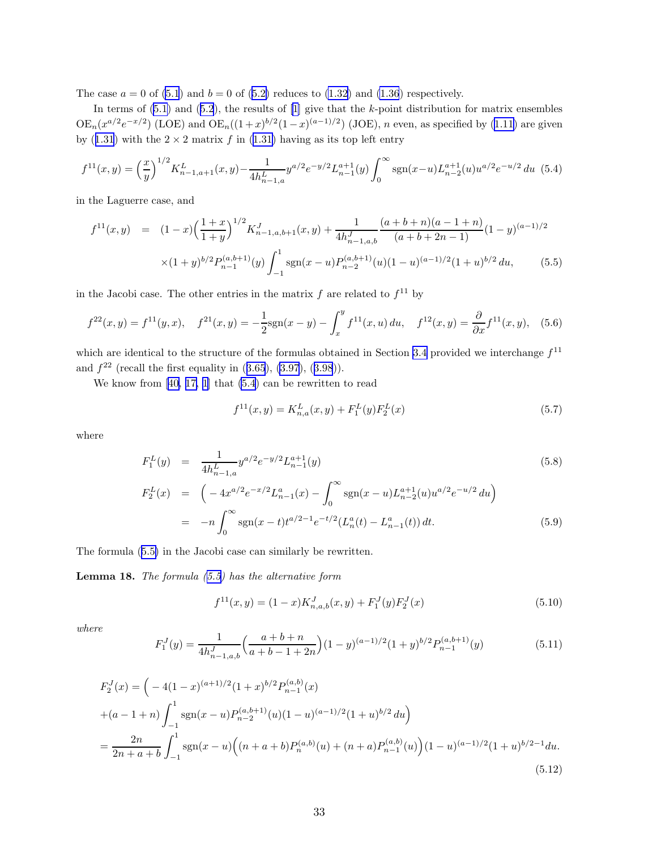<span id="page-32-0"></span>Thecase  $a = 0$  of [\(5.1](#page-31-0)) and  $b = 0$  of ([5.2\)](#page-31-0) reduces to [\(1.32](#page-5-0)) and [\(1.36](#page-5-0)) respectively.

Interms of  $(5.1)$  and  $(5.2)$  $(5.2)$  $(5.2)$ , the results of  $[1]$  give that the k-point distribution for matrix ensembles  $OE_n(x^{a/2}e^{-x/2})$ (LOE) and  $OE_n((1+x)^{b/2}(1-x)^{(a-1)/2})$  (JOE), *n* even, as specified by ([1.11\)](#page-2-0) are given by([1.31](#page-5-0)) with the  $2 \times 2$  matrix f in ([1.31\)](#page-5-0) having as its top left entry

$$
f^{11}(x,y) = \left(\frac{x}{y}\right)^{1/2} K_{n-1,a+1}^L(x,y) - \frac{1}{4h_{n-1,a}^L} y^{a/2} e^{-y/2} L_{n-1}^{a+1}(y) \int_0^\infty \text{sgn}(x-u) L_{n-2}^{a+1}(u) u^{a/2} e^{-u/2} du \tag{5.4}
$$

in the Laguerre case, and

$$
f^{11}(x,y) = (1-x)\left(\frac{1+x}{1+y}\right)^{1/2} K_{n-1,a,b+1}^J(x,y) + \frac{1}{4h_{n-1,a,b}^J} \frac{(a+b+n)(a-1+n)}{(a+b+2n-1)} (1-y)^{(a-1)/2}
$$

$$
\times (1+y)^{b/2} P_{n-1}^{(a,b+1)}(y) \int_{-1}^1 \text{sgn}(x-u) P_{n-2}^{(a,b+1)}(u) (1-u)^{(a-1)/2} (1+u)^{b/2} du, \tag{5.5}
$$

in the Jacobi case. The other entries in the matrix  $f$  are related to  $f^{11}$  by

$$
f^{22}(x,y) = f^{11}(y,x), \quad f^{21}(x,y) = -\frac{1}{2}\text{sgn}(x-y) - \int_x^y f^{11}(x,u) \, du, \quad f^{12}(x,y) = \frac{\partial}{\partial x} f^{11}(x,y), \quad (5.6)
$$

which are identical to the structure of the formulas obtained in Section [3.4](#page-19-0) provided we interchange  $f^{11}$ and $f^{22}$  (recall the first equality in  $(3.65), (3.97), (3.98)$  $(3.65), (3.97), (3.98)$  $(3.65), (3.97), (3.98)$  $(3.65), (3.97), (3.98)$  $(3.65), (3.97), (3.98)$  $(3.65), (3.97), (3.98)$  $(3.65), (3.97), (3.98)$ ).

We know from[[40,](#page-47-0) [17, 1\]](#page-45-0) that (5.4) can be rewritten to read

$$
f^{11}(x,y) = K_{n,a}^L(x,y) + F_1^L(y)F_2^L(x)
$$
\n(5.7)

where

$$
F_1^L(y) = \frac{1}{4h_{n-1,a}^L} y^{a/2} e^{-y/2} L_{n-1}^{a+1}(y)
$$
\n
$$
F_2^L(x) = \left(-4x^{a/2} e^{-x/2} L_{n-1}^a(x) - \int_0^\infty \text{sgn}(x-u) L_{n-2}^{a+1}(u) u^{a/2} e^{-u/2} du\right)
$$
\n
$$
F_2^L(x) = \left(-4x^{a/2} e^{-x/2} L_{n-1}^a(x) - \int_0^\infty \text{sgn}(x-u) L_{n-2}^{a+1}(u) u^{a/2} e^{-u/2} du\right)
$$
\n
$$
(5.8)
$$

$$
= -n \int_0^\infty \text{sgn}(x-t) t^{a/2-1} e^{-t/2} (L_n^a(t) - L_{n-1}^a(t)) dt.
$$
 (5.9)

The formula (5.5) in the Jacobi case can similarly be rewritten.

**Lemma 18.** The formula  $(5.5)$  has the alternative form

$$
f^{11}(x,y) = (1-x)K_{n,a,b}^{J}(x,y) + F_1^{J}(y)F_2^{J}(x)
$$
\n(5.10)

where

$$
F_1^J(y) = \frac{1}{4h_{n-1,a,b}^J} \left(\frac{a+b+n}{a+b-1+2n}\right) (1-y)^{(a-1)/2} (1+y)^{b/2} P_{n-1}^{(a,b+1)}(y) \tag{5.11}
$$

$$
F_2^J(x) = \left(-4(1-x)^{(a+1)/2}(1+x)^{b/2}P_{n-1}^{(a,b)}(x)\right)
$$
  
 
$$
+(a-1+n)\int_{-1}^1 \operatorname{sgn}(x-u)P_{n-2}^{(a,b+1)}(u)(1-u)^{(a-1)/2}(1+u)^{b/2} du\right)
$$
  

$$
=\frac{2n}{2n+a+b}\int_{-1}^1 \operatorname{sgn}(x-u)\left((n+a+b)P_n^{(a,b)}(u)+(n+a)P_{n-1}^{(a,b)}(u)\right)(1-u)^{(a-1)/2}(1+u)^{b/2-1} du.
$$
(5.12)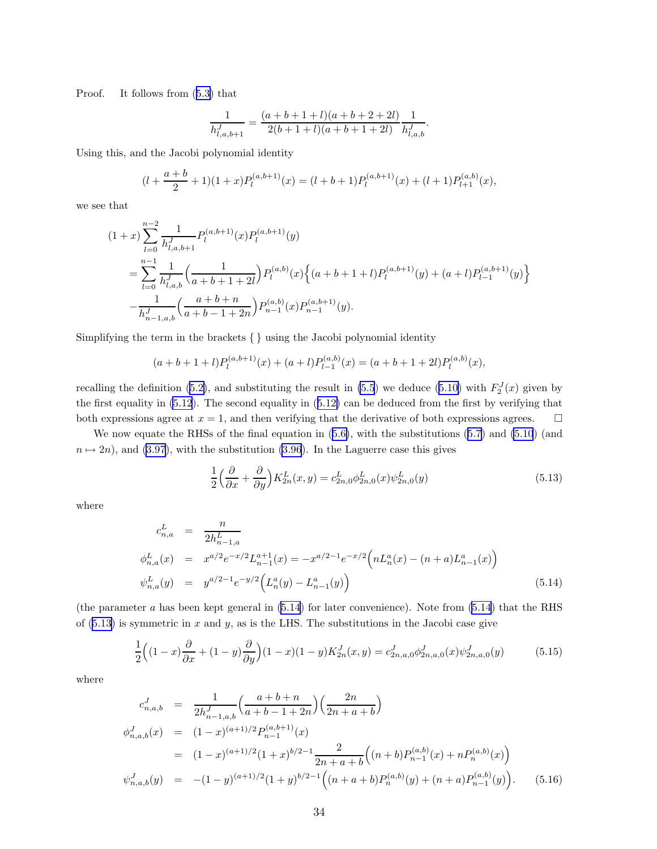<span id="page-33-0"></span>Proof. It follows from([5.3\)](#page-31-0) that

$$
\frac{1}{h^J_{l,a,b+1}} = \frac{(a+b+1+l)(a+b+2+2l)}{2(b+1+l)(a+b+1+2l)} \frac{1}{h^J_{l,a,b}}.
$$

Using this, and the Jacobi polynomial identity

$$
(l + \frac{a+b}{2} + 1)(1+x)P_l^{(a,b+1)}(x) = (l + b + 1)P_l^{(a,b+1)}(x) + (l + 1)P_{l+1}^{(a,b)}(x),
$$

we see that

$$
(1+x)\sum_{l=0}^{n-2} \frac{1}{h_{l,a,b+1}^J} P_l^{(a,b+1)}(x) P_l^{(a,b+1)}(y)
$$
  
= 
$$
\sum_{l=0}^{n-1} \frac{1}{h_{l,a,b}^J} \left( \frac{1}{a+b+1+2l} \right) P_l^{(a,b)}(x) \left\{ (a+b+1+l) P_l^{(a,b+1)}(y) + (a+l) P_{l-1}^{(a,b+1)}(y) \right\}
$$
  

$$
-\frac{1}{h_{n-1,a,b}^J} \left( \frac{a+b+n}{a+b-1+2n} \right) P_{n-1}^{(a,b)}(x) P_{n-1}^{(a,b+1)}(y).
$$

Simplifying the term in the brackets { } using the Jacobi polynomial identity

$$
(a+b+1+l)P_l^{(a,b+1)}(x) + (a+l)P_{l-1}^{(a,b)}(x) = (a+b+1+2l)P_l^{(a,b)}(x),
$$

recallingthe definition ([5.2\)](#page-31-0), and substituting the result in [\(5.5](#page-32-0)) we deduce [\(5.10\)](#page-32-0) with  $F_2^J(x)$  given by the first equality in [\(5.12](#page-32-0)). The second equality in([5.12\)](#page-32-0) can be deduced from the first by verifying that both expressions agree at  $x = 1$ , and then verifying that the derivative of both expressions agrees.  $\square$ 

We now equate the RHSs of the final equation in([5.6\)](#page-32-0), with the substitutions [\(5.7\)](#page-32-0) and [\(5.10](#page-32-0)) (and  $n \mapsto 2n$ , and [\(3.97](#page-24-0)), with the substitution [\(3.96](#page-24-0)). In the Laguerre case this gives

$$
\frac{1}{2}\left(\frac{\partial}{\partial x} + \frac{\partial}{\partial y}\right) K_{2n}^L(x, y) = c_{2n,0}^L \phi_{2n,0}^L(x) \psi_{2n,0}^L(y)
$$
\n(5.13)

where

$$
c_{n,a}^L = \frac{n}{2h_{n-1,a}^L}
$$
  
\n
$$
\phi_{n,a}^L(x) = x^{a/2}e^{-x/2}L_{n-1}^{a+1}(x) = -x^{a/2-1}e^{-x/2}\left(nL_n^a(x) - (n+a)L_{n-1}^a(x)\right)
$$
  
\n
$$
\psi_{n,a}^L(y) = y^{a/2-1}e^{-y/2}\left(L_n^a(y) - L_{n-1}^a(y)\right)
$$
\n(5.14)

(the parameter a has been kept general in  $(5.14)$  for later convenience). Note from  $(5.14)$  that the RHS of  $(5.13)$  is symmetric in x and y, as is the LHS. The substitutions in the Jacobi case give

$$
\frac{1}{2}\Big((1-x)\frac{\partial}{\partial x} + (1-y)\frac{\partial}{\partial y}\Big)(1-x)(1-y)K_{2n}^J(x,y) = c_{2n,a,0}^J \phi_{2n,a,0}^J(x)\psi_{2n,a,0}^J(y) \tag{5.15}
$$

where

$$
c_{n,a,b}^J = \frac{1}{2h_{n-1,a,b}^J} \left( \frac{a+b+n}{a+b-1+2n} \right) \left( \frac{2n}{2n+a+b} \right)
$$
  
\n
$$
\phi_{n,a,b}^J(x) = (1-x)^{(a+1)/2} P_{n-1}^{(a,b+1)}(x)
$$
  
\n
$$
= (1-x)^{(a+1)/2} (1+x)^{b/2-1} \frac{2}{2n+a+b} \left( (n+b) P_{n-1}^{(a,b)}(x) + n P_n^{(a,b)}(x) \right)
$$
  
\n
$$
\psi_{n,a,b}^J(y) = -(1-y)^{(a+1)/2} (1+y)^{b/2-1} \left( (n+a+b) P_n^{(a,b)}(y) + (n+a) P_{n-1}^{(a,b)}(y) \right).
$$
 (5.16)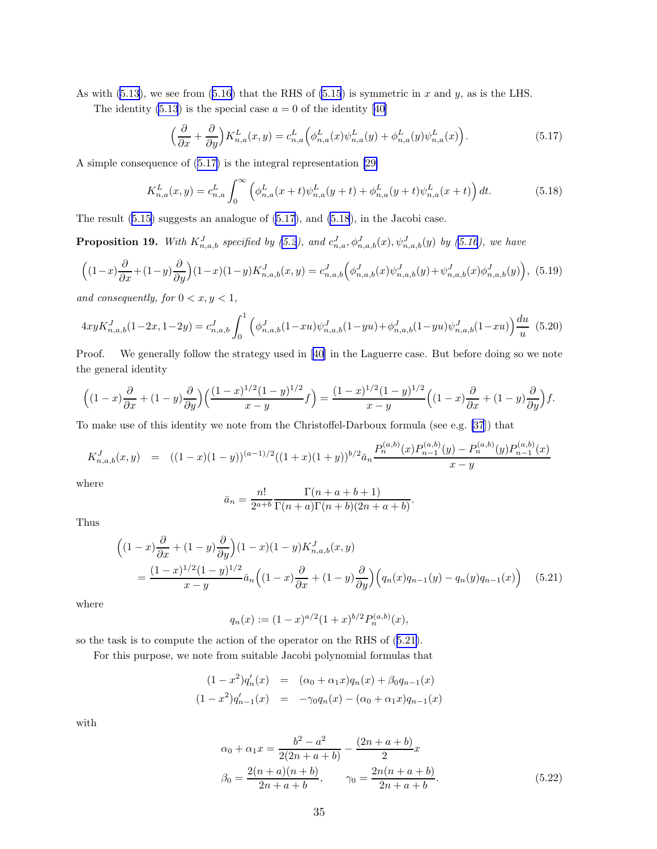<span id="page-34-0"></span>As with [\(5.13\)](#page-33-0), we see from [\(5.16\)](#page-33-0) that the RHS of [\(5.15](#page-33-0)) is symmetric in x and y, as is the LHS.

Theidentity  $(5.13)$  is the special case  $a = 0$  of the identity [[40\]](#page-47-0)

$$
\left(\frac{\partial}{\partial x} + \frac{\partial}{\partial y}\right) K_{n,a}^L(x, y) = c_{n,a}^L \left(\phi_{n,a}^L(x)\psi_{n,a}^L(y) + \phi_{n,a}^L(y)\psi_{n,a}^L(x)\right).
$$
\n(5.17)

A simple consequence of (5.17) is the integral representation [\[29\]](#page-46-0)

$$
K_{n,a}^{L}(x,y) = c_{n,a}^{L} \int_{0}^{\infty} \left( \phi_{n,a}^{L}(x+t) \psi_{n,a}^{L}(y+t) + \phi_{n,a}^{L}(y+t) \psi_{n,a}^{L}(x+t) \right) dt.
$$
 (5.18)

The result [\(5.15\)](#page-33-0) suggests an analogue of (5.17), and (5.18), in the Jacobi case.

**Proposition 19.** With  $K_{n,a,b}^J$  specified by [\(5.2](#page-31-0)), and  $c_{n,a}^J$ ,  $\phi_{n,a,b}^J(x)$ ,  $\psi_{n,a,b}^J(y)$  by [\(5.16](#page-33-0)), we have

$$
\left((1-x)\frac{\partial}{\partial x} + (1-y)\frac{\partial}{\partial y}\right)(1-x)(1-y)K_{n,a,b}^J(x,y) = c_{n,a,b}^J\left(\phi_{n,a,b}^J(x)\psi_{n,a,b}^J(y) + \psi_{n,a,b}^J(x)\phi_{n,a,b}^J(y)\right),
$$
(5.19)

 $and\ consequently,\ for\ 0 < x,y < 1,$ 

$$
4xyK_{n,a,b}^{J}(1-2x,1-2y) = c_{n,a,b}^{J} \int_{0}^{1} \left( \phi_{n,a,b}^{J}(1-xu)\psi_{n,a,b}^{J}(1-yu) + \phi_{n,a,b}^{J}(1-yu)\psi_{n,a,b}^{J}(1-xu) \right) \frac{du}{u}
$$
(5.20)

Proof. We generally follow the strategy used in [\[40\]](#page-47-0) in the Laguerre case. But before doing so we note the general identity

$$
\left((1-x)\frac{\partial}{\partial x} + (1-y)\frac{\partial}{\partial y}\right)\left(\frac{(1-x)^{1/2}(1-y)^{1/2}}{x-y}f\right) = \frac{(1-x)^{1/2}(1-y)^{1/2}}{x-y}\left((1-x)\frac{\partial}{\partial x} + (1-y)\frac{\partial}{\partial y}\right)f.
$$

To make use of this identity we note from the Christoffel-Darboux formula (see e.g. [\[37](#page-46-0)]) that

$$
K_{n,a,b}^{J}(x,y) = ((1-x)(1-y))^{(a-1)/2}((1+x)(1+y))^{b/2}\bar{a}_n \frac{P_n^{(a,b)}(x)P_{n-1}^{(a,b)}(y) - P_n^{(a,b)}(y)P_{n-1}^{(a,b)}(x)}{x-y}
$$

where

$$
\bar{a}_n = \frac{n!}{2^{a+b}} \frac{\Gamma(n+a+b+1)}{\Gamma(n+a)\Gamma(n+b)(2n+a+b)}.
$$

Thus

$$
\begin{aligned}\n\left((1-x)\frac{\partial}{\partial x} + (1-y)\frac{\partial}{\partial y}\right)(1-x)(1-y)K_{n,a,b}^J(x,y) \\
&= \frac{(1-x)^{1/2}(1-y)^{1/2}}{x-y}\bar{a}_n\left((1-x)\frac{\partial}{\partial x} + (1-y)\frac{\partial}{\partial y}\right)\left(q_n(x)q_{n-1}(y) - q_n(y)q_{n-1}(x)\right)\n\end{aligned} \tag{5.21}
$$

where

$$
q_n(x) := (1-x)^{a/2} (1+x)^{b/2} P_n^{(a,b)}(x),
$$

so the task is to compute the action of the operator on the RHS of (5.21).

For this purpose, we note from suitable Jacobi polynomial formulas that

$$
(1 - x2)q'n(x) = (\alpha_0 + \alpha_1 x)qn(x) + \beta_0 qn-1(x)
$$
  

$$
(1 - x2)q'n-1(x) = -\gamma_0 qn(x) - (\alpha_0 + \alpha_1 x)qn-1(x)
$$

with

$$
\alpha_0 + \alpha_1 x = \frac{b^2 - a^2}{2(2n + a + b)} - \frac{(2n + a + b)}{2}x
$$
  

$$
\beta_0 = \frac{2(n + a)(n + b)}{2n + a + b}, \qquad \gamma_0 = \frac{2n(n + a + b)}{2n + a + b}.
$$
 (5.22)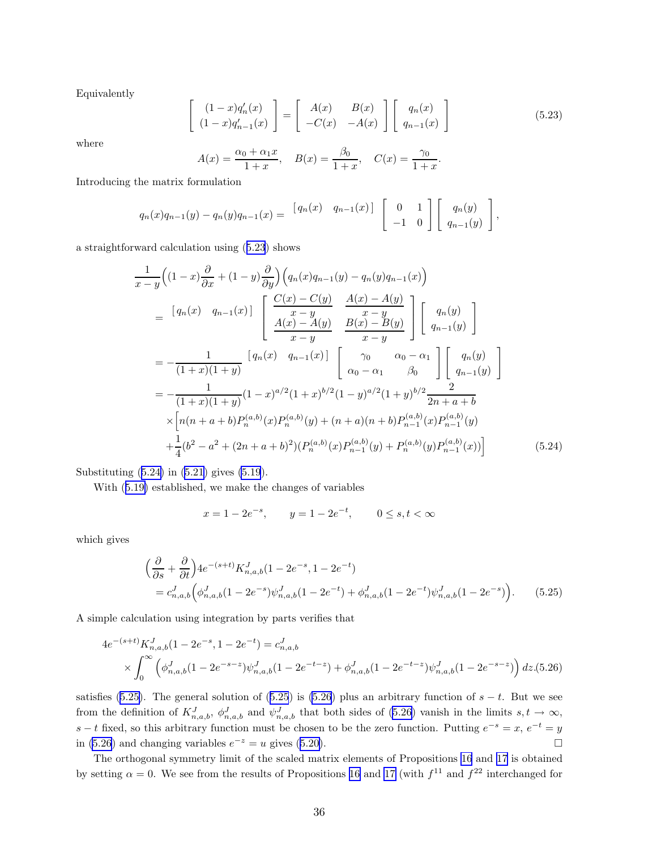Equivalently

$$
\begin{bmatrix}\n(1-x)q'_n(x) \\
(1-x)q'_{n-1}(x)\n\end{bmatrix} = \begin{bmatrix}\nA(x) & B(x) \\
-C(x) & -A(x)\n\end{bmatrix} \begin{bmatrix}\nq_n(x) \\
q_{n-1}(x)\n\end{bmatrix}
$$
\n(5.23)

where

$$
A(x) = \frac{\alpha_0 + \alpha_1 x}{1 + x}, \quad B(x) = \frac{\beta_0}{1 + x}, \quad C(x) = \frac{\gamma_0}{1 + x}.
$$

Introducing the matrix formulation

$$
q_n(x)q_{n-1}(y) - q_n(y)q_{n-1}(x) = \begin{bmatrix} q_n(x) & q_{n-1}(x) \end{bmatrix} \begin{bmatrix} 0 & 1 \\ -1 & 0 \end{bmatrix} \begin{bmatrix} q_n(y) \\ q_{n-1}(y) \end{bmatrix},
$$

a straightforward calculation using (5.23) shows

$$
\frac{1}{x-y}\left((1-x)\frac{\partial}{\partial x} + (1-y)\frac{\partial}{\partial y}\right)\left(q_n(x)q_{n-1}(y) - q_n(y)q_{n-1}(x)\right)
$$
\n
$$
= \left[q_n(x) - q_{n-1}(x)\right] \left[\begin{array}{c} \frac{C(x) - C(y)}{x - y} & \frac{A(x) - A(y)}{x - y} \\ \frac{A(x) - A(y)}{x - y} & \frac{x - y}{x - y} \end{array}\right] \left[q_n(y)\right]
$$
\n
$$
= -\frac{1}{(1+x)(1+y)} \left[q_n(x) - q_{n-1}(x)\right] \left[\begin{array}{c} \gamma_0 & \alpha_0 - \alpha_1 \\ \alpha_0 - \alpha_1 & \beta_0 \end{array}\right] \left[q_n(y)\right]
$$
\n
$$
= -\frac{1}{(1+x)(1+y)} (1-x)^{a/2} (1+x)^{b/2} (1-y)^{a/2} (1+y)^{b/2} \frac{2}{2n+a+b}
$$
\n
$$
\times \left[n(n+a+b)P_n^{(a,b)}(x)P_n^{(a,b)}(y) + (n+a)(n+b)P_{n-1}^{(a,b)}(x)P_{n-1}^{(a,b)}(y) + \frac{1}{4}(b^2 - a^2 + (2n+a+b)^2)(P_n^{(a,b)}(x)P_{n-1}^{(a,b)}(y) + P_n^{(a,b)}(y)P_{n-1}^{(a,b)}(x))\right]
$$
\n(5.24)

Substituting (5.24) in [\(5.21](#page-34-0)) gives [\(5.19](#page-34-0)).

With([5.19\)](#page-34-0) established, we make the changes of variables

$$
x = 1 - 2e^{-s}
$$
,  $y = 1 - 2e^{-t}$ ,  $0 \le s, t < \infty$ 

which gives

$$
\begin{split} &\left(\frac{\partial}{\partial s} + \frac{\partial}{\partial t}\right) 4e^{-(s+t)} K_{n,a,b}^J (1 - 2e^{-s}, 1 - 2e^{-t}) \\ &= c_{n,a,b}^J \Big(\phi_{n,a,b}^J (1 - 2e^{-s}) \psi_{n,a,b}^J (1 - 2e^{-t}) + \phi_{n,a,b}^J (1 - 2e^{-t}) \psi_{n,a,b}^J (1 - 2e^{-s})\Big). \end{split} \tag{5.25}
$$

A simple calculation using integration by parts verifies that

$$
4e^{-(s+t)}K_{n,a,b}^J(1-2e^{-s}, 1-2e^{-t}) = c_{n,a,b}^J
$$
  
 
$$
\times \int_0^\infty \left( \phi_{n,a,b}^J(1-2e^{-s-z})\psi_{n,a,b}^J(1-2e^{-t-z}) + \phi_{n,a,b}^J(1-2e^{-t-z})\psi_{n,a,b}^J(1-2e^{-s-z}) \right) dz
$$
 (5.26)

satisfies (5.25). The general solution of (5.25) is (5.26) plus an arbitrary function of  $s - t$ . But we see from the definition of  $K_{n,a,b}^J$ ,  $\phi_{n,a,b}^J$  and  $\psi_{n,a,b}^J$  that both sides of (5.26) vanish in the limits  $s,t \to \infty$ ,  $s - t$  fixed, so this arbitrary function must be chosen to be the zero function. Putting  $e^{-s} = x$ ,  $e^{-t} = y$ in(5.26) and changing variables  $e^{-z} = u$  gives ([5.20\)](#page-34-0). □

The orthogonal symmetry limit of the scaled matrix elements of Propositions [16](#page-30-0) and [17](#page-31-0) is obtained by setting  $\alpha = 0$ . We see from the results of Propositions [16](#page-30-0) and [17](#page-31-0) (with  $f^{11}$  and  $f^{22}$  interchanged for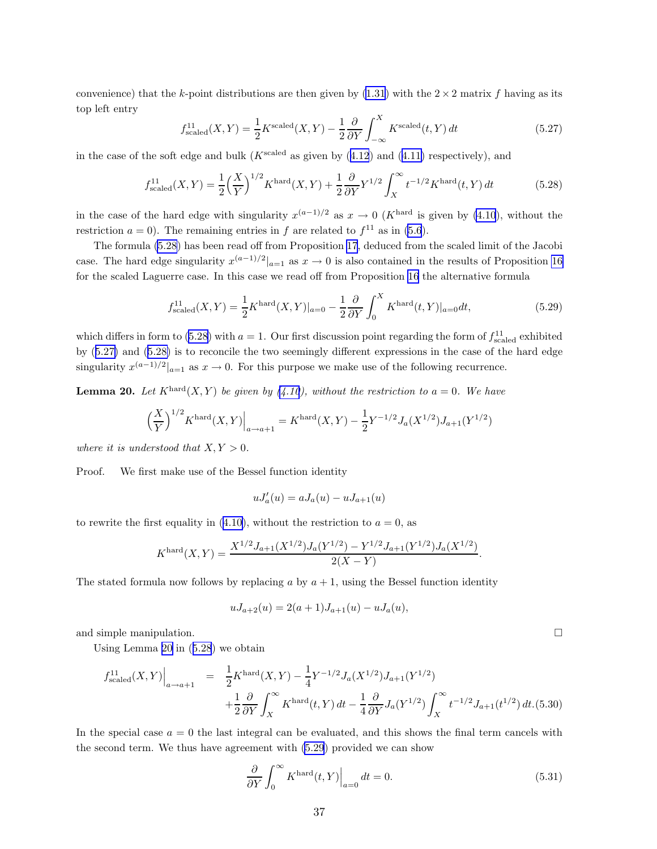<span id="page-36-0"></span>convenience) that the k-point distributions are then given by [\(1.31](#page-5-0)) with the  $2 \times 2$  matrix f having as its top left entry

$$
f_{\text{scaled}}^{11}(X,Y) = \frac{1}{2}K^{\text{scaled}}(X,Y) - \frac{1}{2}\frac{\partial}{\partial Y}\int_{-\infty}^{X} K^{\text{scaled}}(t,Y) dt
$$
 (5.27)

inthe case of the soft edge and bulk ( $K^{\text{scaled}}$  as given by ([4.12](#page-27-0)) and ([4.11\)](#page-27-0) respectively), and

$$
f_{\text{scaled}}^{11}(X,Y) = \frac{1}{2} \left(\frac{X}{Y}\right)^{1/2} K^{\text{hard}}(X,Y) + \frac{1}{2} \frac{\partial}{\partial Y} Y^{1/2} \int_{X}^{\infty} t^{-1/2} K^{\text{hard}}(t,Y) dt \tag{5.28}
$$

in the case of the hard edge with singularity  $x^{(a-1)/2}$  as  $x \to 0$  (K<sup>hard</sup> is given by [\(4.10](#page-27-0)), without the restriction  $a = 0$ ). The remaining entries in f are related to  $f<sup>11</sup>$  as in [\(5.6](#page-32-0)).

The formula (5.28) has been read off from Proposition [17](#page-31-0), deduced from the scaled limit of the Jacobi case. The hard edge singularity  $x^{(a-1)/2}|_{a=1}$  as  $x \to 0$  is also contained in the results of Proposition [16](#page-30-0) for the scaled Laguerre case. In this case we read off from Proposition [16](#page-30-0) the alternative formula

$$
f_{\text{scaled}}^{11}(X,Y) = \frac{1}{2} K^{\text{hard}}(X,Y)|_{a=0} - \frac{1}{2} \frac{\partial}{\partial Y} \int_{0}^{X} K^{\text{hard}}(t,Y)|_{a=0} dt,
$$
\n(5.29)

which differs in form to (5.28) with  $a = 1$ . Our first discussion point regarding the form of  $f_{\text{scaled}}^{11}$  exhibited by (5.27) and (5.28) is to reconcile the two seemingly different expressions in the case of the hard edge singularity  $x^{(a-1)/2}|_{a=1}$  as  $x \to 0$ . For this purpose we make use of the following recurrence.

**Lemma 20.** Let  $K^{\text{hard}}(X, Y)$  be given by [\(4.10](#page-27-0)), without the restriction to  $a = 0$ . We have

$$
\left(\frac{X}{Y}\right)^{1/2} K^{\text{hard}}(X,Y)\Big|_{a\to a+1} = K^{\text{hard}}(X,Y) - \frac{1}{2} Y^{-1/2} J_a(X^{1/2}) J_{a+1}(Y^{1/2})
$$

where it is understood that  $X, Y > 0$ .

Proof. We first make use of the Bessel function identity

$$
uJ'_a(u) = aJ_a(u) - uJ_{a+1}(u)
$$

to rewrite the first equality in [\(4.10\)](#page-27-0), without the restriction to  $a = 0$ , as

$$
K^{\text{hard}}(X,Y) = \frac{X^{1/2}J_{a+1}(X^{1/2})J_a(Y^{1/2}) - Y^{1/2}J_{a+1}(Y^{1/2})J_a(X^{1/2})}{2(X-Y)}.
$$

The stated formula now follows by replacing a by  $a + 1$ , using the Bessel function identity

$$
uJ_{a+2}(u) = 2(a+1)J_{a+1}(u) - uJ_a(u),
$$

and simple manipulation.

Using Lemma 20 in (5.28) we obtain

$$
f_{\text{scaled}}^{11}(X,Y)\Big|_{a\to a+1} = \frac{1}{2} K^{\text{hard}}(X,Y) - \frac{1}{4} Y^{-1/2} J_a(X^{1/2}) J_{a+1}(Y^{1/2})
$$
  
+ 
$$
\frac{1}{2} \frac{\partial}{\partial Y} \int_X^{\infty} K^{\text{hard}}(t,Y) dt - \frac{1}{4} \frac{\partial}{\partial Y} J_a(Y^{1/2}) \int_X^{\infty} t^{-1/2} J_{a+1}(t^{1/2}) dt.(5.30)
$$

In the special case  $a = 0$  the last integral can be evaluated, and this shows the final term cancels with the second term. We thus have agreement with (5.29) provided we can show

$$
\frac{\partial}{\partial Y} \int_0^\infty K^{\text{hard}}(t, Y) \Big|_{a=0} dt = 0. \tag{5.31}
$$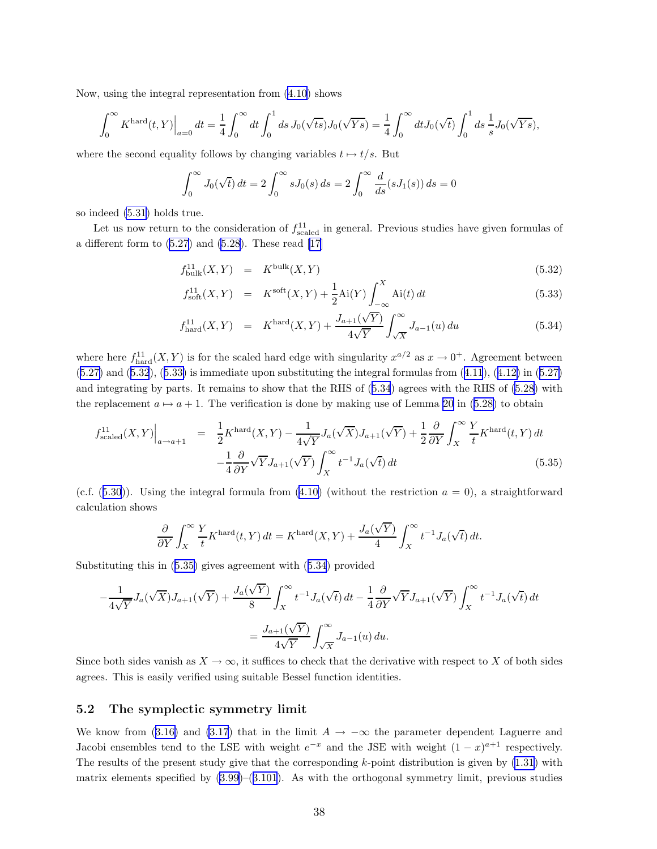<span id="page-37-0"></span>Now, using the integral representation from [\(4.10](#page-27-0)) shows

$$
\int_0^\infty K^{\rm hard}(t,Y)\Big|_{a=0} dt = \frac{1}{4} \int_0^\infty dt \int_0^1 ds \, J_0(\sqrt{ts}) J_0(\sqrt{Ys}) = \frac{1}{4} \int_0^\infty dt J_0(\sqrt{t}) \int_0^1 ds \, \frac{1}{s} J_0(\sqrt{Ys}),
$$

where the second equality follows by changing variables  $t \mapsto t/s$ . But

$$
\int_0^{\infty} J_0(\sqrt{t}) dt = 2 \int_0^{\infty} s J_0(s) ds = 2 \int_0^{\infty} \frac{d}{ds} (s J_1(s)) ds = 0
$$

so indeed [\(5.31](#page-36-0)) holds true.

Let us now return to the consideration of  $f_{\text{scaled}}^{11}$  in general. Previous studies have given formulas of adifferent form to  $(5.27)$  and  $(5.28)$ . These read  $[17]$  $[17]$ 

$$
f_{\text{bulk}}^{11}(X,Y) = K^{\text{bulk}}(X,Y) \tag{5.32}
$$

$$
f_{\text{soft}}^{11}(X,Y) = K^{\text{soft}}(X,Y) + \frac{1}{2}\text{Ai}(Y)\int_{-\infty}^{X} \text{Ai}(t) dt
$$
 (5.33)

$$
f_{\text{hard}}^{11}(X,Y) = K^{\text{hard}}(X,Y) + \frac{J_{a+1}(\sqrt{Y})}{4\sqrt{Y}} \int_{\sqrt{X}}^{\infty} J_{a-1}(u) du \qquad (5.34)
$$

where here  $f_{\text{hard}}^{11}(X, Y)$  is for the scaled hard edge with singularity  $x^{a/2}$  as  $x \to 0^+$ . Agreement between  $(5.27)$  $(5.27)$ and  $(5.32)$ ,  $(5.33)$  is immediate upon substituting the integral formulas from  $(4.11)$  $(4.11)$  $(4.11)$ ,  $(4.12)$  $(4.12)$  in  $(5.27)$ and integrating by parts. It remains to show that the RHS of (5.34) agrees with the RHS of [\(5.28](#page-36-0)) with thereplacement  $a \mapsto a + 1$ . The verification is done by making use of Lemma [20](#page-36-0) in ([5.28\)](#page-36-0) to obtain

$$
f_{\text{scaled}}^{11}(X,Y)\Big|_{a\to a+1} = \frac{1}{2}K^{\text{hard}}(X,Y) - \frac{1}{4\sqrt{Y}}J_a(\sqrt{X})J_{a+1}(\sqrt{Y}) + \frac{1}{2}\frac{\partial}{\partial Y}\int_X^\infty \frac{Y}{t}K^{\text{hard}}(t,Y) dt - \frac{1}{4}\frac{\partial}{\partial Y}\sqrt{Y}J_{a+1}(\sqrt{Y})\int_X^\infty t^{-1}J_a(\sqrt{t}) dt
$$
\n(5.35)

(c.f. $(5.30)$  $(5.30)$  $(5.30)$ ). Using the integral formula from  $(4.10)$  $(4.10)$  (without the restriction  $a = 0$ ), a straightforward calculation shows

$$
\frac{\partial}{\partial Y}\int_X^\infty \frac{Y}{t} K^{\rm hard}(t,Y)\,dt = K^{\rm hard}(X,Y) + \frac{J_a(\sqrt{Y})}{4}\int_X^\infty t^{-1}J_a(\sqrt{t})\,dt.
$$

Substituting this in (5.35) gives agreement with (5.34) provided

$$
-\frac{1}{4\sqrt{Y}}J_a(\sqrt{X})J_{a+1}(\sqrt{Y}) + \frac{J_a(\sqrt{Y})}{8}\int_X^\infty t^{-1}J_a(\sqrt{t}) dt - \frac{1}{4}\frac{\partial}{\partial Y}\sqrt{Y}J_{a+1}(\sqrt{Y})\int_X^\infty t^{-1}J_a(\sqrt{t}) dt
$$

$$
= \frac{J_{a+1}(\sqrt{Y})}{4\sqrt{Y}}\int_{\sqrt{X}}^\infty J_{a-1}(u) du.
$$

Since both sides vanish as  $X \to \infty$ , it suffices to check that the derivative with respect to X of both sides agrees. This is easily verified using suitable Bessel function identities.

### 5.2 The symplectic symmetry limit

Weknow from ([3.16\)](#page-11-0) and [\(3.17](#page-11-0)) that in the limit  $A \to -\infty$  the parameter dependent Laguerre and Jacobi ensembles tend to the LSE with weight  $e^{-x}$  and the JSE with weight  $(1-x)^{a+1}$  respectively. The results of the present study give that the corresponding  $k$ -point distribution is given by  $(1.31)$  with matrixelements specified by  $(3.99)$  $(3.99)$ – $(3.101)$  $(3.101)$  $(3.101)$ . As with the orthogonal symmetry limit, previous studies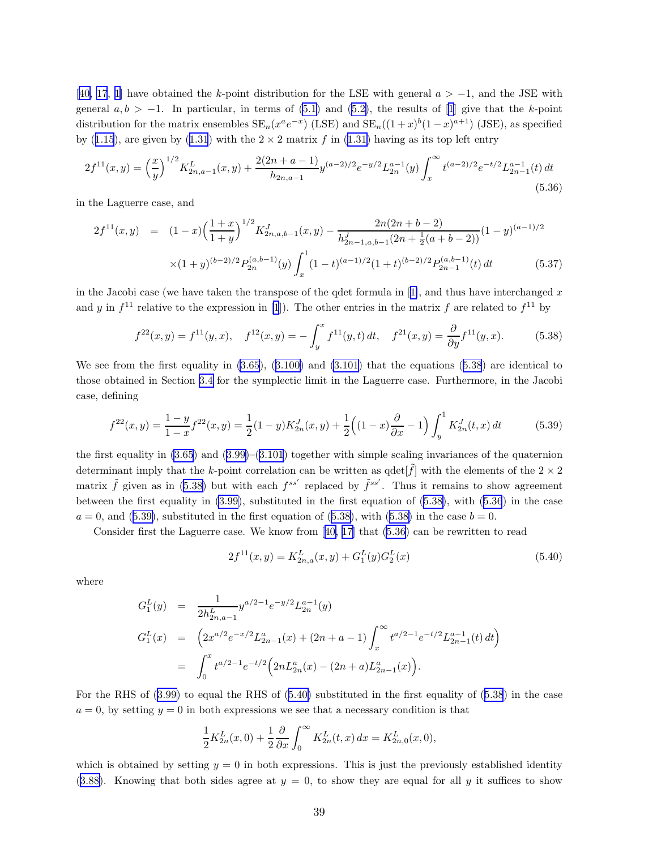<span id="page-38-0"></span>[[40,](#page-47-0) [17](#page-45-0), [1\]](#page-45-0) have obtained the k-point distribution for the LSE with general  $a > -1$ , and the JSE with general $a, b > -1$ . In particular, in terms of [\(5.1](#page-31-0)) and ([5.2\)](#page-31-0), the results of [\[1](#page-45-0)] give that the k-point distribution for the matrix ensembles  $SE_n(x^a e^{-x})$  (LSE) and  $SE_n((1+x)^b(1-x)^{a+1})$  (JSE), as specified by([1.15](#page-2-0)), are given by ([1.31](#page-5-0)) with the  $2 \times 2$  matrix f in [\(1.31\)](#page-5-0) having as its top left entry

$$
2f^{11}(x,y) = \left(\frac{x}{y}\right)^{1/2} K_{2n,a-1}^L(x,y) + \frac{2(2n+a-1)}{h_{2n,a-1}} y^{(a-2)/2} e^{-y/2} L_{2n}^{a-1}(y) \int_x^\infty t^{(a-2)/2} e^{-t/2} L_{2n-1}^{a-1}(t) dt
$$
\n(5.36)

in the Laguerre case, and

$$
2f^{11}(x,y) = (1-x)\left(\frac{1+x}{1+y}\right)^{1/2} K_{2n,a,b-1}^{J}(x,y) - \frac{2n(2n+b-2)}{h_{2n-1,a,b-1}^{J}(2n+\frac{1}{2}(a+b-2))} (1-y)^{(a-1)/2}
$$

$$
\times (1+y)^{(b-2)/2} P_{2n}^{(a,b-1)}(y) \int_{x}^{1} (1-t)^{(a-1)/2} (1+t)^{(b-2)/2} P_{2n-1}^{(a,b-1)}(t) dt \qquad (5.37)
$$

inthe Jacobi case (we have taken the transpose of the qdet formula in  $[1]$  $[1]$ , and thus have interchanged x and y in  $f<sup>11</sup>$  relative to the expression in [\[1](#page-45-0)]). The other entries in the matrix f are related to  $f<sup>11</sup>$  by

$$
f^{22}(x,y) = f^{11}(y,x), \quad f^{12}(x,y) = -\int_{y}^{x} f^{11}(y,t) dt, \quad f^{21}(x,y) = \frac{\partial}{\partial y} f^{11}(y,x). \tag{5.38}
$$

We see from the first equality in [\(3.65](#page-20-0)),([3.100\)](#page-24-0) and [\(3.101](#page-24-0)) that the equations (5.38) are identical to those obtained in Section [3.4](#page-19-0) for the symplectic limit in the Laguerre case. Furthermore, in the Jacobi case, defining

$$
f^{22}(x,y) = \frac{1-y}{1-x} f^{22}(x,y) = \frac{1}{2}(1-y)K_{2n}^{J}(x,y) + \frac{1}{2}\left((1-x)\frac{\partial}{\partial x} - 1\right)\int_{y}^{1} K_{2n}^{J}(t,x) dt
$$
(5.39)

the first equality in  $(3.65)$  and  $(3.99)$ – $(3.101)$  $(3.101)$  $(3.101)$  together with simple scaling invariances of the quaternion determinant imply that the k-point correlation can be written as  $\det[\tilde{f}]$  with the elements of the  $2 \times 2$ matrix  $\tilde{f}$  given as in (5.38) but with each  $f^{ss'}$  replaced by  $\tilde{f}^{ss'}$ . Thus it remains to show agreement between the first equality in [\(3.99](#page-24-0)), substituted in the first equation of (5.38), with (5.36) in the case  $a = 0$ , and (5.39), substituted in the first equation of (5.38), with (5.38) in the case  $b = 0$ .

Considerfirst the Laguerre case. We know from  $[40, 17]$  $[40, 17]$  $[40, 17]$  that  $(5.36)$  can be rewritten to read

$$
2f^{11}(x,y) = K_{2n,a}^{L}(x,y) + G_1^{L}(y)G_2^{L}(x)
$$
\n(5.40)

where

$$
G_1^L(y) = \frac{1}{2h_{2n,a-1}^L} y^{a/2-1} e^{-y/2} L_{2n}^{a-1}(y)
$$
  
\n
$$
G_1^L(x) = \left(2x^{a/2} e^{-x/2} L_{2n-1}^a(x) + (2n+a-1) \int_x^\infty t^{a/2-1} e^{-t/2} L_{2n-1}^{a-1}(t) dt\right)
$$
  
\n
$$
= \int_0^x t^{a/2-1} e^{-t/2} \left(2n L_{2n}^a(x) - (2n+a) L_{2n-1}^a(x)\right).
$$

For the RHS of([3.99\)](#page-24-0) to equal the RHS of (5.40) substituted in the first equality of (5.38) in the case  $a = 0$ , by setting  $y = 0$  in both expressions we see that a necessary condition is that

$$
\frac{1}{2}K_{2n}^{L}(x,0) + \frac{1}{2}\frac{\partial}{\partial x}\int_{0}^{\infty}K_{2n}^{L}(t,x) dx = K_{2n,0}^{L}(x,0),
$$

which is obtained by setting  $y = 0$  in both expressions. This is just the previously established identity  $(3.88)$  $(3.88)$ . Knowing that both sides agree at  $y = 0$ , to show they are equal for all y it suffices to show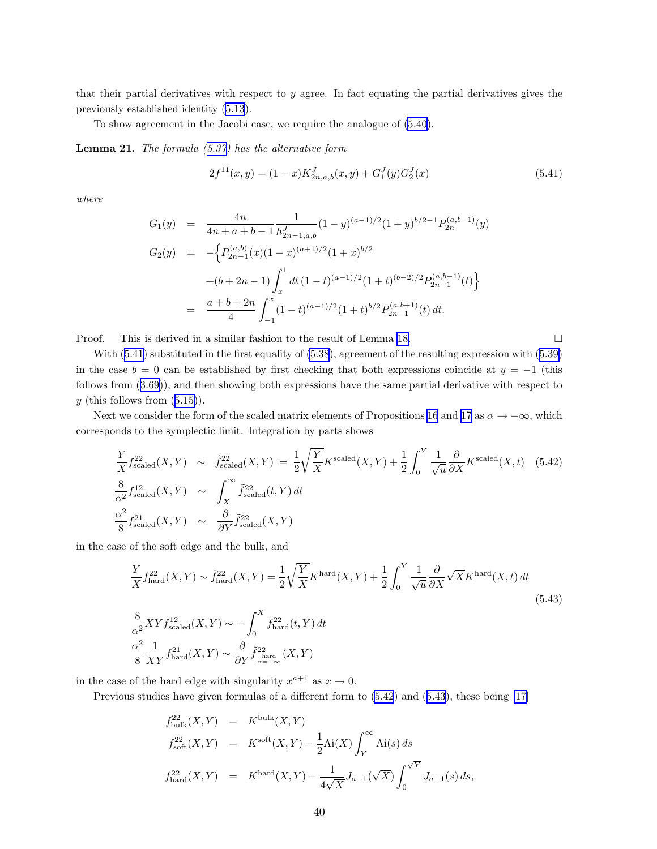<span id="page-39-0"></span>that their partial derivatives with respect to y agree. In fact equating the partial derivatives gives the previously established identity [\(5.13](#page-33-0)).

To show agreement in the Jacobi case, we require the analogue of [\(5.40](#page-38-0)).

**Lemma 21.** The formula  $(5.37)$  $(5.37)$  has the alternative form

$$
2f^{11}(x,y) = (1-x)K_{2n,a,b}^{J}(x,y) + G_1^{J}(y)G_2^{J}(x)
$$
\n(5.41)

where

$$
G_1(y) = \frac{4n}{4n+a+b-1} \frac{1}{h_{2n-1,a,b}^{J}} (1-y)^{(a-1)/2} (1+y)^{b/2-1} P_{2n}^{(a,b-1)}(y)
$$
  
\n
$$
G_2(y) = -\left\{ P_{2n-1}^{(a,b)}(x) (1-x)^{(a+1)/2} (1+x)^{b/2} + (b+2n-1) \int_x^1 dt (1-t)^{(a-1)/2} (1+t)^{(b-2)/2} P_{2n-1}^{(a,b-1)}(t) \right\}
$$
  
\n
$$
= \frac{a+b+2n}{4} \int_{-1}^x (1-t)^{(a-1)/2} (1+t)^{b/2} P_{2n-1}^{(a,b+1)}(t) dt.
$$

Proof. This is derived in a similar fashion to the result of Lemma [18.](#page-32-0)

With $(5.41)$  substituted in the first equality of  $(5.38)$ , agreement of the resulting expression with  $(5.39)$  $(5.39)$ in the case  $b = 0$  can be established by first checking that both expressions coincide at  $y = -1$  (this follows from([3.69\)](#page-20-0)), and then showing both expressions have the same partial derivative with respect to  $y$ (this follows from  $(5.15)$  $(5.15)$ ).

Next we consider the form of the scaled matrix elements of Propositions [16](#page-30-0) and [17](#page-31-0) as  $\alpha \to -\infty$ , which corresponds to the symplectic limit. Integration by parts shows

$$
\frac{Y}{X} f_{\text{scaled}}^{22}(X, Y) \sim \tilde{f}_{\text{scaled}}^{22}(X, Y) = \frac{1}{2} \sqrt{\frac{Y}{X}} K^{\text{scaled}}(X, Y) + \frac{1}{2} \int_{0}^{Y} \frac{1}{\sqrt{u}} \frac{\partial}{\partial X} K^{\text{scaled}}(X, t) \quad (5.42)
$$
\n
$$
\frac{8}{\alpha^2} f_{\text{scaled}}^{12}(X, Y) \sim \int_{X}^{\infty} \tilde{f}_{\text{scaled}}^{22}(t, Y) dt
$$
\n
$$
\frac{\alpha^2}{8} f_{\text{scaled}}^{21}(X, Y) \sim \frac{\partial}{\partial Y} \tilde{f}_{\text{scaled}}^{22}(X, Y)
$$

in the case of the soft edge and the bulk, and

$$
\frac{Y}{X} f_{\text{hard}}^{22}(X, Y) \sim \tilde{f}_{\text{hard}}^{22}(X, Y) = \frac{1}{2} \sqrt{\frac{Y}{X}} K^{\text{hard}}(X, Y) + \frac{1}{2} \int_{0}^{Y} \frac{1}{\sqrt{u}} \frac{\partial}{\partial X} \sqrt{X} K^{\text{hard}}(X, t) dt
$$
\n
$$
\frac{8}{\alpha^{2}} XY f_{\text{scaled}}^{12}(X, Y) \sim - \int_{0}^{X} f_{\text{hard}}^{22}(t, Y) dt
$$
\n
$$
\frac{\alpha^{2}}{8} \frac{1}{XY} f_{\text{hard}}^{21}(X, Y) \sim \frac{\partial}{\partial Y} \tilde{f}_{\text{a} = -\infty}^{22}(X, Y)
$$
\n(5.43)

in the case of the hard edge with singularity  $x^{a+1}$  as  $x \to 0$ .

Previous studies have given formulas of a different form to (5.42) and (5.43), these being [\[17\]](#page-45-0)

$$
f_{\text{bulk}}^{22}(X,Y) = K^{\text{bulk}}(X,Y)
$$
  
\n
$$
f_{\text{soft}}^{22}(X,Y) = K^{\text{soft}}(X,Y) - \frac{1}{2}\text{Ai}(X)\int_{Y}^{\infty} \text{Ai}(s) ds
$$
  
\n
$$
f_{\text{hard}}^{22}(X,Y) = K^{\text{hard}}(X,Y) - \frac{1}{4\sqrt{X}}J_{a-1}(\sqrt{X})\int_{0}^{\sqrt{Y}} J_{a+1}(s) ds,
$$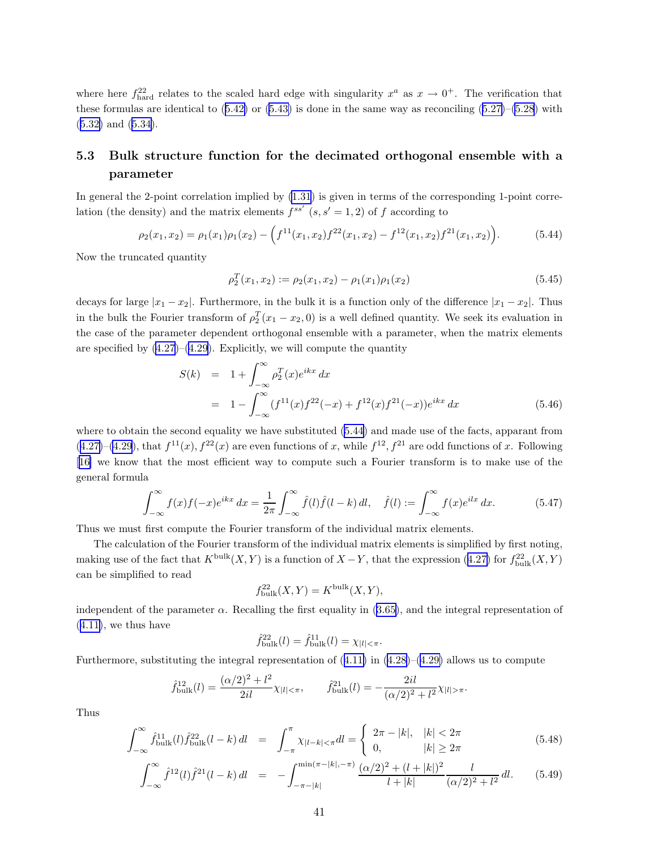<span id="page-40-0"></span>where here  $f_{\text{hard}}^{22}$  relates to the scaled hard edge with singularity  $x^a$  as  $x \to 0^+$ . The verification that theseformulas are identical to  $(5.42)$  $(5.42)$  or  $(5.43)$  $(5.43)$  is done in the same way as reconciling  $(5.27)$  $(5.27)$ – $(5.28)$  $(5.28)$  with ([5.32\)](#page-37-0) and([5.34\)](#page-37-0).

### 5.3 Bulk structure function for the decimated orthogonal ensemble with a parameter

In general the 2-point correlation implied by [\(1.31](#page-5-0)) is given in terms of the corresponding 1-point correlation (the density) and the matrix elements  $f^{ss'}$   $(s, s' = 1, 2)$  of f according to

$$
\rho_2(x_1, x_2) = \rho_1(x_1)\rho_1(x_2) - \left(f^{11}(x_1, x_2)f^{22}(x_1, x_2) - f^{12}(x_1, x_2)f^{21}(x_1, x_2)\right). \tag{5.44}
$$

Now the truncated quantity

$$
\rho_2^T(x_1, x_2) := \rho_2(x_1, x_2) - \rho_1(x_1)\rho_1(x_2) \tag{5.45}
$$

decays for large  $|x_1 - x_2|$ . Furthermore, in the bulk it is a function only of the difference  $|x_1 - x_2|$ . Thus in the bulk the Fourier transform of  $\rho_2^T(x_1 - x_2, 0)$  is a well defined quantity. We seek its evaluation in the case of the parameter dependent orthogonal ensemble with a parameter, when the matrix elements are specified by  $(4.27)$ – $(4.29)$  $(4.29)$ . Explicitly, we will compute the quantity

$$
S(k) = 1 + \int_{-\infty}^{\infty} \rho_2^T(x) e^{ikx} dx
$$
  
= 
$$
1 - \int_{-\infty}^{\infty} (f^{11}(x) f^{22}(-x) + f^{12}(x) f^{21}(-x)) e^{ikx} dx
$$
 (5.46)

where to obtain the second equality we have substituted (5.44) and made use of the facts, apparant from  $(4.27)$  $(4.27)$ – $(4.29)$  $(4.29)$ , that  $f^{11}(x)$ ,  $f^{22}(x)$  are even functions of x, while  $f^{12}$ ,  $f^{21}$  are odd functions of x. Following [[16\]](#page-45-0) we know that the most efficient way to compute such a Fourier transform is to make use of the general formula

$$
\int_{-\infty}^{\infty} f(x)f(-x)e^{ikx} dx = \frac{1}{2\pi} \int_{-\infty}^{\infty} \hat{f}(l)\hat{f}(l-k) dl, \quad \hat{f}(l) := \int_{-\infty}^{\infty} f(x)e^{ilx} dx.
$$
 (5.47)

Thus we must first compute the Fourier transform of the individual matrix elements.

The calculation of the Fourier transform of the individual matrix elements is simplified by first noting, makinguse of the fact that  $K^{\text{bulk}}(X, Y)$  is a function of  $X - Y$ , that the expression ([4.27\)](#page-30-0) for  $f_{\text{bulk}}^{22}(X, Y)$ can be simplified to read

$$
f_{\text{bulk}}^{22}(X,Y) = K^{\text{bulk}}(X,Y),
$$

independent of the parameter  $\alpha$ . Recalling the first equality in [\(3.65\)](#page-20-0), and the integral representation of  $(4.11)$  $(4.11)$ , we thus have

$$
\hat{f}_{\text{bulk}}^{22}(l) = \hat{f}_{\text{bulk}}^{11}(l) = \chi_{|l| < \pi}.
$$

Furthermore, substituting the integral representation of  $(4.11)$  $(4.11)$  in  $(4.28)$ – $(4.29)$  $(4.29)$  allows us to compute

$$
\hat{f}_{\text{bulk}}^{12}(l) = \frac{(\alpha/2)^2 + l^2}{2il} \chi_{|l| < \pi}, \qquad \hat{f}_{\text{bulk}}^{21}(l) = -\frac{2il}{(\alpha/2)^2 + l^2} \chi_{|l| > \pi}.
$$

Thus

$$
\int_{-\infty}^{\infty} \hat{f}_{\text{bulk}}^{11}(l) \hat{f}_{\text{bulk}}^{22}(l-k) \, dl = \int_{-\pi}^{\pi} \chi_{|l-k| < \pi} dl = \begin{cases} 2\pi - |k|, & |k| < 2\pi \\ 0, & |k| \ge 2\pi \end{cases} \tag{5.48}
$$

$$
\int_{-\infty}^{\infty} \hat{f}^{12}(l)\hat{f}^{21}(l-k) \, dl = -\int_{-\pi-|k|}^{\min(\pi-|k|,-\pi)} \frac{(\alpha/2)^2 + (l+|k|)^2}{l+|k|} \frac{l}{(\alpha/2)^2 + l^2} \, dl. \tag{5.49}
$$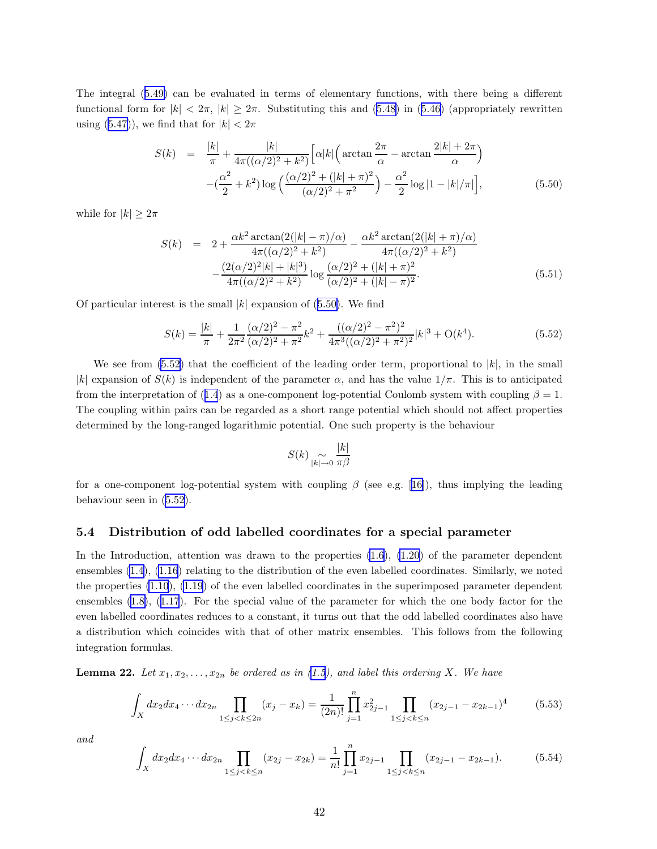<span id="page-41-0"></span>The integral([5.49\)](#page-40-0) can be evaluated in terms of elementary functions, with there being a different functionalform for  $|k| < 2\pi$ ,  $|k| \geq 2\pi$ . Substituting this and [\(5.48\)](#page-40-0) in ([5.46\)](#page-40-0) (appropriately rewritten using([5.47\)](#page-40-0)), we find that for  $|k| < 2\pi$ 

$$
S(k) = \frac{|k|}{\pi} + \frac{|k|}{4\pi((\alpha/2)^2 + k^2)} \left[ \alpha |k| \left( \arctan \frac{2\pi}{\alpha} - \arctan \frac{2|k| + 2\pi}{\alpha} \right) - \left( \frac{\alpha^2}{2} + k^2 \right) \log \left( \frac{(\alpha/2)^2 + (|k| + \pi)^2}{(\alpha/2)^2 + \pi^2} \right) - \frac{\alpha^2}{2} \log |1 - |k| / \pi \right],
$$
(5.50)

while for  $|k| \geq 2\pi$ 

$$
S(k) = 2 + \frac{\alpha k^2 \arctan(2(|k| - \pi)/\alpha)}{4\pi((\alpha/2)^2 + k^2)} - \frac{\alpha k^2 \arctan(2(|k| + \pi)/\alpha)}{4\pi((\alpha/2)^2 + k^2)}
$$

$$
-\frac{(2(\alpha/2)^2|k| + |k|^3)}{4\pi((\alpha/2)^2 + k^2)} \log \frac{(\alpha/2)^2 + (|k| + \pi)^2}{(\alpha/2)^2 + (|k| - \pi)^2}.
$$
(5.51)

Of particular interest is the small  $|k|$  expansion of (5.50). We find

$$
S(k) = \frac{|k|}{\pi} + \frac{1}{2\pi^2} \frac{(\alpha/2)^2 - \pi^2}{(\alpha/2)^2 + \pi^2} k^2 + \frac{((\alpha/2)^2 - \pi^2)^2}{4\pi^3 ((\alpha/2)^2 + \pi^2)^2} |k|^3 + \mathcal{O}(k^4).
$$
 (5.52)

We see from  $(5.52)$  that the coefficient of the leading order term, proportional to  $|k|$ , in the small |k| expansion of  $S(k)$  is independent of the parameter  $\alpha$ , and has the value  $1/\pi$ . This is to anticipated fromthe interpretation of ([1.4](#page-1-0)) as a one-component log-potential Coulomb system with coupling  $\beta = 1$ . The coupling within pairs can be regarded as a short range potential which should not affect properties determined by the long-ranged logarithmic potential. One such property is the behaviour

$$
S(k) \underset{|k| \to 0}{\sim} \frac{|k|}{\pi \beta}
$$

fora one-component log-potential system with coupling  $\beta$  (see e.g. [[16\]](#page-45-0)), thus implying the leading behaviour seen in (5.52).

### 5.4 Distribution of odd labelled coordinates for a special parameter

In the Introduction, attention was drawn to the properties  $(1.6)$ ,  $(1.20)$  of the parameter dependent ensembles [\(1.4](#page-1-0)), [\(1.16\)](#page-3-0) relating to the distribution of the even labelled coordinates. Similarly, we noted the properties [\(1.10](#page-2-0)), [\(1.19](#page-3-0)) of the even labelled coordinates in the superimposed parameter dependent ensembles([1.8\)](#page-2-0),([1.17](#page-3-0)). For the special value of the parameter for which the one body factor for the even labelled coordinates reduces to a constant, it turns out that the odd labelled coordinates also have a distribution which coincides with that of other matrix ensembles. This follows from the following integration formulas.

**Lemma 22.** Let  $x_1, x_2, \ldots, x_{2n}$  be ordered as in [\(1.5](#page-1-0)), and label this ordering X. We have

$$
\int_{X} dx_2 dx_4 \cdots dx_{2n} \prod_{1 \le j < k \le 2n} (x_j - x_k) = \frac{1}{(2n)!} \prod_{j=1}^{n} x_{2j-1}^2 \prod_{1 \le j < k \le n} (x_{2j-1} - x_{2k-1})^4 \tag{5.53}
$$

and

$$
\int_{X} dx_2 dx_4 \cdots dx_{2n} \prod_{1 \le j < k \le n} (x_{2j} - x_{2k}) = \frac{1}{n!} \prod_{j=1}^{n} x_{2j-1} \prod_{1 \le j < k \le n} (x_{2j-1} - x_{2k-1}).\tag{5.54}
$$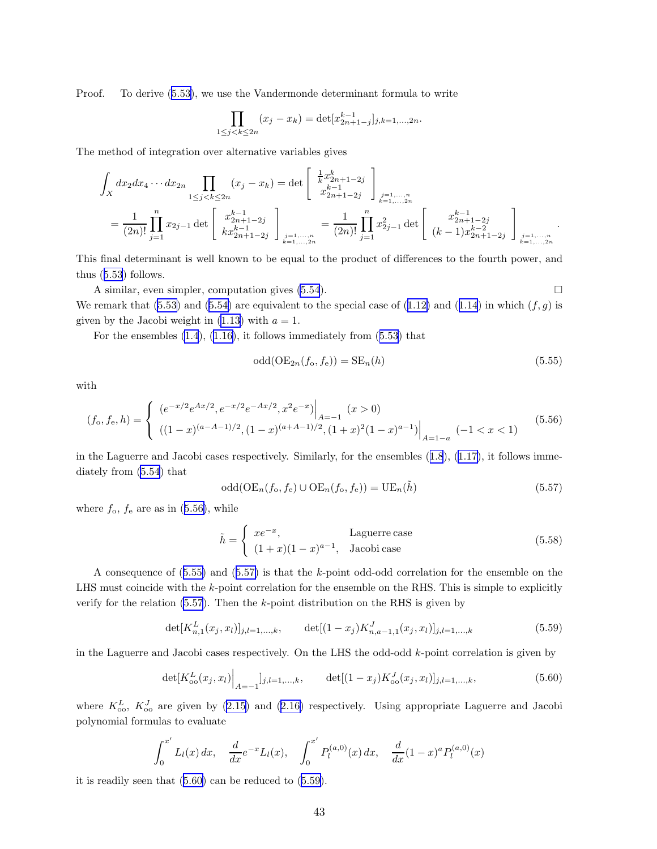Proof. To derive([5.53\)](#page-41-0), we use the Vandermonde determinant formula to write

$$
\prod_{1 \le j < k \le 2n} (x_j - x_k) = \det[x_{2n+1-j}^{k-1}]_{j,k=1,\dots,2n}.
$$

The method of integration over alternative variables gives

$$
\int_{X} dx_2 dx_4 \cdots dx_{2n} \prod_{1 \le j < k \le 2n} (x_j - x_k) = \det \begin{bmatrix} \frac{1}{k} x_{2n+1-2j}^k \\ x_{2n+1-2j}^{k-1} \end{bmatrix}_{\substack{j=1,...,n \\ k=1,...,2n}} = \frac{1}{(2n)!} \prod_{j=1}^n x_{2j-1} \det \begin{bmatrix} x_{2n+1-2j}^{k-1} \\ x_{2n+1-2j}^{k-1} \end{bmatrix}_{\substack{j=1,...,n \\ k=1,...,2n}} = \frac{1}{(2n)!} \prod_{j=1}^n x_{2j-1}^2 \det \begin{bmatrix} x_{2n+1-2j}^{k-1} \\ (k-1)x_{2n+1-2j}^{k-2} \end{bmatrix}_{\substack{j=1,...,n \\ k=1,...,2n}} \mathbb{I}_{k=1,...,2n}.
$$

This final determinant is well known to be equal to the product of differences to the fourth power, and thus([5.53](#page-41-0)) follows.

A similar, even simpler, computation gives  $(5.54)$ . Weremark that ([5.53\)](#page-41-0) and ([5.54\)](#page-41-0) are equivalent to the special case of ([1.12\)](#page-2-0) and ([1.14](#page-2-0)) in which  $(f, g)$  is given by the Jacobi weight in  $(1.13)$  with  $a = 1$ .

For the ensembles [\(1.4](#page-1-0)),([1.16\)](#page-3-0), it follows immediately from([5.53](#page-41-0)) that

$$
\text{odd}(\text{OE}_{2n}(f_o, f_e)) = \text{SE}_n(h) \tag{5.55}
$$

.

with

$$
(f_o, f_e, h) = \begin{cases} (e^{-x/2}e^{Ax/2}, e^{-x/2}e^{-Ax/2}, x^2e^{-x})\Big|_{A=-1} (x > 0) \\ ((1-x)^{(a-A-1)/2}, (1-x)^{(a+A-1)/2}, (1+x)^2(1-x)^{a-1})\Big|_{A=1-a} (-1 < x < 1) \end{cases}
$$
(5.56)

in the Laguerre and Jacobi cases respectively. Similarly, for the ensembles([1.8](#page-2-0)), [\(1.17\)](#page-3-0), it follows immediately from [\(5.54](#page-41-0)) that

$$
\text{odd}(\text{OE}_n(f_o, f_e) \cup \text{OE}_n(f_o, f_e)) = \text{UE}_n(\tilde{h})\tag{5.57}
$$

where  $f_{\rm o}$ ,  $f_{\rm e}$  are as in (5.56), while

$$
\tilde{h} = \begin{cases}\nxe^{-x}, & \text{Laguerre case} \\
(1+x)(1-x)^{a-1}, & \text{Jacobi case}\n\end{cases}
$$
\n(5.58)

A consequence of (5.55) and (5.57) is that the k-point odd-odd correlation for the ensemble on the LHS must coincide with the k-point correlation for the ensemble on the RHS. This is simple to explicitly verify for the relation (5.57). Then the k-point distribution on the RHS is given by

$$
\det[K_{n,1}^L(x_j, x_l)]_{j,l=1,\ldots,k}, \qquad \det[(1-x_j)K_{n,a-1,1}^J(x_j, x_l)]_{j,l=1,\ldots,k} \tag{5.59}
$$

in the Laguerre and Jacobi cases respectively. On the LHS the odd-odd  $k$ -point correlation is given by

$$
\det[K_{oo}^L(x_j, x_l)]_{A=-1}]_{j,l=1,\ldots,k}, \qquad \det[(1-x_j)K_{oo}^J(x_j, x_l)]_{j,l=1,\ldots,k},
$$
\n(5.60)

where $K_{oo}^L$ ,  $K_{oo}^J$  are given by [\(2.15](#page-8-0)) and ([2.16\)](#page-8-0) respectively. Using appropriate Laguerre and Jacobi polynomial formulas to evaluate

$$
\int_0^{x'} L_l(x) dx, \quad \frac{d}{dx} e^{-x} L_l(x), \quad \int_0^{x'} P_l^{(a,0)}(x) dx, \quad \frac{d}{dx} (1-x)^a P_l^{(a,0)}(x)
$$

it is readily seen that (5.60) can be reduced to (5.59).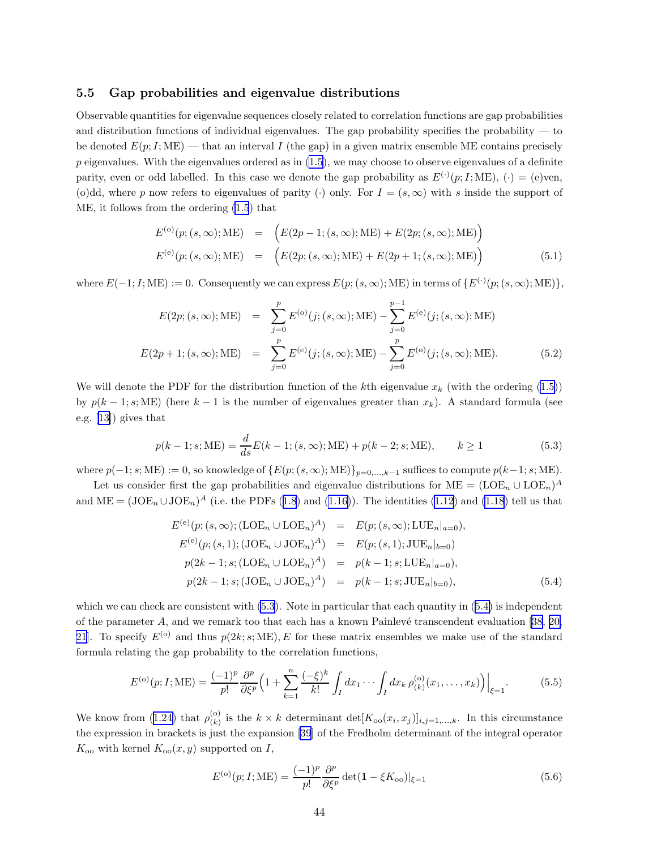#### 5.5 Gap probabilities and eigenvalue distributions

Observable quantities for eigenvalue sequences closely related to correlation functions are gap probabilities and distribution functions of individual eigenvalues. The gap probability specifies the probability — to be denoted  $E(p; I; ME)$  — that an interval I (the gap) in a given matrix ensemble ME contains precisely  $p$  eigenvalues. With the eigenvalues ordered as in  $(1.5)$ , we may choose to observe eigenvalues of a definite parity, even or odd labelled. In this case we denote the gap probability as  $E^{(\cdot)}(p; I; ME)$ , ( $\cdot$ ) = (e)ven, (o)dd, where p now refers to eigenvalues of parity (·) only. For  $I = (s, \infty)$  with s inside the support of ME, it follows from the ordering [\(1.5](#page-1-0)) that

$$
E^{(o)}(p;(s,\infty); \text{ME}) = (E(2p-1;(s,\infty); \text{ME}) + E(2p;(s,\infty); \text{ME}))
$$
  

$$
E^{(e)}(p;(s,\infty); \text{ME}) = (E(2p;(s,\infty); \text{ME}) + E(2p+1;(s,\infty); \text{ME}))
$$
(5.1)

where  $E(-1; I; ME) := 0$ . Consequently we can express  $E(p; (s, \infty); ME)$  in terms of  $\{E^{(\cdot)}(p; (s, \infty); ME)\},$ 

$$
E(2p; (s, \infty); \text{ME}) = \sum_{j=0}^{p} E^{(0)}(j; (s, \infty); \text{ME}) - \sum_{j=0}^{p-1} E^{(e)}(j; (s, \infty); \text{ME})
$$
  

$$
E(2p+1; (s, \infty); \text{ME}) = \sum_{j=0}^{p} E^{(e)}(j; (s, \infty); \text{ME}) - \sum_{j=0}^{p} E^{(o)}(j; (s, \infty); \text{ME}).
$$
 (5.2)

Wewill denote the PDF for the distribution function of the kth eigenvalue  $x_k$  (with the ordering ([1.5\)](#page-1-0)) by  $p(k-1; s; ME)$  (here  $k-1$  is the number of eigenvalues greater than  $x_k$ ). A standard formula (see e.g.[[13\]](#page-45-0)) gives that

$$
p(k-1; s; ME) = \frac{d}{ds} E(k-1; (s, \infty); ME) + p(k-2; s; ME), \qquad k \ge 1
$$
\n(5.3)

where  $p(-1; s; ME) := 0$ , so knowledge of  $\{E(p; (s, \infty); ME)\}_{p=0,\ldots,k-1}$  suffices to compute  $p(k-1; s; ME)$ .

Let us consider first the gap probabilities and eigenvalue distributions for  $ME = (LOE_n \cup LOE_n)^A$ and $\text{ME} = (\text{JOE}_n \cup \text{JOE}_n)^A$  (i.e. the PDFs ([1.8](#page-2-0)) and [\(1.16](#page-3-0))). The identities [\(1.12](#page-2-0)) and [\(1.18](#page-3-0)) tell us that

$$
E^{(e)}(p; (s, \infty); (LOE_n \cup LOE_n)^A) = E(p; (s, \infty); LUE_n|_{a=0}),
$$
  
\n
$$
E^{(e)}(p; (s, 1); (JOE_n \cup JOE_n)^A) = E(p; (s, 1); JUE_n|_{b=0})
$$
  
\n
$$
p(2k - 1; s; (IOE_n \cup IOE_n)^A) = p(k - 1; s; LUE_n|_{a=0}),
$$
  
\n
$$
p(2k - 1; s; (JOE_n \cup JOE_n)^A) = p(k - 1; s; JUE_n|_{b=0}),
$$
  
\n(5.4)

whichwe can check are consistent with  $(5.3)$ . Note in particular that each quantity in  $(5.4)$  $(5.4)$  is independent ofthe parameter A, and we remark too that each has a known Painlevé transcendent evaluation [[38,](#page-47-0) [20,](#page-46-0) [21\]](#page-46-0). To specify  $E^{(0)}$  and thus  $p(2k; s; ME)$ , E for these matrix ensembles we make use of the standard formula relating the gap probability to the correlation functions,

$$
E^{(o)}(p;I;ME) = \frac{(-1)^p}{p!} \frac{\partial^p}{\partial \xi^p} \Big( 1 + \sum_{k=1}^n \frac{(-\xi)^k}{k!} \int_I dx_1 \cdots \int_I dx_k \,\rho_{(k)}^{(o)}(x_1,\ldots,x_k) \Big) \Big|_{\xi=1}.
$$
 (5.5)

Weknow from ([1.24\)](#page-4-0) that  $\rho_{(k)}^{(0)}$  $(k)$  is the  $k \times k$  determinant  $\det[K_{oo}(x_i, x_j)]_{i,j=1,\ldots,k}$ . In this circumstance the expression in brackets is just the expansion [\[39](#page-47-0)] of the Fredholm determinant of the integral operator  $K_{\text{oo}}$  with kernel  $K_{\text{oo}}(x, y)$  supported on I,

$$
E^{(o)}(p;I;ME) = \frac{(-1)^p}{p!} \frac{\partial^p}{\partial \xi^p} \det(\mathbf{1} - \xi K_{oo})|_{\xi=1}
$$
(5.6)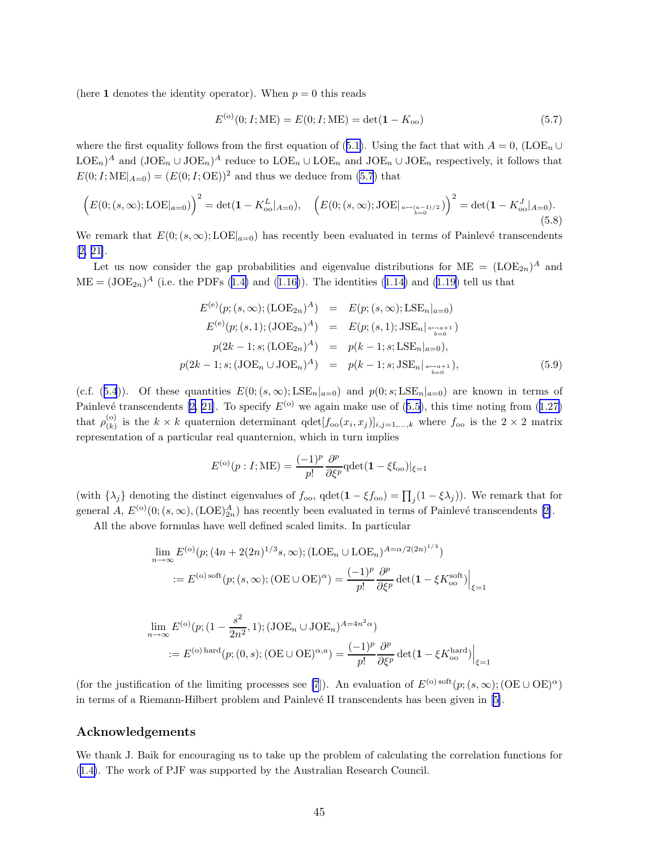(here 1 denotes the identity operator). When  $p = 0$  this reads

$$
E^{(o)}(0;I;ME) = E(0;I;ME) = det(1 - K_{oo})
$$
\n(5.7)

wherethe first equality follows from the first equation of ([5.1\)](#page-31-0). Using the fact that with  $A = 0$ , (LOE<sub>n</sub> ∪  $\text{LOE}_n$ <sup>A</sup> and  $(\text{JOE}_n \cup \text{JOE}_n)^A$  reduce to  $\text{LOE}_n \cup \text{LOE}_n$  and  $\text{JOE}_n \cup \text{JOE}_n$  respectively, it follows that  $E(0; I; ME|_{A=0}) = (E(0; I; OE))^2$  and thus we deduce from [\(5.7](#page-32-0)) that

$$
\left(E(0;(s,\infty);\mathrm{LOE}|_{a=0})\right)^2 = \det(\mathbf{1} - K_{\mathrm{oo}}^L|_{A=0}), \quad \left(E(0;(s,\infty);\mathrm{JOE}|_{a \mapsto (a-1)/2})\right)^2 = \det(\mathbf{1} - K_{\mathrm{oo}}^J|_{A=0}).
$$
\n(5.8)

We remark that  $E(0; (s, \infty); \text{LOE}|_{a=0})$  has recently been evaluated in terms of Painlevé transcendents [[2,](#page-45-0) [21\]](#page-46-0).

Let us now consider the gap probabilities and eigenvalue distributions for  $ME = (LOE_{2n})^A$  and  $ME = (JOE_{2n})^A$  $ME = (JOE_{2n})^A$  $ME = (JOE_{2n})^A$  (i.e. the PDFs ([1.4\)](#page-1-0) and [\(1.16\)](#page-3-0)). The identities ([1.14\)](#page-2-0) and [\(1.19\)](#page-3-0) tell us that

$$
E^{(e)}(p; (s, \infty); (\text{LOE}_{2n})^A) = E(p; (s, \infty); \text{LSE}_n|_{a=0})
$$
  
\n
$$
E^{(e)}(p; (s, 1); (\text{JOE}_{2n})^A) = E(p; (s, 1); \text{JSE}_n|_{a \to a+1})
$$
  
\n
$$
p(2k - 1; s; (\text{LOE}_{2n})^A) = p(k - 1; s; \text{LSE}_n|_{a=0}),
$$
  
\n
$$
p(2k - 1; s; (\text{JOE}_n \cup \text{JOE}_n)^A) = p(k - 1; s; \text{JSE}_n|_{a \to a+1}),
$$
  
\n(5.9)

(c.f.([5.4](#page-32-0))). Of these quantities  $E(0;(s,\infty); \text{LSE}_n|_{a=0})$  and  $p(0;s; \text{LSE}_n|_{a=0})$  are known in terms of Painlevétranscendents [[2,](#page-45-0) [21](#page-46-0)]. To specify  $E^{(0)}$  we again make use of ([5.5\)](#page-32-0), this time noting from ([1.27\)](#page-4-0) that  $\rho_{(k)}^{(0)}$  $(k)$  is the  $k \times k$  quaternion determinant  $qdet[f_{oo}(x_i, x_j)]_{i,j=1,...,k}$  where  $f_{oo}$  is the  $2 \times 2$  matrix representation of a particular real quanternion, which in turn implies

$$
E^{(o)}(p: I; ME) = \frac{(-1)^p}{p!} \frac{\partial^p}{\partial \xi^p} \text{qdet}(\mathbf{1} - \xi f_{oo})|_{\xi=1}
$$

(with  $\{\lambda_j\}$  denoting the distinct eigenvalues of  $f_{oo}$ ,  $qdet(1 - \xi f_{oo}) = \prod_j (1 - \xi \lambda_j)$ ). We remark that for general  $A, E^{(0)}(0;(s,\infty), (LOE)_{2n}^A)$  has recently been evaluated in terms of Painlevé transcendents [\[2\]](#page-45-0).

All the above formulas have well defined scaled limits. In particular

$$
\lim_{n \to \infty} E^{(0)}(p; (4n + 2(2n)^{1/3}s, \infty); (\text{LOE}_n \cup \text{LOE}_n)^{A = \alpha/2(2n)^{1/3}})
$$
  
:=  $E^{(0) \text{ soft}}(p; (s, \infty); (\text{OE} \cup \text{OE})^{\alpha}) = \frac{(-1)^p}{p!} \frac{\partial^p}{\partial \xi^p} \det(\mathbf{1} - \xi K_{oo}^{\text{soft}})\Big|_{\xi=1}$ 

$$
\lim_{n \to \infty} E^{(0)}(p; (1 - \frac{s^2}{2n^2}, 1); (\text{JOE}_n \cup \text{JOE}_n)^{A = 4n^2 \alpha})
$$
  
 :=  $E^{(0) \text{ hard}}(p; (0, s); (\text{OE} \cup \text{OE})^{\alpha, a}) = \frac{(-1)^p}{p!} \frac{\partial^p}{\partial \xi^p} \det(\mathbf{1} - \xi K_{oo}^{\text{hard}})\Big|_{\xi = 1}$ 

(for the justification of the limiting processes see [\[7](#page-45-0)]). An evaluation of  $E^{(o) \text{ soft}}(p; (s, \infty); (\text{OE} \cup \text{OE})^{\alpha})$ interms of a Riemann-Hilbert problem and Painlevé II transcendents has been given in [[5](#page-45-0)].

### Acknowledgements

We thank J. Baik for encouraging us to take up the problem of calculating the correlation functions for ([1.4\)](#page-1-0). The work of PJF was supported by the Australian Research Council.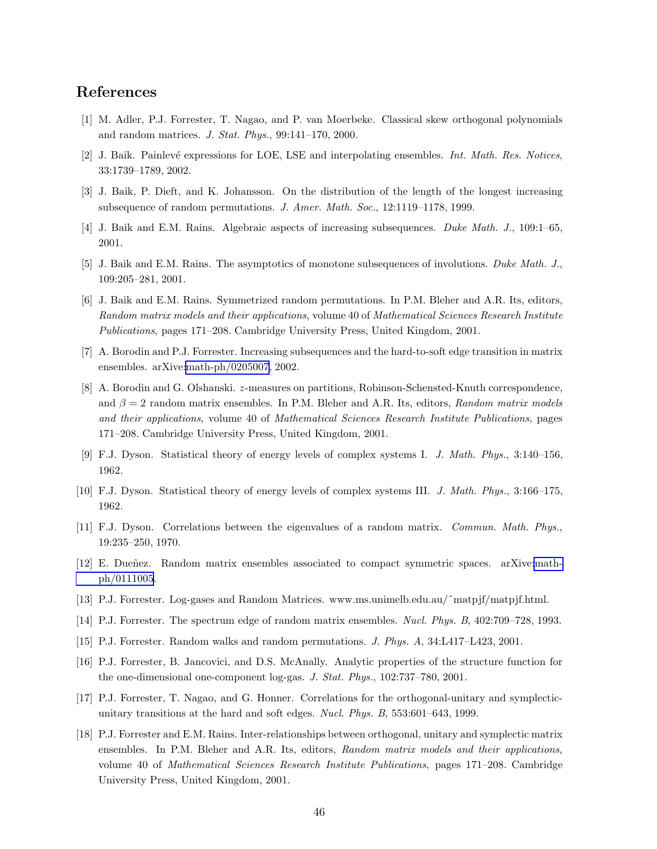## <span id="page-45-0"></span>References

- [1] M. Adler, P.J. Forrester, T. Nagao, and P. van Moerbeke. Classical skew orthogonal polynomials and random matrices. J. Stat. Phys., 99:141–170, 2000.
- [2] J. Baik. Painlevé expressions for LOE, LSE and interpolating ensembles. Int. Math. Res. Notices, 33:1739–1789, 2002.
- [3] J. Baik, P. Dieft, and K. Johansson. On the distribution of the length of the longest increasing subsequence of random permutations. J. Amer. Math. Soc., 12:1119–1178, 1999.
- [4] J. Baik and E.M. Rains. Algebraic aspects of increasing subsequences. Duke Math. J., 109:1–65, 2001.
- [5] J. Baik and E.M. Rains. The asymptotics of monotone subsequences of involutions. Duke Math. J., 109:205–281, 2001.
- [6] J. Baik and E.M. Rains. Symmetrized random permutations. In P.M. Bleher and A.R. Its, editors, Random matrix models and their applications, volume 40 of Mathematical Sciences Research Institute Publications, pages 171–208. Cambridge University Press, United Kingdom, 2001.
- [7] A. Borodin and P.J. Forrester. Increasing subsequences and the hard-to-soft edge transition in matrix ensembles. arXive[:math-ph/0205007,](http://arxiv.org/abs/math-ph/0205007) 2002.
- [8] A. Borodin and G. Olshanski. z-measures on partitions, Robinson-Schensted-Knuth correspondence, and  $\beta = 2$  random matrix ensembles. In P.M. Bleher and A.R. Its, editors, Random matrix models and their applications, volume 40 of Mathematical Sciences Research Institute Publications, pages 171–208. Cambridge University Press, United Kingdom, 2001.
- [9] F.J. Dyson. Statistical theory of energy levels of complex systems I. J. Math. Phys., 3:140–156, 1962.
- [10] F.J. Dyson. Statistical theory of energy levels of complex systems III. J. Math. Phys., 3:166–175, 1962.
- [11] F.J. Dyson. Correlations between the eigenvalues of a random matrix. Commun. Math. Phys., 19:235–250, 1970.
- [12] E. Dueñez. Random matrix ensembles associated to compact symmetric spaces. arXive[:math](http://arxiv.org/abs/math-ph/0111005)[ph/0111005](http://arxiv.org/abs/math-ph/0111005).
- [13] P.J. Forrester. Log-gases and Random Matrices. www.ms.unimelb.edu.au/˜matpjf/matpjf.html.
- [14] P.J. Forrester. The spectrum edge of random matrix ensembles. Nucl. Phys. B, 402:709–728, 1993.
- [15] P.J. Forrester. Random walks and random permutations. J. Phys. A, 34:L417–L423, 2001.
- [16] P.J. Forrester, B. Jancovici, and D.S. McAnally. Analytic properties of the structure function for the one-dimensional one-component log-gas. J. Stat. Phys., 102:737–780, 2001.
- [17] P.J. Forrester, T. Nagao, and G. Honner. Correlations for the orthogonal-unitary and symplecticunitary transitions at the hard and soft edges. Nucl. Phys. B, 553:601–643, 1999.
- [18] P.J. Forrester and E.M. Rains. Inter-relationships between orthogonal, unitary and symplectic matrix ensembles. In P.M. Bleher and A.R. Its, editors, Random matrix models and their applications, volume 40 of Mathematical Sciences Research Institute Publications, pages 171–208. Cambridge University Press, United Kingdom, 2001.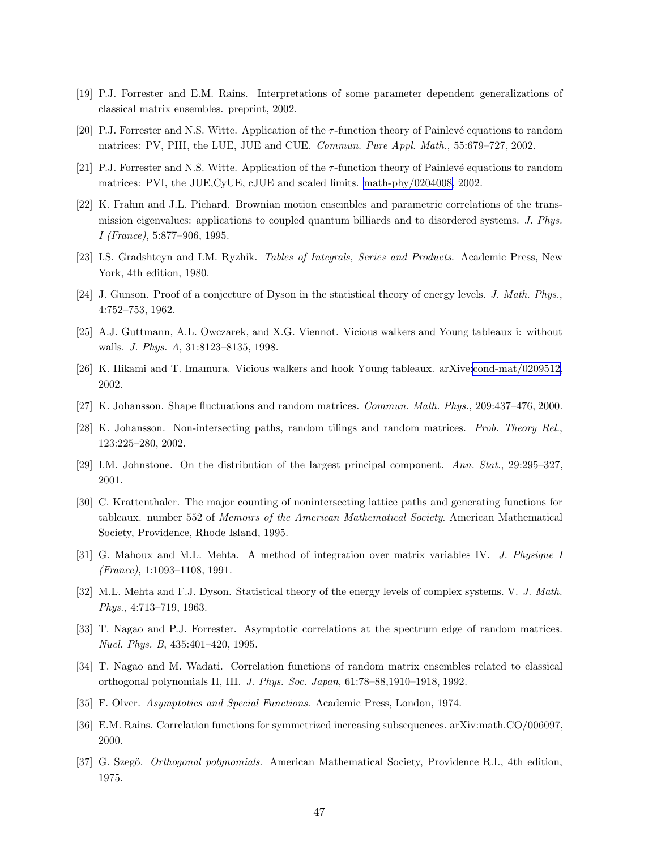- <span id="page-46-0"></span>[19] P.J. Forrester and E.M. Rains. Interpretations of some parameter dependent generalizations of classical matrix ensembles. preprint, 2002.
- [20] P.J. Forrester and N.S. Witte. Application of the  $\tau$ -function theory of Painlevé equations to random matrices: PV, PIII, the LUE, JUE and CUE. Commun. Pure Appl. Math., 55:679–727, 2002.
- [21] P.J. Forrester and N.S. Witte. Application of the τ-function theory of Painlev´e equations to random matrices: PVI, the JUE,CyUE, cJUE and scaled limits. [math-phy/0204008,](http://arxiv.org/abs/math-phy/0204008) 2002.
- [22] K. Frahm and J.L. Pichard. Brownian motion ensembles and parametric correlations of the transmission eigenvalues: applications to coupled quantum billiards and to disordered systems. J. Phys. I (France), 5:877–906, 1995.
- [23] I.S. Gradshteyn and I.M. Ryzhik. Tables of Integrals, Series and Products. Academic Press, New York, 4th edition, 1980.
- [24] J. Gunson. Proof of a conjecture of Dyson in the statistical theory of energy levels. J. Math. Phys., 4:752–753, 1962.
- [25] A.J. Guttmann, A.L. Owczarek, and X.G. Viennot. Vicious walkers and Young tableaux i: without walls. J. Phys. A, 31:8123–8135, 1998.
- [26] K. Hikami and T. Imamura. Vicious walkers and hook Young tableaux. arXive[:cond-mat/0209512](http://arxiv.org/abs/cond-mat/0209512), 2002.
- [27] K. Johansson. Shape fluctuations and random matrices. Commun. Math. Phys., 209:437–476, 2000.
- [28] K. Johansson. Non-intersecting paths, random tilings and random matrices. Prob. Theory Rel., 123:225–280, 2002.
- [29] I.M. Johnstone. On the distribution of the largest principal component. Ann. Stat., 29:295–327, 2001.
- [30] C. Krattenthaler. The major counting of nonintersecting lattice paths and generating functions for tableaux. number 552 of Memoirs of the American Mathematical Society. American Mathematical Society, Providence, Rhode Island, 1995.
- [31] G. Mahoux and M.L. Mehta. A method of integration over matrix variables IV. J. Physique I (France), 1:1093–1108, 1991.
- [32] M.L. Mehta and F.J. Dyson. Statistical theory of the energy levels of complex systems. V. J. Math. Phys., 4:713–719, 1963.
- [33] T. Nagao and P.J. Forrester. Asymptotic correlations at the spectrum edge of random matrices. Nucl. Phys. B, 435:401–420, 1995.
- [34] T. Nagao and M. Wadati. Correlation functions of random matrix ensembles related to classical orthogonal polynomials II, III. J. Phys. Soc. Japan, 61:78–88,1910–1918, 1992.
- [35] F. Olver. Asymptotics and Special Functions. Academic Press, London, 1974.
- [36] E.M. Rains. Correlation functions for symmetrized increasing subsequences. arXiv:math.CO/006097, 2000.
- [37] G. Szegö. *Orthogonal polynomials*. American Mathematical Society, Providence R.I., 4th edition, 1975.